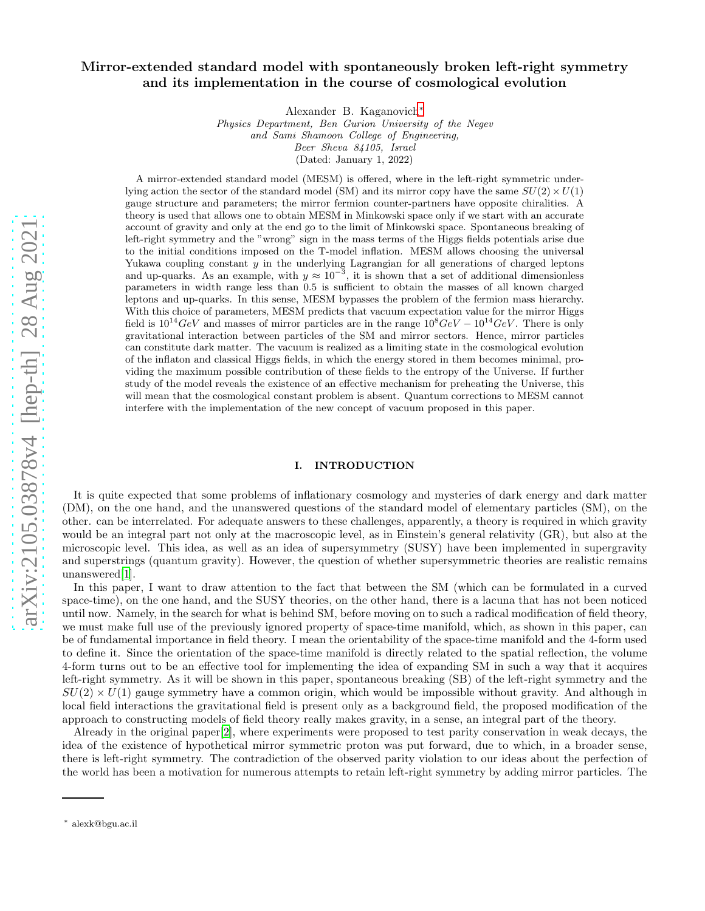# Mirror-extended standard model with spontaneously broken left-right symmetry and its implementation in the course of cosmological evolution

Alexander B. Kaganovich[∗](#page-0-0)

Physics Department, Ben Gurion University of the Negev and Sami Shamoon College of Engineering, Beer Sheva 84105, Israel (Dated: January 1, 2022)

A mirror-extended standard model (MESM) is offered, where in the left-right symmetric underlying action the sector of the standard model (SM) and its mirror copy have the same  $SU(2) \times U(1)$ gauge structure and parameters; the mirror fermion counter-partners have opposite chiralities. A theory is used that allows one to obtain MESM in Minkowski space only if we start with an accurate account of gravity and only at the end go to the limit of Minkowski space. Spontaneous breaking of left-right symmetry and the "wrong" sign in the mass terms of the Higgs fields potentials arise due to the initial conditions imposed on the T-model inflation. MESM allows choosing the universal Yukawa coupling constant  $y$  in the underlying Lagrangian for all generations of charged leptons and up-quarks. As an example, with  $y \approx 10^{-3}$ , it is shown that a set of additional dimensionless parameters in width range less than 0.5 is sufficient to obtain the masses of all known charged leptons and up-quarks. In this sense, MESM bypasses the problem of the fermion mass hierarchy. With this choice of parameters, MESM predicts that vacuum expectation value for the mirror Higgs field is  $10^{14}GeV$  and masses of mirror particles are in the range  $10^{8}GeV - 10^{14}GeV$ . There is only gravitational interaction between particles of the SM and mirror sectors. Hence, mirror particles can constitute dark matter. The vacuum is realized as a limiting state in the cosmological evolution of the inflaton and classical Higgs fields, in which the energy stored in them becomes minimal, providing the maximum possible contribution of these fields to the entropy of the Universe. If further study of the model reveals the existence of an effective mechanism for preheating the Universe, this will mean that the cosmological constant problem is absent. Quantum corrections to MESM cannot interfere with the implementation of the new concept of vacuum proposed in this paper.

# I. INTRODUCTION

It is quite expected that some problems of inflationary cosmology and mysteries of dark energy and dark matter (DM), on the one hand, and the unanswered questions of the standard model of elementary particles (SM), on the other. can be interrelated. For adequate answers to these challenges, apparently, a theory is required in which gravity would be an integral part not only at the macroscopic level, as in Einstein's general relativity (GR), but also at the microscopic level. This idea, as well as an idea of supersymmetry (SUSY) have been implemented in supergravity and superstrings (quantum gravity). However, the question of whether supersymmetric theories are realistic remains unanswered[\[1\]](#page-41-0).

In this paper, I want to draw attention to the fact that between the SM (which can be formulated in a curved space-time), on the one hand, and the SUSY theories, on the other hand, there is a lacuna that has not been noticed until now. Namely, in the search for what is behind SM, before moving on to such a radical modification of field theory, we must make full use of the previously ignored property of space-time manifold, which, as shown in this paper, can be of fundamental importance in field theory. I mean the orientability of the space-time manifold and the 4-form used to define it. Since the orientation of the space-time manifold is directly related to the spatial reflection, the volume 4-form turns out to be an effective tool for implementing the idea of expanding SM in such a way that it acquires left-right symmetry. As it will be shown in this paper, spontaneous breaking (SB) of the left-right symmetry and the  $SU(2) \times U(1)$  gauge symmetry have a common origin, which would be impossible without gravity. And although in local field interactions the gravitational field is present only as a background field, the proposed modification of the approach to constructing models of field theory really makes gravity, in a sense, an integral part of the theory.

Already in the original paper[\[2](#page-41-1)], where experiments were proposed to test parity conservation in weak decays, the idea of the existence of hypothetical mirror symmetric proton was put forward, due to which, in a broader sense, there is left-right symmetry. The contradiction of the observed parity violation to our ideas about the perfection of the world has been a motivation for numerous attempts to retain left-right symmetry by adding mirror particles. The

<span id="page-0-0"></span><sup>∗</sup> alexk@bgu.ac.il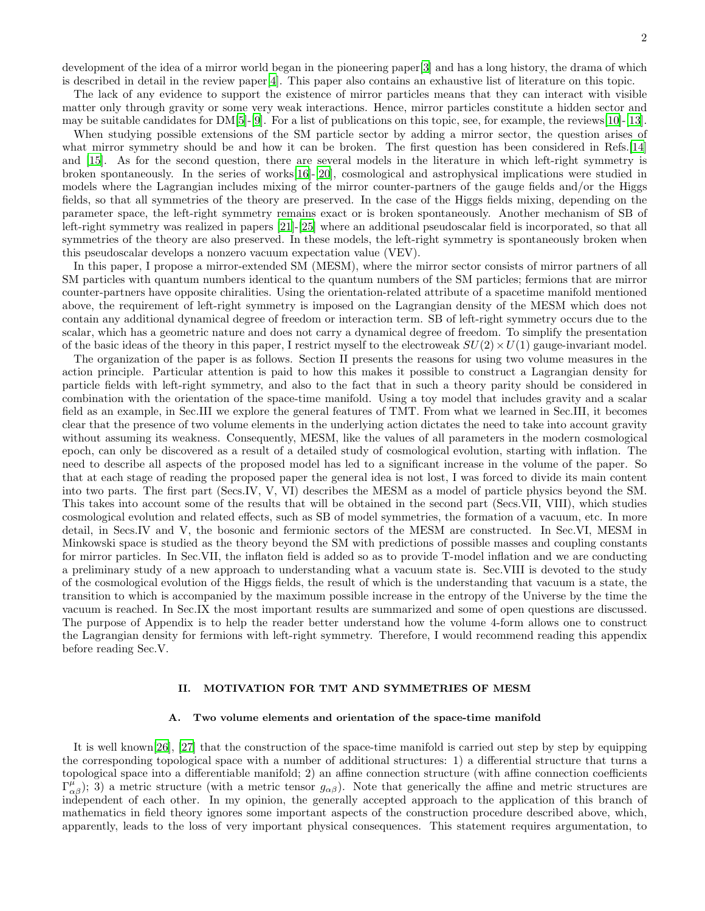2

development of the idea of a mirror world began in the pioneering paper[\[3\]](#page-41-2) and has a long history, the drama of which is described in detail in the review paper[\[4\]](#page-41-3). This paper also contains an exhaustive list of literature on this topic.

The lack of any evidence to support the existence of mirror particles means that they can interact with visible matter only through gravity or some very weak interactions. Hence, mirror particles constitute a hidden sector and may be suitable candidates for  $DM[5]-[9]$  $DM[5]-[9]$  $DM[5]-[9]$ . For a list of publications on this topic, see, for example, the reviews [10]-[13].

When studying possible extensions of the SM particle sector by adding a mirror sector, the question arises of what mirror symmetry should be and how it can be broken. The first question has been considered in Refs.[\[14](#page-42-0)] and [15]. As for the second question, there are several models in the literature in which left-right symmetry is broken spontaneously. In the series of works[16]-[20], cosmological and astrophysical implications were studied in models where the Lagrangian includes mixing of the mirror counter-partners of the gauge fields and/or the Higgs fields, so that all symmetries of the theory are preserved. In the case of the Higgs fields mixing, depending on the parameter space, the left-right symmetry remains exact or is broken spontaneously. Another mechanism of SB of left-right symmetry was realized in papers [21]-[25] where an additional pseudoscalar field is incorporated, so that all symmetries of the theory are also preserved. In these models, the left-right symmetry is spontaneously broken when this pseudoscalar develops a nonzero vacuum expectation value (VEV).

In this paper, I propose a mirror-extended SM (MESM), where the mirror sector consists of mirror partners of all SM particles with quantum numbers identical to the quantum numbers of the SM particles; fermions that are mirror counter-partners have opposite chiralities. Using the orientation-related attribute of a spacetime manifold mentioned above, the requirement of left-right symmetry is imposed on the Lagrangian density of the MESM which does not contain any additional dynamical degree of freedom or interaction term. SB of left-right symmetry occurs due to the scalar, which has a geometric nature and does not carry a dynamical degree of freedom. To simplify the presentation of the basic ideas of the theory in this paper, I restrict myself to the electroweak  $SU(2) \times U(1)$  gauge-invariant model.

The organization of the paper is as follows. Section II presents the reasons for using two volume measures in the action principle. Particular attention is paid to how this makes it possible to construct a Lagrangian density for particle fields with left-right symmetry, and also to the fact that in such a theory parity should be considered in combination with the orientation of the space-time manifold. Using a toy model that includes gravity and a scalar field as an example, in Sec.III we explore the general features of TMT. From what we learned in Sec.III, it becomes clear that the presence of two volume elements in the underlying action dictates the need to take into account gravity without assuming its weakness. Consequently, MESM, like the values of all parameters in the modern cosmological epoch, can only be discovered as a result of a detailed study of cosmological evolution, starting with inflation. The need to describe all aspects of the proposed model has led to a significant increase in the volume of the paper. So that at each stage of reading the proposed paper the general idea is not lost, I was forced to divide its main content into two parts. The first part (Secs.IV, V, VI) describes the MESM as a model of particle physics beyond the SM. This takes into account some of the results that will be obtained in the second part (Secs.VII, VIII), which studies cosmological evolution and related effects, such as SB of model symmetries, the formation of a vacuum, etc. In more detail, in Secs.IV and V, the bosonic and fermionic sectors of the MESM are constructed. In Sec.VI, MESM in Minkowski space is studied as the theory beyond the SM with predictions of possible masses and coupling constants for mirror particles. In Sec.VII, the inflaton field is added so as to provide T-model inflation and we are conducting a preliminary study of a new approach to understanding what a vacuum state is. Sec.VIII is devoted to the study of the cosmological evolution of the Higgs fields, the result of which is the understanding that vacuum is a state, the transition to which is accompanied by the maximum possible increase in the entropy of the Universe by the time the vacuum is reached. In Sec.IX the most important results are summarized and some of open questions are discussed. The purpose of Appendix is to help the reader better understand how the volume 4-form allows one to construct the Lagrangian density for fermions with left-right symmetry. Therefore, I would recommend reading this appendix before reading Sec.V.

## II. MOTIVATION FOR TMT AND SYMMETRIES OF MESM

#### A. Two volume elements and orientation of the space-time manifold

It is well known[\[26](#page-42-1)], [\[27\]](#page-42-2) that the construction of the space-time manifold is carried out step by step by equipping the corresponding topological space with a number of additional structures: 1) a differential structure that turns a topological space into a differentiable manifold; 2) an affine connection structure (with affine connection coefficients  $(\Gamma^{\mu}_{\alpha\beta})$ ; 3) a metric structure (with a metric tensor  $g_{\alpha\beta}$ ). Note that generically the affine and metric structures are independent of each other. In my opinion, the generally accepted approach to the application of this branch of mathematics in field theory ignores some important aspects of the construction procedure described above, which, apparently, leads to the loss of very important physical consequences. This statement requires argumentation, to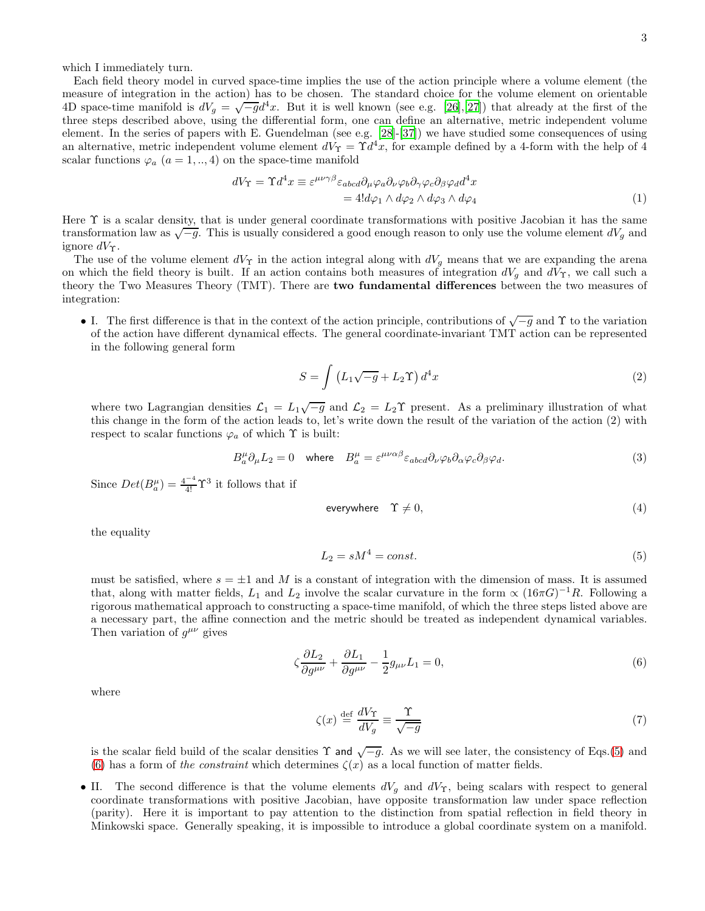which I immediately turn.

Each field theory model in curved space-time implies the use of the action principle where a volume element (the measure of integration in the action) has to be chosen. The standard choice for the volume element on orientable 4D space-time manifold is  $dV_g = \sqrt{-g}d^4x$ . But it is well known (see e.g. [\[26\]](#page-42-1),[\[27](#page-42-2)]) that already at the first of the three steps described above, using the differential form, one can define an alternative, metric independent volume element. In the series of papers with E. Guendelman (see e.g. [\[28](#page-42-3)]-[\[37\]](#page-42-4)) we have studied some consequences of using an alternative, metric independent volume element  $dV_{\Upsilon} = \Upsilon d^4x$ , for example defined by a 4-form with the help of 4 scalar functions  $\varphi_a$   $(a = 1, ..., 4)$  on the space-time manifold

<span id="page-2-3"></span>
$$
dV_{\Upsilon} = \Upsilon d^4 x \equiv \varepsilon^{\mu\nu\gamma\beta} \varepsilon_{abcd} \partial_{\mu} \varphi_a \partial_{\nu} \varphi_b \partial_{\gamma} \varphi_c \partial_{\beta} \varphi_d d^4 x
$$
  
= 4!d\varphi\_1 \wedge d\varphi\_2 \wedge d\varphi\_3 \wedge d\varphi\_4 (1)

Here Υ is a scalar density, that is under general coordinate transformations with positive Jacobian it has the same transformation law as  $\sqrt{-g}$ . This is usually considered a good enough reason to only use the volume element  $dV_g$  and ignore  $dV_{\Upsilon}$ .

The use of the volume element  $dV_{\Upsilon}$  in the action integral along with  $dV_g$  means that we are expanding the arena on which the field theory is built. If an action contains both measures of integration  $dV_q$  and  $dV_\tau$ , we call such a theory the Two Measures Theory (TMT). There are two fundamental differences between the two measures of integration:

• I. The first difference is that in the context of the action principle, contributions of  $\sqrt{-g}$  and  $\Upsilon$  to the variation of the action have different dynamical effects. The general coordinate-invariant TMT action can be represented in the following general form

<span id="page-2-2"></span>
$$
S = \int \left( L_1 \sqrt{-g} + L_2 \Upsilon \right) d^4 x \tag{2}
$$

where two Lagrangian densities  $\mathcal{L}_1 = L_1 \sqrt{-g}$  and  $\mathcal{L}_2 = L_2 \Upsilon$  present. As a preliminary illustration of what this change in the form of the action leads to, let's write down the result of the variation of the action (2) with respect to scalar functions  $\varphi_a$  of which  $\Upsilon$  is built:

$$
B_a^{\mu} \partial_{\mu} L_2 = 0 \quad \text{where} \quad B_a^{\mu} = \varepsilon^{\mu \nu \alpha \beta} \varepsilon_{abcd} \partial_{\nu} \varphi_b \partial_{\alpha} \varphi_c \partial_{\beta} \varphi_d. \tag{3}
$$

Since  $Det(B_a^{\mu}) = \frac{4^{-4}}{4!} \Upsilon^3$  it follows that if

<span id="page-2-4"></span>
$$
everywhere \t\Upsilon \neq 0,
$$
\t(4)

the equality

<span id="page-2-0"></span>
$$
L_2 = sM^4 = const.
$$
\n<sup>(5)</sup>

must be satisfied, where  $s = \pm 1$  and M is a constant of integration with the dimension of mass. It is assumed that, along with matter fields,  $L_1$  and  $L_2$  involve the scalar curvature in the form  $\propto (16\pi G)^{-1}R$ . Following a rigorous mathematical approach to constructing a space-time manifold, of which the three steps listed above are a necessary part, the affine connection and the metric should be treated as independent dynamical variables. Then variation of  $g^{\mu\nu}$  gives

<span id="page-2-1"></span>
$$
\zeta \frac{\partial L_2}{\partial g^{\mu\nu}} + \frac{\partial L_1}{\partial g^{\mu\nu}} - \frac{1}{2} g_{\mu\nu} L_1 = 0, \tag{6}
$$

where

<span id="page-2-5"></span>
$$
\zeta(x) \stackrel{\text{def}}{=} \frac{dV_{\Upsilon}}{dV_g} \equiv \frac{\Upsilon}{\sqrt{-g}}\tag{7}
$$

is the scalar field build of the scalar densities  $\Upsilon$  and  $\sqrt{-g}$ . As we will see later, the consistency of Eqs.[\(5\)](#page-2-0) and [\(6\)](#page-2-1) has a form of the constraint which determines  $\zeta(x)$  as a local function of matter fields.

• II. The second difference is that the volume elements  $dV_g$  and  $dV_{\Upsilon}$ , being scalars with respect to general coordinate transformations with positive Jacobian, have opposite transformation law under space reflection (parity). Here it is important to pay attention to the distinction from spatial reflection in field theory in Minkowski space. Generally speaking, it is impossible to introduce a global coordinate system on a manifold.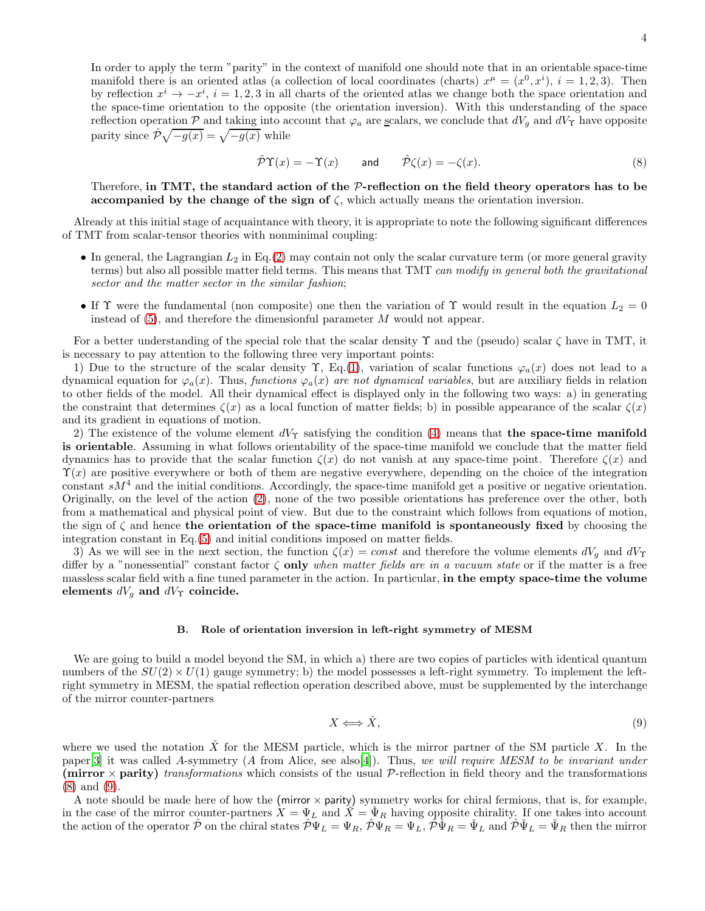In order to apply the term "parity" in the context of manifold one should note that in an orientable space-time manifold there is an oriented atlas (a collection of local coordinates (charts)  $x^{\mu} = (x^0, x^i), i = 1, 2, 3$ ). Then by reflection  $x^i \to -x^i$ ,  $i = 1, 2, 3$  in all charts of the oriented atlas we change both the space orientation and the space-time orientation to the opposite (the orientation inversion). With this understanding of the space reflection operation  $P$  and taking into account that  $\varphi_a$  are scalars, we conclude that  $dV_g$  and  $dV_\Upsilon$  have opposite parity since  $\hat{\mathcal{P}}\sqrt{-g(x)} = \sqrt{-g(x)}$  while

<span id="page-3-0"></span>
$$
\hat{\mathcal{P}}\Upsilon(x) = -\Upsilon(x) \qquad \text{and} \qquad \hat{\mathcal{P}}\zeta(x) = -\zeta(x). \tag{8}
$$

Therefore, in TMT, the standard action of the  $P$ -reflection on the field theory operators has to be accompanied by the change of the sign of  $\zeta$ , which actually means the orientation inversion.

Already at this initial stage of acquaintance with theory, it is appropriate to note the following significant differences of TMT from scalar-tensor theories with nonminimal coupling:

- In general, the Lagrangian  $L_2$  in Eq.[\(2\)](#page-2-2) may contain not only the scalar curvature term (or more general gravity terms) but also all possible matter field terms. This means that TMT can modify in general both the gravitational sector and the matter sector in the similar fashion;
- If  $\Upsilon$  were the fundamental (non composite) one then the variation of  $\Upsilon$  would result in the equation  $L_2 = 0$ instead of  $(5)$ , and therefore the dimensionful parameter M would not appear.

For a better understanding of the special role that the scalar density  $\Upsilon$  and the (pseudo) scalar  $\zeta$  have in TMT, it is necessary to pay attention to the following three very important points:

1) Due to the structure of the scalar density  $\Upsilon$ , Eq.[\(1\)](#page-2-3), variation of scalar functions  $\varphi_a(x)$  does not lead to a dynamical equation for  $\varphi_a(x)$ . Thus, functions  $\varphi_a(x)$  are not dynamical variables, but are auxiliary fields in relation to other fields of the model. All their dynamical effect is displayed only in the following two ways: a) in generating the constraint that determines  $\zeta(x)$  as a local function of matter fields; b) in possible appearance of the scalar  $\zeta(x)$ and its gradient in equations of motion.

2) The existence of the volume element  $dV_{\Upsilon}$  satisfying the condition [\(4\)](#page-2-4) means that the space-time manifold is orientable. Assuming in what follows orientability of the space-time manifold we conclude that the matter field dynamics has to provide that the scalar function  $\zeta(x)$  do not vanish at any space-time point. Therefore  $\zeta(x)$  and  $\Upsilon(x)$  are positive everywhere or both of them are negative everywhere, depending on the choice of the integration constant  $sM<sup>4</sup>$  and the initial conditions. Accordingly, the space-time manifold get a positive or negative orientation. Originally, on the level of the action [\(2\)](#page-2-2), none of the two possible orientations has preference over the other, both from a mathematical and physical point of view. But due to the constraint which follows from equations of motion, the sign of  $\zeta$  and hence the orientation of the space-time manifold is spontaneously fixed by choosing the integration constant in Eq.[\(5\)](#page-2-0) and initial conditions imposed on matter fields.

3) As we will see in the next section, the function  $\zeta(x) = const$  and therefore the volume elements  $dV_g$  and  $dV_f$ differ by a "nonessential" constant factor  $\zeta$  only when matter fields are in a vacuum state or if the matter is a free massless scalar field with a fine tuned parameter in the action. In particular, in the empty space-time the volume elements  $dV_g$  and  $dV_{\Upsilon}$  coincide.

#### B. Role of orientation inversion in left-right symmetry of MESM

We are going to build a model beyond the SM, in which a) there are two copies of particles with identical quantum numbers of the  $SU(2) \times U(1)$  gauge symmetry; b) the model possesses a left-right symmetry. To implement the leftright symmetry in MESM, the spatial reflection operation described above, must be supplemented by the interchange of the mirror counter-partners

<span id="page-3-1"></span>
$$
X \Longleftrightarrow \check{X},\tag{9}
$$

where we used the notation  $\check{X}$  for the MESM particle, which is the mirror partner of the SM particle X. In the paper[\[3\]](#page-41-2) it was called A-symmetry (A from Alice, see also[\[4\]](#page-41-3)). Thus, we will require MESM to be invariant under (mirror  $\times$  parity) transformations which consists of the usual P-reflection in field theory and the transformations [\(8\)](#page-3-0) and [\(9\)](#page-3-1).

A note should be made here of how the (mirror  $\times$  parity) symmetry works for chiral fermions, that is, for example, in the case of the mirror counter-partners  $X = \Psi_L$  and  $\tilde{X} = \Psi_R$  having opposite chirality. If one takes into account the action of the operator  $\hat{\mathcal{P}}$  on the chiral states  $\hat{\mathcal{P}} \Psi_L = \Psi_R$ ,  $\hat{\mathcal{P}} \Psi_R = \Psi_L$ ,  $\hat{\mathcal{P}} \Psi_R = \Psi_L$  and  $\hat{\mathcal{P}} \Psi_L = \Psi_R$  then the mirror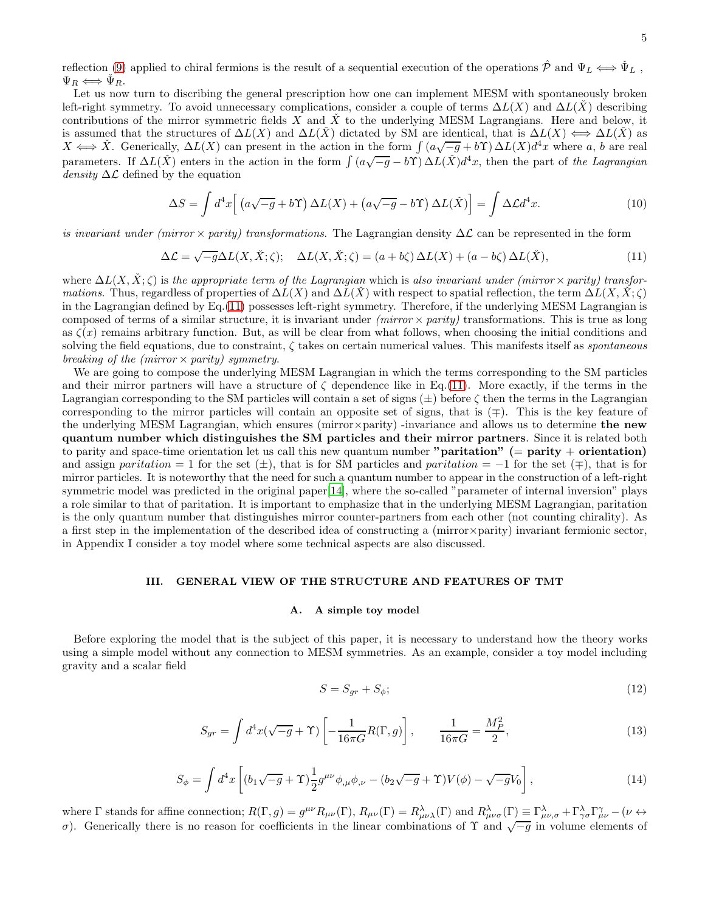reflection [\(9\)](#page-3-1) applied to chiral fermions is the result of a sequential execution of the operations  $\hat{\mathcal{P}}$  and  $\Psi_L \iff \check{\Psi}_L$ ,  $\Psi_R \Longleftrightarrow \Psi_R.$ 

Let us now turn to discribing the general prescription how one can implement MESM with spontaneously broken left-right symmetry. To avoid unnecessary complications, consider a couple of terms  $\Delta L(X)$  and  $\Delta L(X)$  describing contributions of the mirror symmetric fields X and  $\check{X}$  to the underlying MESM Lagrangians. Here and below, it is assumed that the structures of  $\Delta L(X)$  and  $\Delta L(X)$  dictated by SM are identical, that is  $\Delta L(X) \iff \Delta L(X)$  as  $X \iff X$ . Generically,  $\Delta L(X)$  can present in the action in the form  $\int (a\sqrt{-g} + b\Upsilon) \Delta L(X) d^4x$  where a, b are real parameters. If  $\Delta L(X)$  enters in the action in the form  $\int (a\sqrt{-g} - b\Upsilon) \Delta L(X)d^4x$ , then the part of the Lagrangian density  $\Delta \mathcal{L}$  defined by the equation

$$
\Delta S = \int d^4x \left[ \left( a\sqrt{-g} + b\Upsilon \right) \Delta L(X) + \left( a\sqrt{-g} - b\Upsilon \right) \Delta L(\check{X}) \right] = \int \Delta \mathcal{L} d^4x. \tag{10}
$$

is invariant under (mirror  $\times$  parity) transformations. The Lagrangian density  $\Delta\mathcal{L}$  can be represented in the form

<span id="page-4-0"></span>
$$
\Delta \mathcal{L} = \sqrt{-g} \Delta L(X, \check{X}; \zeta); \quad \Delta L(X, \check{X}; \zeta) = (a + b\zeta) \Delta L(X) + (a - b\zeta) \Delta L(\check{X}), \tag{11}
$$

where  $\Delta L(X, \check{X}; \zeta)$  is the appropriate term of the Lagrangian which is also invariant under (mirror × parity) transfor*mations.* Thus, regardless of properties of  $\Delta L(X)$  and  $\Delta L(X)$  with respect to spatial reflection, the term  $\Delta L(X, X; \zeta)$ in the Lagrangian defined by Eq.[\(11\)](#page-4-0) possesses left-right symmetry. Therefore, if the underlying MESM Lagrangian is composed of terms of a similar structure, it is invariant under  $(mirror \times parity)$  transformations. This is true as long as  $\zeta(x)$  remains arbitrary function. But, as will be clear from what follows, when choosing the initial conditions and solving the field equations, due to constraint,  $\zeta$  takes on certain numerical values. This manifests itself as *spontaneous* breaking of the (mirror  $\times$  parity) symmetry.

We are going to compose the underlying MESM Lagrangian in which the terms corresponding to the SM particles and their mirror partners will have a structure of  $\zeta$  dependence like in Eq.[\(11\)](#page-4-0). More exactly, if the terms in the Lagrangian corresponding to the SM particles will contain a set of signs  $(\pm)$  before  $\zeta$  then the terms in the Lagrangian corresponding to the mirror particles will contain an opposite set of signs, that is (∓). This is the key feature of the underlying MESM Lagrangian, which ensures (mirror×parity) -invariance and allows us to determine the new quantum number which distinguishes the SM particles and their mirror partners. Since it is related both to parity and space-time orientation let us call this new quantum number "**paritation**" (= **parity** + **orientation**) and assign paritation = 1 for the set  $(\pm)$ , that is for SM particles and paritation = -1 for the set  $(\mp)$ , that is for mirror particles. It is noteworthy that the need for such a quantum number to appear in the construction of a left-right symmetric model was predicted in the original paper[\[14](#page-42-0)], where the so-called "parameter of internal inversion" plays a role similar to that of paritation. It is important to emphasize that in the underlying MESM Lagrangian, paritation is the only quantum number that distinguishes mirror counter-partners from each other (not counting chirality). As a first step in the implementation of the described idea of constructing a (mirror×parity) invariant fermionic sector, in Appendix I consider a toy model where some technical aspects are also discussed.

# III. GENERAL VIEW OF THE STRUCTURE AND FEATURES OF TMT

#### A. A simple toy model

Before exploring the model that is the subject of this paper, it is necessary to understand how the theory works using a simple model without any connection to MESM symmetries. As an example, consider a toy model including gravity and a scalar field

<span id="page-4-2"></span>
$$
S = S_{gr} + S_{\phi};\tag{12}
$$

<span id="page-4-1"></span>
$$
S_{gr} = \int d^4x (\sqrt{-g} + \Upsilon) \left[ -\frac{1}{16\pi G} R(\Gamma, g) \right], \qquad \frac{1}{16\pi G} = \frac{M_P^2}{2}, \tag{13}
$$

<span id="page-4-3"></span>
$$
S_{\phi} = \int d^4x \left[ (b_1 \sqrt{-g} + \Upsilon) \frac{1}{2} g^{\mu \nu} \phi_{,\mu} \phi_{,\nu} - (b_2 \sqrt{-g} + \Upsilon) V(\phi) - \sqrt{-g} V_0 \right],
$$
 (14)

where  $\Gamma$  stands for affine connection;  $R(\Gamma, g) = g^{\mu\nu} R_{\mu\nu}(\Gamma), R_{\mu\nu}(\Gamma) = R^{\lambda}_{\mu\nu\lambda}(\Gamma)$  and  $R^{\lambda}_{\mu\nu\sigma}(\Gamma) \equiv \Gamma^{\lambda}_{\mu\nu,\sigma} + \Gamma^{\lambda}_{\gamma\sigma} \Gamma^{\gamma}_{\mu\nu} - (\nu \leftrightarrow \nu)$  $\sigma$ ). Generically there is no reason for coefficients in the linear combinations of  $\Upsilon$  and  $\sqrt{-g}$  in volume elements of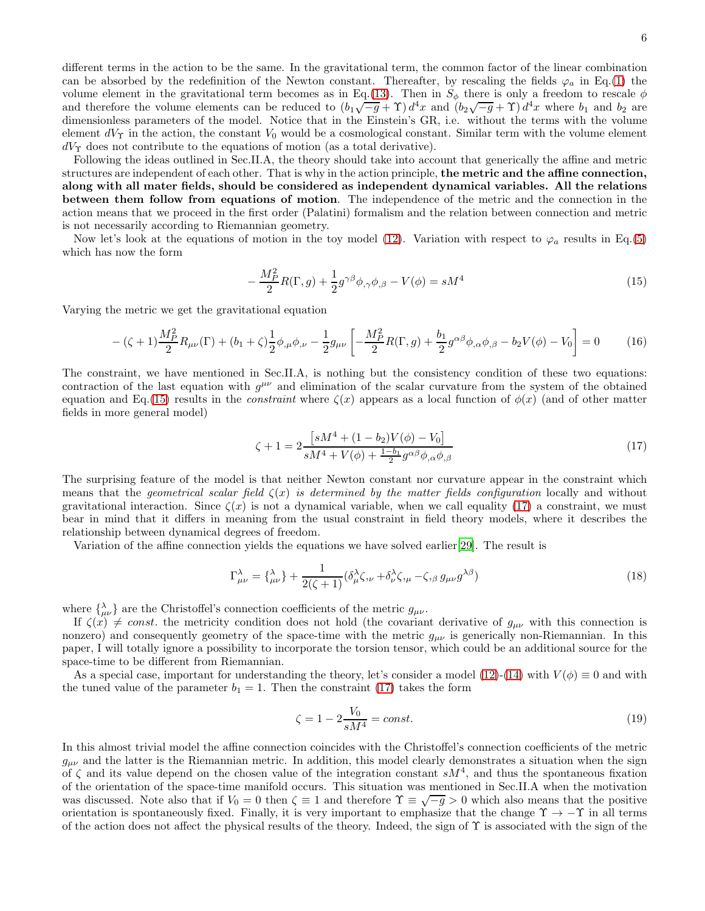Following the ideas outlined in Sec.II.A, the theory should take into account that generically the affine and metric structures are independent of each other. That is why in the action principle, the metric and the affine connection, along with all mater fields, should be considered as independent dynamical variables. All the relations between them follow from equations of motion. The independence of the metric and the connection in the action means that we proceed in the first order (Palatini) formalism and the relation between connection and metric is not necessarily according to Riemannian geometry.

Now let's look at the equations of motion in the toy model [\(12\)](#page-4-2). Variation with respect to  $\varphi_a$  results in Eq.[\(5\)](#page-2-0) which has now the form

<span id="page-5-0"></span>
$$
-\frac{M_P^2}{2}R(\Gamma,g) + \frac{1}{2}g^{\gamma\beta}\phi_{,\gamma}\phi_{,\beta} - V(\phi) = sM^4
$$
\n(15)

Varying the metric we get the gravitational equation

<span id="page-5-2"></span>
$$
- (\zeta + 1) \frac{M_P^2}{2} R_{\mu\nu}(\Gamma) + (b_1 + \zeta) \frac{1}{2} \phi_{,\mu} \phi_{,\nu} - \frac{1}{2} g_{\mu\nu} \left[ -\frac{M_P^2}{2} R(\Gamma, g) + \frac{b_1}{2} g^{\alpha\beta} \phi_{,\alpha} \phi_{,\beta} - b_2 V(\phi) - V_0 \right] = 0 \tag{16}
$$

The constraint, we have mentioned in Sec.II.A, is nothing but the consistency condition of these two equations: contraction of the last equation with  $g^{\mu\nu}$  and elimination of the scalar curvature from the system of the obtained equation and Eq.[\(15\)](#page-5-0) results in the *constraint* where  $\zeta(x)$  appears as a local function of  $\phi(x)$  (and of other matter fields in more general model)

<span id="page-5-1"></span>
$$
\zeta + 1 = 2 \frac{\left[ sM^4 + (1 - b_2)V(\phi) - V_0 \right]}{sM^4 + V(\phi) + \frac{1 - b_1}{2}g^{\alpha\beta}\phi_{,\alpha}\phi_{,\beta}}
$$
\n(17)

The surprising feature of the model is that neither Newton constant nor curvature appear in the constraint which means that the geometrical scalar field  $\zeta(x)$  is determined by the matter fields configuration locally and without gravitational interaction. Since  $\zeta(x)$  is not a dynamical variable, when we call equality [\(17\)](#page-5-1) a constraint, we must bear in mind that it differs in meaning from the usual constraint in field theory models, where it describes the relationship between dynamical degrees of freedom.

Variation of the affine connection yields the equations we have solved earlier[\[29\]](#page-42-5). The result is

<span id="page-5-3"></span>
$$
\Gamma^{\lambda}_{\mu\nu} = {\lambda \choose \mu\nu} + \frac{1}{2(\zeta + 1)} (\delta^{\lambda}_{\mu}\zeta,_{\nu} + \delta^{\lambda}_{\nu}\zeta,_{\mu} - \zeta,_{\beta} g_{\mu\nu}g^{\lambda\beta})
$$
\n(18)

where  $\{\lambda_{\mu\nu}\}\$ are the Christoffel's connection coefficients of the metric  $g_{\mu\nu}$ .

If  $\zeta(x) \neq const.$  the metricity condition does not hold (the covariant derivative of  $g_{\mu\nu}$  with this connection is nonzero) and consequently geometry of the space-time with the metric  $g_{\mu\nu}$  is generically non-Riemannian. In this paper, I will totally ignore a possibility to incorporate the torsion tensor, which could be an additional source for the space-time to be different from Riemannian.

As a special case, important for understanding the theory, let's consider a model [\(12\)](#page-4-2)-[\(14\)](#page-4-3) with  $V(\phi) \equiv 0$  and with the tuned value of the parameter  $b_1 = 1$ . Then the constraint [\(17\)](#page-5-1) takes the form

$$
\zeta = 1 - 2 \frac{V_0}{sM^4} = const.
$$
\n(19)

In this almost trivial model the affine connection coincides with the Christoffel's connection coefficients of the metric  $g_{\mu\nu}$  and the latter is the Riemannian metric. In addition, this model clearly demonstrates a situation when the sign of  $\zeta$  and its value depend on the chosen value of the integration constant  $sM^4$ , and thus the spontaneous fixation of the orientation of the space-time manifold occurs. This situation was mentioned in Sec.II.A when the motivation was discussed. Note also that if  $V_0 = 0$  then  $\zeta \equiv 1$  and therefore  $\Upsilon \equiv \sqrt{-g} > 0$  which also means that the positive orientation is spontaneously fixed. Finally, it is very important to emphasize that the change  $\Upsilon \to -\Upsilon$  in all terms of the action does not affect the physical results of the theory. Indeed, the sign of  $\Upsilon$  is associated with the sign of the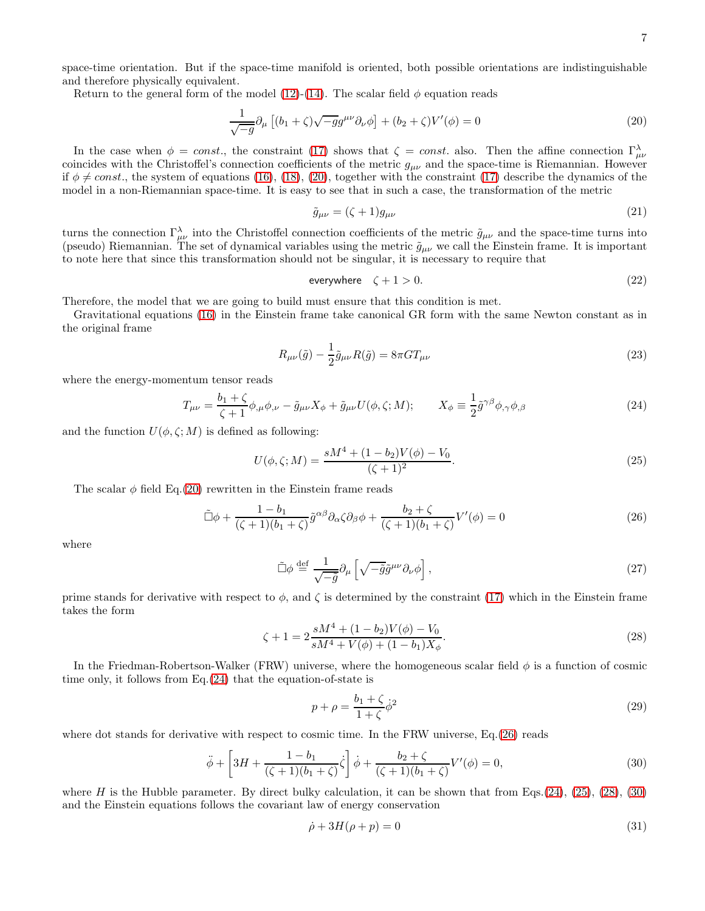space-time orientation. But if the space-time manifold is oriented, both possible orientations are indistinguishable and therefore physically equivalent.

Return to the general form of the model [\(12\)](#page-4-2)-[\(14\)](#page-4-3). The scalar field  $\phi$  equation reads

<span id="page-6-0"></span>
$$
\frac{1}{\sqrt{-g}}\partial_{\mu}\left[(b_1+\zeta)\sqrt{-g}g^{\mu\nu}\partial_{\nu}\phi\right] + (b_2+\zeta)V'(\phi) = 0\tag{20}
$$

In the case when  $\phi = const.$ , the constraint [\(17\)](#page-5-1) shows that  $\zeta = const.$  also. Then the affine connection  $\Gamma^{\lambda}_{\mu\nu}$ coincides with the Christoffel's connection coefficients of the metric  $g_{\mu\nu}$  and the space-time is Riemannian. However if  $\phi \neq const.$ , the system of equations [\(16\)](#page-5-2), [\(18\)](#page-5-3), [\(20\)](#page-6-0), together with the constraint [\(17\)](#page-5-1) describe the dynamics of the model in a non-Riemannian space-time. It is easy to see that in such a case, the transformation of the metric

<span id="page-6-6"></span>
$$
\tilde{g}_{\mu\nu} = (\zeta + 1)g_{\mu\nu} \tag{21}
$$

turns the connection  $\Gamma^{\lambda}_{\mu\nu}$  into the Christoffel connection coefficients of the metric  $\tilde{g}_{\mu\nu}$  and the space-time turns into (pseudo) Riemannian. The set of dynamical variables using the metric  $\tilde{g}_{\mu\nu}$  we call the Einstein frame. It is important to note here that since this transformation should not be singular, it is necessary to require that

<span id="page-6-8"></span>
$$
everywhere \quad \zeta + 1 > 0. \tag{22}
$$

Therefore, the model that we are going to build must ensure that this condition is met.

Gravitational equations [\(16\)](#page-5-2) in the Einstein frame take canonical GR form with the same Newton constant as in the original frame

<span id="page-6-7"></span>
$$
R_{\mu\nu}(\tilde{g}) - \frac{1}{2}\tilde{g}_{\mu\nu}R(\tilde{g}) = 8\pi GT_{\mu\nu}
$$
\n(23)

where the energy-momentum tensor reads

<span id="page-6-1"></span>
$$
T_{\mu\nu} = \frac{b_1 + \zeta}{\zeta + 1} \phi_{,\mu} \phi_{,\nu} - \tilde{g}_{\mu\nu} X_{\phi} + \tilde{g}_{\mu\nu} U(\phi, \zeta; M); \qquad X_{\phi} \equiv \frac{1}{2} \tilde{g}^{\gamma\beta} \phi_{,\gamma} \phi_{,\beta}
$$
(24)

and the function  $U(\phi, \zeta; M)$  is defined as following:

<span id="page-6-3"></span>
$$
U(\phi, \zeta; M) = \frac{sM^4 + (1 - b_2)V(\phi) - V_0}{(\zeta + 1)^2}.
$$
\n(25)

The scalar  $\phi$  field Eq.[\(20\)](#page-6-0) rewritten in the Einstein frame reads

<span id="page-6-2"></span>
$$
\tilde{\Box}\phi + \frac{1-b_1}{(\zeta+1)(b_1+\zeta)}\tilde{g}^{\alpha\beta}\partial_{\alpha}\zeta\partial_{\beta}\phi + \frac{b_2+\zeta}{(\zeta+1)(b_1+\zeta)}V'(\phi) = 0
$$
\n(26)

where

$$
\tilde{\Box}\phi \stackrel{\text{def}}{=} \frac{1}{\sqrt{-\tilde{g}}}\partial_{\mu}\left[\sqrt{-\tilde{g}}\tilde{g}^{\mu\nu}\partial_{\nu}\phi\right],\tag{27}
$$

prime stands for derivative with respect to  $\phi$ , and  $\zeta$  is determined by the constraint [\(17\)](#page-5-1) which in the Einstein frame takes the form

<span id="page-6-4"></span>
$$
\zeta + 1 = 2 \frac{sM^4 + (1 - b_2)V(\phi) - V_0}{sM^4 + V(\phi) + (1 - b_1)X_\phi}.
$$
\n(28)

In the Friedman-Robertson-Walker (FRW) universe, where the homogeneous scalar field  $\phi$  is a function of cosmic time only, it follows from Eq.[\(24\)](#page-6-1) that the equation-of-state is

$$
p + \rho = \frac{b_1 + \zeta}{1 + \zeta} \dot{\phi}^2 \tag{29}
$$

where dot stands for derivative with respect to cosmic time. In the FRW universe, Eq.[\(26\)](#page-6-2) reads

<span id="page-6-5"></span>
$$
\ddot{\phi} + \left[3H + \frac{1 - b_1}{(\zeta + 1)(b_1 + \zeta)}\dot{\zeta}\right]\dot{\phi} + \frac{b_2 + \zeta}{(\zeta + 1)(b_1 + \zeta)}V'(\phi) = 0,
$$
\n(30)

where H is the Hubble parameter. By direct bulky calculation, it can be shown that from Eqs.[\(24\)](#page-6-1), [\(25\)](#page-6-3), [\(28\)](#page-6-4), [\(30\)](#page-6-5) and the Einstein equations follows the covariant law of energy conservation

$$
\dot{\rho} + 3H(\rho + p) = 0\tag{31}
$$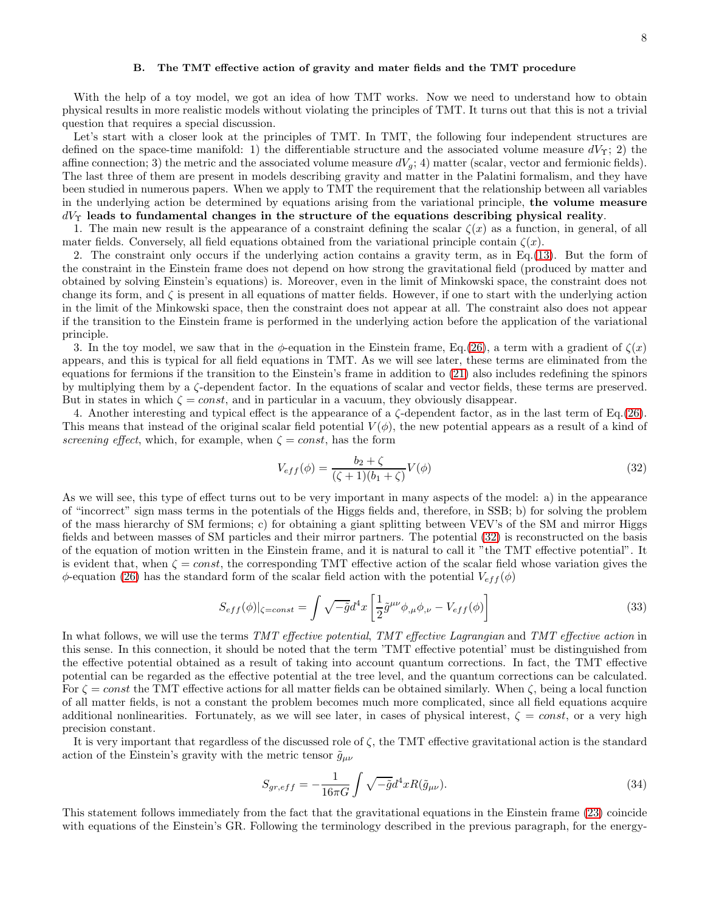### B. The TMT effective action of gravity and mater fields and the TMT procedure

With the help of a toy model, we got an idea of how TMT works. Now we need to understand how to obtain physical results in more realistic models without violating the principles of TMT. It turns out that this is not a trivial question that requires a special discussion.

Let's start with a closer look at the principles of TMT. In TMT, the following four independent structures are defined on the space-time manifold: 1) the differentiable structure and the associated volume measure  $dV_\Upsilon$ ; 2) the affine connection; 3) the metric and the associated volume measure  $dV_g$ ; 4) matter (scalar, vector and fermionic fields). The last three of them are present in models describing gravity and matter in the Palatini formalism, and they have been studied in numerous papers. When we apply to TMT the requirement that the relationship between all variables in the underlying action be determined by equations arising from the variational principle, the volume measure  $dV_{\Upsilon}$  leads to fundamental changes in the structure of the equations describing physical reality.

1. The main new result is the appearance of a constraint defining the scalar  $\zeta(x)$  as a function, in general, of all mater fields. Conversely, all field equations obtained from the variational principle contain  $\zeta(x)$ .

2. The constraint only occurs if the underlying action contains a gravity term, as in Eq.[\(13\)](#page-4-1). But the form of the constraint in the Einstein frame does not depend on how strong the gravitational field (produced by matter and obtained by solving Einstein's equations) is. Moreover, even in the limit of Minkowski space, the constraint does not change its form, and  $\zeta$  is present in all equations of matter fields. However, if one to start with the underlying action in the limit of the Minkowski space, then the constraint does not appear at all. The constraint also does not appear if the transition to the Einstein frame is performed in the underlying action before the application of the variational principle.

3. In the toy model, we saw that in the  $\phi$ -equation in the Einstein frame, Eq.[\(26\)](#page-6-2), a term with a gradient of  $\zeta(x)$ appears, and this is typical for all field equations in TMT. As we will see later, these terms are eliminated from the equations for fermions if the transition to the Einstein's frame in addition to [\(21\)](#page-6-6) also includes redefining the spinors by multiplying them by a ζ-dependent factor. In the equations of scalar and vector fields, these terms are preserved. But in states in which  $\zeta = const$ , and in particular in a vacuum, they obviously disappear.

4. Another interesting and typical effect is the appearance of a ζ-dependent factor, as in the last term of Eq.[\(26\)](#page-6-2). This means that instead of the original scalar field potential  $V(\phi)$ , the new potential appears as a result of a kind of screening effect, which, for example, when  $\zeta = const$ , has the form

<span id="page-7-0"></span>
$$
V_{eff}(\phi) = \frac{b_2 + \zeta}{(\zeta + 1)(b_1 + \zeta)} V(\phi)
$$
\n(32)

As we will see, this type of effect turns out to be very important in many aspects of the model: a) in the appearance of "incorrect" sign mass terms in the potentials of the Higgs fields and, therefore, in SSB; b) for solving the problem of the mass hierarchy of SM fermions; c) for obtaining a giant splitting between VEV's of the SM and mirror Higgs fields and between masses of SM particles and their mirror partners. The potential [\(32\)](#page-7-0) is reconstructed on the basis of the equation of motion written in the Einstein frame, and it is natural to call it "the TMT effective potential". It is evident that, when  $\zeta = const$ , the corresponding TMT effective action of the scalar field whose variation gives the  $\phi$ -equation [\(26\)](#page-6-2) has the standard form of the scalar field action with the potential  $V_{eff}(\phi)$ 

$$
S_{eff}(\phi)|_{\zeta=const} = \int \sqrt{-\tilde{g}}d^4x \left[ \frac{1}{2}\tilde{g}^{\mu\nu}\phi_{,\mu}\phi_{,\nu} - V_{eff}(\phi) \right]
$$
(33)

In what follows, we will use the terms TMT effective potential, TMT effective Lagrangian and TMT effective action in this sense. In this connection, it should be noted that the term 'TMT effective potential' must be distinguished from the effective potential obtained as a result of taking into account quantum corrections. In fact, the TMT effective potential can be regarded as the effective potential at the tree level, and the quantum corrections can be calculated. For  $\zeta = const$  the TMT effective actions for all matter fields can be obtained similarly. When  $\zeta$ , being a local function of all matter fields, is not a constant the problem becomes much more complicated, since all field equations acquire additional nonlinearities. Fortunately, as we will see later, in cases of physical interest,  $\zeta = const$ , or a very high precision constant.

It is very important that regardless of the discussed role of  $\zeta$ , the TMT effective gravitational action is the standard action of the Einstein's gravity with the metric tensor  $\tilde{g}_{\mu\nu}$ 

$$
S_{gr,eff} = -\frac{1}{16\pi G} \int \sqrt{-\tilde{g}} d^4x R(\tilde{g}_{\mu\nu}). \tag{34}
$$

This statement follows immediately from the fact that the gravitational equations in the Einstein frame [\(23\)](#page-6-7) coincide with equations of the Einstein's GR. Following the terminology described in the previous paragraph, for the energy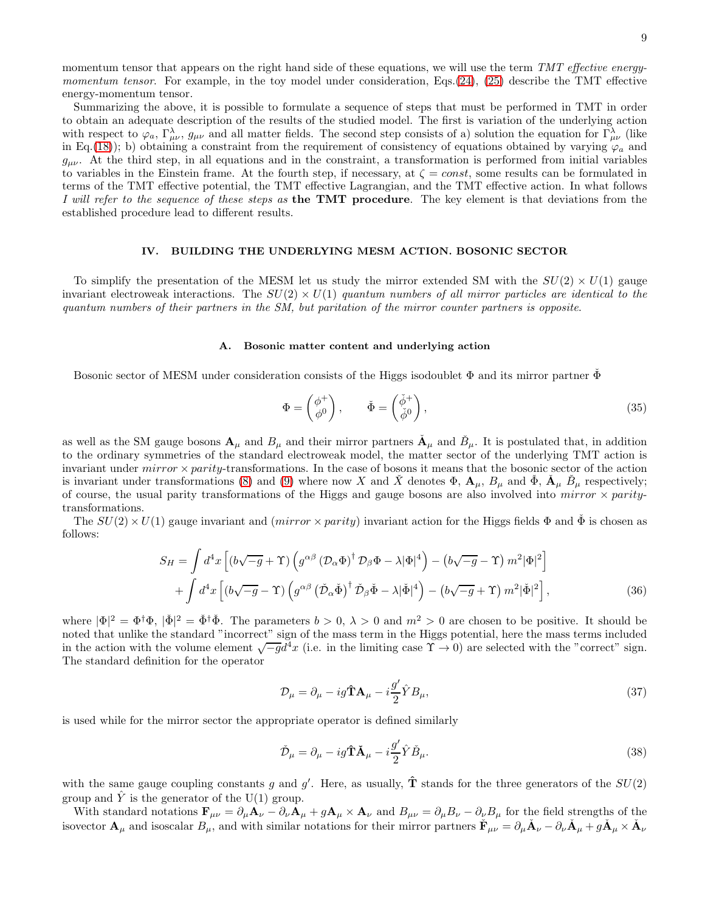momentum tensor that appears on the right hand side of these equations, we will use the term TMT effective energy-momentum tensor. For example, in the toy model under consideration, Eqs.[\(24\)](#page-6-1), [\(25\)](#page-6-3) describe the TMT effective energy-momentum tensor.

Summarizing the above, it is possible to formulate a sequence of steps that must be performed in TMT in order to obtain an adequate description of the results of the studied model. The first is variation of the underlying action with respect to  $\varphi_a$ ,  $\Gamma^{\lambda}_{\mu\nu}$ ,  $g_{\mu\nu}$  and all matter fields. The second step consists of a) solution the equation for  $\Gamma^{\lambda}_{\mu\nu}$  (like in Eq.[\(18\)](#page-5-3)); b) obtaining a constraint from the requirement of consistency of equations obtained by varying  $\varphi_a$  and  $g_{\mu\nu}$ . At the third step, in all equations and in the constraint, a transformation is performed from initial variables to variables in the Einstein frame. At the fourth step, if necessary, at  $\zeta = const$ , some results can be formulated in terms of the TMT effective potential, the TMT effective Lagrangian, and the TMT effective action. In what follows I will refer to the sequence of these steps as the TMT procedure. The key element is that deviations from the established procedure lead to different results.

## IV. BUILDING THE UNDERLYING MESM ACTION. BOSONIC SECTOR

To simplify the presentation of the MESM let us study the mirror extended SM with the  $SU(2) \times U(1)$  gauge invariant electroweak interactions. The  $SU(2) \times U(1)$  quantum numbers of all mirror particles are identical to the quantum numbers of their partners in the SM, but paritation of the mirror counter partners is opposite.

### A. Bosonic matter content and underlying action

Bosonic sector of MESM under consideration consists of the Higgs isodoublet  $\Phi$  and its mirror partner  $\Phi$ 

<span id="page-8-3"></span>
$$
\Phi = \begin{pmatrix} \phi^+ \\ \phi^0 \end{pmatrix}, \qquad \check{\Phi} = \begin{pmatrix} \check{\phi}^+ \\ \check{\phi}^0 \end{pmatrix}, \tag{35}
$$

as well as the SM gauge bosons  $\mathbf{A}_{\mu}$  and  $B_{\mu}$  and their mirror partners  $\check{\mathbf{A}}_{\mu}$  and  $\check{B}_{\mu}$ . It is postulated that, in addition to the ordinary symmetries of the standard electroweak model, the matter sector of the underlying TMT action is invariant under  $mirror \times parity$ -transformations. In the case of bosons it means that the bosonic sector of the action is invariant under transformations [\(8\)](#page-3-0) and [\(9\)](#page-3-1) where now X and  $\check{X}$  denotes  $\Phi$ ,  $\mathbf{A}_{\mu}$ ,  $B_{\mu}$  and  $\check{\Phi}$ ,  $\check{\mathbf{A}}_{\mu}$   $\check{B}_{\mu}$  respectively; of course, the usual parity transformations of the Higgs and gauge bosons are also involved into mirror  $\times$  paritytransformations.

The  $SU(2) \times U(1)$  gauge invariant and (mirror  $\times$  parity) invariant action for the Higgs fields  $\Phi$  and  $\tilde{\Phi}$  is chosen as follows:

<span id="page-8-0"></span>
$$
S_H = \int d^4x \left[ \left( b\sqrt{-g} + \Upsilon \right) \left( g^{\alpha\beta} \left( \mathcal{D}_\alpha \Phi \right)^\dagger \mathcal{D}_\beta \Phi - \lambda |\Phi|^4 \right) - \left( b\sqrt{-g} - \Upsilon \right) m^2 |\Phi|^2 \right] + \int d^4x \left[ \left( b\sqrt{-g} - \Upsilon \right) \left( g^{\alpha\beta} \left( \check{\mathcal{D}}_\alpha \check{\Phi} \right)^\dagger \check{\mathcal{D}}_\beta \check{\Phi} - \lambda |\check{\Phi}|^4 \right) - \left( b\sqrt{-g} + \Upsilon \right) m^2 |\check{\Phi}|^2 \right],
$$
(36)

where  $|\Phi|^2 = \Phi^{\dagger} \Phi$ ,  $|\check{\Phi}|^2 = \check{\Phi}^{\dagger} \check{\Phi}$ . The parameters  $b > 0$ ,  $\lambda > 0$  and  $m^2 > 0$  are chosen to be positive. It should be noted that unlike the standard "incorrect" sign of the mass term in the Higgs potential, here the mass terms included in the action with the volume element  $\sqrt{-g}d^4x$  (i.e. in the limiting case  $\gamma \to 0$ ) are selected with the "correct" sign. The standard definition for the operator

<span id="page-8-2"></span>
$$
\mathcal{D}_{\mu} = \partial_{\mu} - ig\hat{\mathbf{T}}\mathbf{A}_{\mu} - i\frac{g'}{2}\hat{Y}B_{\mu},\tag{37}
$$

is used while for the mirror sector the appropriate operator is defined similarly

<span id="page-8-1"></span>
$$
\check{\mathcal{D}}_{\mu} = \partial_{\mu} - ig\hat{\mathbf{T}}\check{\mathbf{A}}_{\mu} - i\frac{g'}{2}\hat{Y}\check{B}_{\mu}.
$$
\n(38)

with the same gauge coupling constants g and g'. Here, as usually,  $\hat{\mathbf{T}}$  stands for the three generators of the  $SU(2)$ group and  $\hat{Y}$  is the generator of the U(1) group.

With standard notations  $\mathbf{F}_{\mu\nu} = \partial_{\mu} \mathbf{A}_{\nu} - \partial_{\nu} \mathbf{A}_{\mu} + g \mathbf{A}_{\mu} \times \mathbf{A}_{\nu}$  and  $B_{\mu\nu} = \partial_{\mu} B_{\nu} - \partial_{\nu} B_{\mu}$  for the field strengths of the isovector  $\mathbf{A}_{\mu}$  and isoscalar  $B_{\mu}$ , and with similar notations for their mirror partners  $\check{\mathbf{F}}_{\mu\nu} = \partial_{\mu}\check{\mathbf{A}}_{\nu} - \partial_{\nu}\check{\mathbf{A}}_{\mu} + g\check{\mathbf{A}}_{\mu} \times \check{\mathbf{A}}_{\nu}$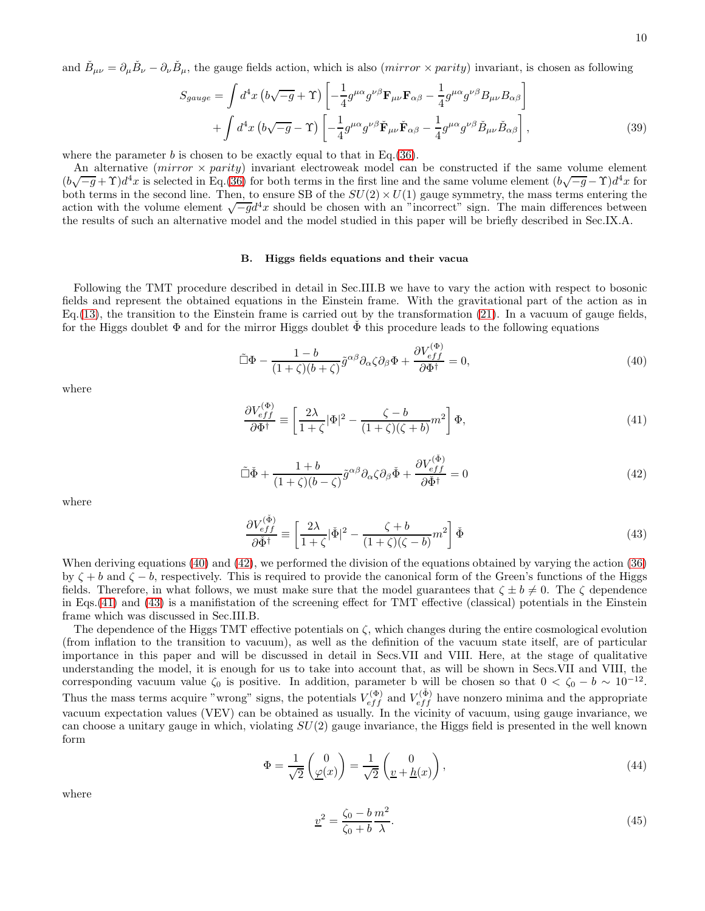and  $\check{B}_{\mu\nu} = \partial_{\mu}\check{B}_{\nu} - \partial_{\nu}\check{B}_{\mu}$ , the gauge fields action, which is also  $(mirror \times parity)$  invariant, is chosen as following

<span id="page-9-4"></span>
$$
S_{gauge} = \int d^4x \left( b\sqrt{-g} + \Upsilon \right) \left[ -\frac{1}{4} g^{\mu\alpha} g^{\nu\beta} \mathbf{F}_{\mu\nu} \mathbf{F}_{\alpha\beta} - \frac{1}{4} g^{\mu\alpha} g^{\nu\beta} B_{\mu\nu} B_{\alpha\beta} \right] + \int d^4x \left( b\sqrt{-g} - \Upsilon \right) \left[ -\frac{1}{4} g^{\mu\alpha} g^{\nu\beta} \check{\mathbf{F}}_{\mu\nu} \check{\mathbf{F}}_{\alpha\beta} - \frac{1}{4} g^{\mu\alpha} g^{\nu\beta} \check{B}_{\mu\nu} \check{B}_{\alpha\beta} \right],
$$
(39)

where the parameter b is chosen to be exactly equal to that in Eq.  $(36)$ .

An alternative (*mirror*  $\times$  *parity*) invariant electroweak model can be constructed if the same volume element  $(b\sqrt{-g} + \Upsilon)d^4x$  is selected in Eq.[\(36\)](#page-8-0) for both terms in the first line and the same volume element  $(b\sqrt{-g} - \Upsilon)d^4x$  for both terms in the second line. Then, to ensure SB of the  $SU(2) \times U(1)$  gauge symmetry, the mass terms entering the action with the volume element  $\sqrt{-g}d^4x$  should be chosen with an "incorrect" sign. The main differences between the results of such an alternative model and the model studied in this paper will be briefly described in Sec.IX.A.

# B. Higgs fields equations and their vacua

Following the TMT procedure described in detail in Sec.III.B we have to vary the action with respect to bosonic fields and represent the obtained equations in the Einstein frame. With the gravitational part of the action as in Eq.[\(13\)](#page-4-1), the transition to the Einstein frame is carried out by the transformation [\(21\)](#page-6-6). In a vacuum of gauge fields, for the Higgs doublet  $\Phi$  and for the mirror Higgs doublet  $\dot{\Phi}$  this procedure leads to the following equations

<span id="page-9-0"></span>
$$
\tilde{\Box}\Phi - \frac{1-b}{(1+\zeta)(b+\zeta)}\tilde{g}^{\alpha\beta}\partial_{\alpha}\zeta\partial_{\beta}\Phi + \frac{\partial V_{eff}^{(\Phi)}}{\partial \Phi^{\dagger}} = 0,
$$
\n(40)

where

<span id="page-9-2"></span>
$$
\frac{\partial V_{eff}^{(\Phi)}}{\partial \Phi^{\dagger}} \equiv \left[ \frac{2\lambda}{1+\zeta} |\Phi|^2 - \frac{\zeta - b}{(1+\zeta)(\zeta + b)} m^2 \right] \Phi,\tag{41}
$$

<span id="page-9-1"></span>
$$
\tilde{\Box}\check{\Phi} + \frac{1+b}{(1+\zeta)(b-\zeta)}\tilde{g}^{\alpha\beta}\partial_{\alpha}\zeta\partial_{\beta}\check{\Phi} + \frac{\partial V_{eff}^{(\check{\Phi})}}{\partial\check{\Phi}^{\dagger}} = 0
$$
\n(42)

where

<span id="page-9-3"></span>
$$
\frac{\partial V_{eff}^{(\check{\Phi})}}{\partial \check{\Phi}^{\dagger}} \equiv \left[ \frac{2\lambda}{1+\zeta} |\check{\Phi}|^2 - \frac{\zeta + b}{(1+\zeta)(\zeta - b)} m^2 \right] \check{\Phi}
$$
(43)

When deriving equations [\(40\)](#page-9-0) and [\(42\)](#page-9-1), we performed the division of the equations obtained by varying the action [\(36\)](#page-8-0) by  $\zeta + b$  and  $\zeta - b$ , respectively. This is required to provide the canonical form of the Green's functions of the Higgs fields. Therefore, in what follows, we must make sure that the model guarantees that  $\zeta \pm b \neq 0$ . The  $\zeta$  dependence in Eqs.[\(41\)](#page-9-2) and [\(43\)](#page-9-3) is a manifistation of the screening effect for TMT effective (classical) potentials in the Einstein frame which was discussed in Sec.III.B.

The dependence of the Higgs TMT effective potentials on  $\zeta$ , which changes during the entire cosmological evolution (from inflation to the transition to vacuum), as well as the definition of the vacuum state itself, are of particular importance in this paper and will be discussed in detail in Secs.VII and VIII. Here, at the stage of qualitative understanding the model, it is enough for us to take into account that, as will be shown in Secs.VII and VIII, the corresponding vacuum value  $\zeta_0$  is positive. In addition, parameter b will be chosen so that  $0 < \zeta_0 - b \sim 10^{-12}$ . Thus the mass terms acquire "wrong" signs, the potentials  $V_{eff}^{(\Phi)}$  and  $V_{eff}^{(\Phi)}$  have nonzero minima and the appropriate vacuum expectation values (VEV) can be obtained as usually. In the vicinity of vacuum, using gauge invariance, we can choose a unitary gauge in which, violating  $SU(2)$  gauge invariance, the Higgs field is presented in the well known form

$$
\Phi = \frac{1}{\sqrt{2}} \begin{pmatrix} 0 \\ \underline{\varphi}(x) \end{pmatrix} = \frac{1}{\sqrt{2}} \begin{pmatrix} 0 \\ \underline{v} + \underline{h}(x) \end{pmatrix},\tag{44}
$$

where

<span id="page-9-5"></span>
$$
\underline{v}^2 = \frac{\zeta_0 - b}{\zeta_0 + b} \frac{m^2}{\lambda}.\tag{45}
$$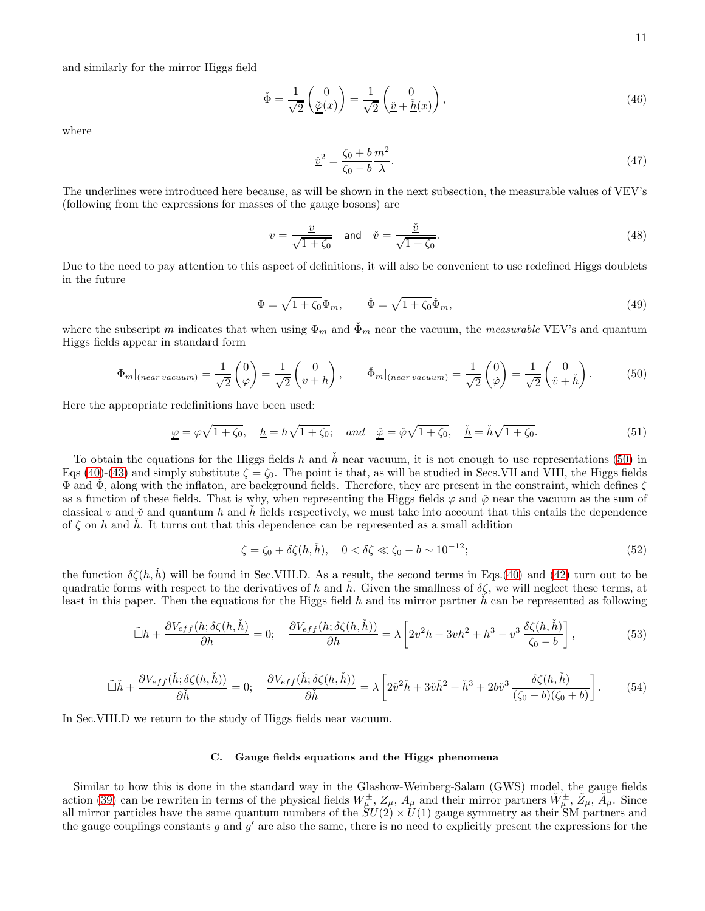and similarly for the mirror Higgs field

$$
\check{\Phi} = \frac{1}{\sqrt{2}} \begin{pmatrix} 0 \\ \underline{\check{\varphi}}(x) \end{pmatrix} = \frac{1}{\sqrt{2}} \begin{pmatrix} 0 \\ \underline{\check{v}} + \underline{\check{h}}(x) \end{pmatrix},\tag{46}
$$

where

<span id="page-10-1"></span>
$$
\underline{\tilde{v}}^2 = \frac{\zeta_0 + b}{\zeta_0 - b} \frac{m^2}{\lambda}.\tag{47}
$$

The underlines were introduced here because, as will be shown in the next subsection, the measurable values of VEV's (following from the expressions for masses of the gauge bosons) are

<span id="page-10-2"></span>
$$
v = \frac{\underline{v}}{\sqrt{1 + \zeta_0}} \quad \text{and} \quad \check{v} = \frac{\underline{\check{v}}}{\sqrt{1 + \zeta_0}}.\tag{48}
$$

Due to the need to pay attention to this aspect of definitions, it will also be convenient to use redefined Higgs doublets in the future

<span id="page-10-6"></span>
$$
\Phi = \sqrt{1 + \zeta_0} \Phi_m, \qquad \check{\Phi} = \sqrt{1 + \zeta_0} \check{\Phi}_m,
$$
\n(49)

where the subscript m indicates that when using  $\Phi_m$  and  $\Phi_m$  near the vacuum, the measurable VEV's and quantum Higgs fields appear in standard form

<span id="page-10-0"></span>
$$
\Phi_m|_{(near\, vacuum)} = \frac{1}{\sqrt{2}} \begin{pmatrix} 0 \\ \varphi \end{pmatrix} = \frac{1}{\sqrt{2}} \begin{pmatrix} 0 \\ v + h \end{pmatrix}, \qquad \check{\Phi}_m|_{(near\, vacuum)} = \frac{1}{\sqrt{2}} \begin{pmatrix} 0 \\ \check{\varphi} \end{pmatrix} = \frac{1}{\sqrt{2}} \begin{pmatrix} 0 \\ \check{v} + \check{h} \end{pmatrix}.
$$
 (50)

Here the appropriate redefinitions have been used:

<span id="page-10-5"></span>
$$
\underline{\varphi} = \varphi \sqrt{1 + \zeta_0}, \quad \underline{h} = h \sqrt{1 + \zeta_0}; \quad and \quad \underline{\check{\varphi}} = \check{\varphi} \sqrt{1 + \zeta_0}, \quad \underline{\check{h}} = \check{h} \sqrt{1 + \zeta_0}.
$$
 (51)

To obtain the equations for the Higgs fields h and  $\hbar$  near vacuum, it is not enough to use representations [\(50\)](#page-10-0) in Eqs [\(40\)](#page-9-0)-[\(43\)](#page-9-3) and simply substitute  $\zeta = \zeta_0$ . The point is that, as will be studied in Secs.VII and VIII, the Higgs fields  $\Phi$  and  $\tilde{\Phi}$ , along with the inflaton, are background fields. Therefore, they are present in the constraint, which defines  $\zeta$ as a function of these fields. That is why, when representing the Higgs fields  $\varphi$  and  $\check{\varphi}$  near the vacuum as the sum of classical v and  $\check{v}$  and quantum h and h fields respectively, we must take into account that this entails the dependence of  $\zeta$  on h and h. It turns out that this dependence can be represented as a small addition

<span id="page-10-7"></span>
$$
\zeta = \zeta_0 + \delta \zeta(h, \check{h}), \quad 0 < \delta \zeta \ll \zeta_0 - b \sim 10^{-12};\tag{52}
$$

the function  $\delta\zeta(h,\dot{h})$  will be found in Sec.VIII.D. As a result, the second terms in Eqs.[\(40\)](#page-9-0) and [\(42\)](#page-9-1) turn out to be quadratic forms with respect to the derivatives of h and h. Given the smallness of  $\delta \zeta$ , we will neglect these terms, at least in this paper. Then the equations for the Higgs field h and its mirror partner h can be represented as following

<span id="page-10-3"></span>
$$
\tilde{\Box}h + \frac{\partial V_{eff}(h; \delta\zeta(h, \check{h})}{\partial h} = 0; \quad \frac{\partial V_{eff}(h; \delta\zeta(h, \check{h}))}{\partial h} = \lambda \left[2v^2h + 3vh^2 + h^3 - v^3\frac{\delta\zeta(h, \check{h})}{\zeta_0 - b}\right],\tag{53}
$$

<span id="page-10-4"></span>
$$
\tilde{\Box}\check{h} + \frac{\partial V_{eff}(\check{h};\delta\zeta(h,\check{h}))}{\partial \check{h}} = 0; \quad \frac{\partial V_{eff}(\check{h};\delta\zeta(h,\check{h}))}{\partial \check{h}} = \lambda \left[2\check{v}^2\check{h} + 3\check{v}\check{h}^2 + \check{h}^3 + 2b\check{v}^3 \frac{\delta\zeta(h,\check{h})}{(\zeta_0 - b)(\zeta_0 + b)}\right].
$$
 (54)

In Sec.VIII.D we return to the study of Higgs fields near vacuum.

### C. Gauge fields equations and the Higgs phenomena

Similar to how this is done in the standard way in the Glashow-Weinberg-Salam (GWS) model, the gauge fields action [\(39\)](#page-9-4) can be rewriten in terms of the physical fields  $W^{\pm}_{\mu}$ ,  $Z_{\mu}$ ,  $A_{\mu}$  and their mirror partners  $\check{W}^{\pm}_{\mu}$ ,  $\check{Z}_{\mu}$ ,  $\check{A}_{\mu}$ . Since all mirror particles have the same quantum numbers of the  $SU(2) \times U(1)$  gauge symmetry as their SM partners and the gauge couplings constants g and  $g'$  are also the same, there is no need to explicitly present the expressions for the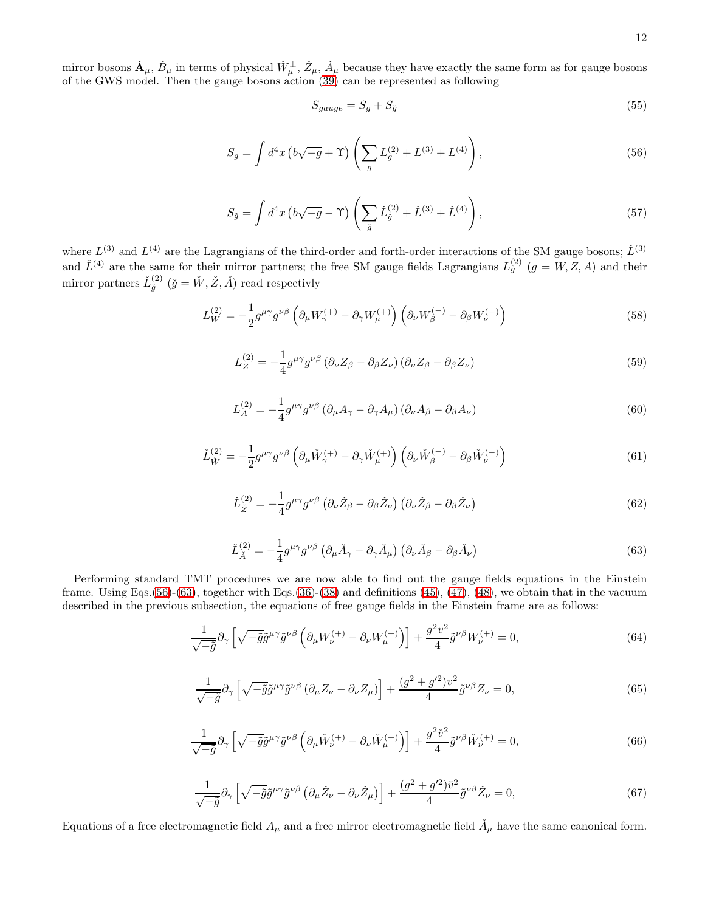mirror bosons  $\check{A}_{\mu}$ ,  $\check{B}_{\mu}$  in terms of physical  $\check{W}_{\mu}^{\pm}$ ,  $\check{Z}_{\mu}$ ,  $\check{A}_{\mu}$  because they have exactly the same form as for gauge bosons of the GWS model. Then the gauge bosons action [\(39\)](#page-9-4) can be represented as following

$$
S_{gauge} = S_g + S_{\check{g}} \tag{55}
$$

<span id="page-11-0"></span>
$$
S_g = \int d^4x \left( b\sqrt{-g} + \Upsilon \right) \left( \sum_g L_g^{(2)} + L^{(3)} + L^{(4)} \right), \tag{56}
$$

$$
S_{\check{g}} = \int d^4x \left( b\sqrt{-g} - \Upsilon \right) \left( \sum_{\check{g}} \check{L}_{\check{g}}^{(2)} + \check{L}^{(3)} + \check{L}^{(4)} \right), \tag{57}
$$

where  $L^{(3)}$  and  $L^{(4)}$  are the Lagrangians of the third-order and forth-order interactions of the SM gauge bosons;  $\check{L}^{(3)}$ and  $\check{L}^{(4)}$  are the same for their mirror partners; the free SM gauge fields Lagrangians  $L_g^{(2)}$   $(g = W, Z, A)$  and their mirror partners  $\check{L}_{\check{g}}^{(2)}$   $(\check{g} = \check{W}, \check{Z}, \check{A})$  read respectivly

$$
L_W^{(2)} = -\frac{1}{2} g^{\mu \gamma} g^{\nu \beta} \left( \partial_\mu W_\gamma^{(+)} - \partial_\gamma W_\mu^{(+)} \right) \left( \partial_\nu W_\beta^{(-)} - \partial_\beta W_\nu^{(-)} \right) \tag{58}
$$

$$
L_Z^{(2)} = -\frac{1}{4} g^{\mu \gamma} g^{\nu \beta} \left( \partial_\nu Z_\beta - \partial_\beta Z_\nu \right) \left( \partial_\nu Z_\beta - \partial_\beta Z_\nu \right) \tag{59}
$$

$$
L_A^{(2)} = -\frac{1}{4} g^{\mu \gamma} g^{\nu \beta} \left( \partial_\mu A_\gamma - \partial_\gamma A_\mu \right) \left( \partial_\nu A_\beta - \partial_\beta A_\nu \right) \tag{60}
$$

$$
\check{L}_{\check{W}}^{(2)} = -\frac{1}{2} g^{\mu \gamma} g^{\nu \beta} \left( \partial_{\mu} \check{W}_{\gamma}^{(+)} - \partial_{\gamma} \check{W}_{\mu}^{(+)} \right) \left( \partial_{\nu} \check{W}_{\beta}^{(-)} - \partial_{\beta} \check{W}_{\nu}^{(-)} \right)
$$
(61)

$$
\check{L}_{\check{Z}}^{(2)} = -\frac{1}{4} g^{\mu \gamma} g^{\nu \beta} \left( \partial_{\nu} \check{Z}_{\beta} - \partial_{\beta} \check{Z}_{\nu} \right) \left( \partial_{\nu} \check{Z}_{\beta} - \partial_{\beta} \check{Z}_{\nu} \right)
$$
(62)

<span id="page-11-1"></span>
$$
\check{L}_{\check{A}}^{(2)} = -\frac{1}{4} g^{\mu \gamma} g^{\nu \beta} \left( \partial_{\mu} \check{A}_{\gamma} - \partial_{\gamma} \check{A}_{\mu} \right) \left( \partial_{\nu} \check{A}_{\beta} - \partial_{\beta} \check{A}_{\nu} \right)
$$
(63)

Performing standard TMT procedures we are now able to find out the gauge fields equations in the Einstein frame. Using Eqs.[\(56\)](#page-11-0)-[\(63\)](#page-11-1), together with Eqs.[\(36\)](#page-8-0)-[\(38\)](#page-8-1) and definitions [\(45\)](#page-9-5), [\(47\)](#page-10-1), [\(48\)](#page-10-2), we obtain that in the vacuum described in the previous subsection, the equations of free gauge fields in the Einstein frame are as follows:

<span id="page-11-2"></span>
$$
\frac{1}{\sqrt{-\tilde{g}}}\partial_{\gamma}\left[\sqrt{-\tilde{g}}\tilde{g}^{\mu\gamma}\tilde{g}^{\nu\beta}\left(\partial_{\mu}W_{\nu}^{(+)}-\partial_{\nu}W_{\mu}^{(+)}\right)\right]+\frac{g^{2}v^{2}}{4}\tilde{g}^{\nu\beta}W_{\nu}^{(+)}=0,
$$
\n(64)

$$
\frac{1}{\sqrt{-\tilde{g}}}\partial_{\gamma}\left[\sqrt{-\tilde{g}}\tilde{g}^{\mu\gamma}\tilde{g}^{\nu\beta}\left(\partial_{\mu}Z_{\nu}-\partial_{\nu}Z_{\mu}\right)\right]+\frac{(g^2+g'^2)v^2}{4}\tilde{g}^{\nu\beta}Z_{\nu}=0,
$$
\n(65)

$$
\frac{1}{\sqrt{-\tilde{g}}}\partial_{\gamma}\left[\sqrt{-\tilde{g}}\tilde{g}^{\mu\gamma}\tilde{g}^{\nu\beta}\left(\partial_{\mu}\check{W}_{\nu}^{(+)}-\partial_{\nu}\check{W}_{\mu}^{(+)}\right)\right]+\frac{g^{2}\check{v}^{2}}{4}\tilde{g}^{\nu\beta}\check{W}_{\nu}^{(+)}=0,
$$
\n(66)

<span id="page-11-3"></span>
$$
\frac{1}{\sqrt{-\tilde{g}}}\partial_{\gamma}\left[\sqrt{-\tilde{g}}\tilde{g}^{\mu\gamma}\tilde{g}^{\nu\beta}\left(\partial_{\mu}\tilde{Z}_{\nu}-\partial_{\nu}\tilde{Z}_{\mu}\right)\right]+\frac{(g^{2}+g^{\prime 2})\tilde{v}^{2}}{4}\tilde{g}^{\nu\beta}\tilde{Z}_{\nu}=0,
$$
\n(67)

Equations of a free electromagnetic field  $A_\mu$  and a free mirror electromagnetic field  $\check{A}_\mu$  have the same canonical form.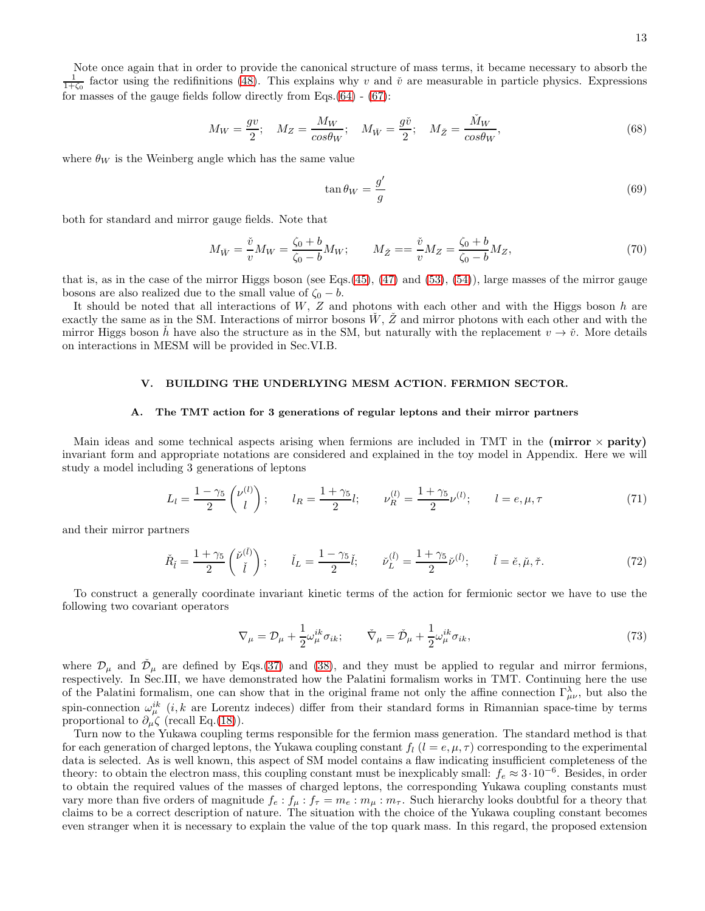$$
M_W = \frac{gv}{2}; \quad M_Z = \frac{M_W}{\cos \theta_W}; \quad M_{\check{W}} = \frac{g\check{v}}{2}; \quad M_{\check{Z}} = \frac{\check{M}_W}{\cos \theta_W},\tag{68}
$$

where  $\theta_W$  is the Weinberg angle which has the same value

$$
\tan \theta_W = \frac{g'}{g} \tag{69}
$$

both for standard and mirror gauge fields. Note that

<span id="page-12-0"></span>
$$
M_{\check{W}} = \frac{\check{v}}{v} M_W = \frac{\zeta_0 + b}{\zeta_0 - b} M_W; \qquad M_{\check{Z}} = \frac{\check{v}}{v} M_Z = \frac{\zeta_0 + b}{\zeta_0 - b} M_Z,\tag{70}
$$

that is, as in the case of the mirror Higgs boson (see Eqs.[\(45\)](#page-9-5), [\(47\)](#page-10-1) and [\(53\)](#page-10-3), [\(54\)](#page-10-4)), large masses of the mirror gauge bosons are also realized due to the small value of  $\zeta_0 - b$ .

It should be noted that all interactions of  $W$ ,  $Z$  and photons with each other and with the Higgs boson  $h$  are exactly the same as in the SM. Interactions of mirror bosons  $W$ ,  $Z$  and mirror photons with each other and with the mirror Higgs boson h have also the structure as in the SM, but naturally with the replacement  $v \to v$ . More details on interactions in MESM will be provided in Sec.VI.B.

#### V. BUILDING THE UNDERLYING MESM ACTION. FERMION SECTOR.

#### A. The TMT action for 3 generations of regular leptons and their mirror partners

Main ideas and some technical aspects arising when fermions are included in TMT in the (mirror  $\times$  parity) invariant form and appropriate notations are considered and explained in the toy model in Appendix. Here we will study a model including 3 generations of leptons

$$
L_l = \frac{1 - \gamma_5}{2} \begin{pmatrix} \nu^{(l)} \\ l \end{pmatrix}; \qquad l_R = \frac{1 + \gamma_5}{2} l; \qquad \nu_R^{(l)} = \frac{1 + \gamma_5}{2} \nu^{(l)}; \qquad l = e, \mu, \tau \tag{71}
$$

and their mirror partners

$$
\check{R}_{\check{l}} = \frac{1 + \gamma_5}{2} \begin{pmatrix} \check{\nu}^{(\check{l})} \\ \check{l} \end{pmatrix}; \qquad \check{l}_L = \frac{1 - \gamma_5}{2} \check{l}; \qquad \check{\nu}_L^{(\check{l})} = \frac{1 + \gamma_5}{2} \check{\nu}^{(\check{l})}; \qquad \check{l} = \check{e}, \check{\mu}, \check{\tau}.
$$
\n(72)

To construct a generally coordinate invariant kinetic terms of the action for fermionic sector we have to use the following two covariant operators

$$
\nabla_{\mu} = \mathcal{D}_{\mu} + \frac{1}{2} \omega_{\mu}^{ik} \sigma_{ik}; \qquad \check{\nabla}_{\mu} = \check{\mathcal{D}}_{\mu} + \frac{1}{2} \omega_{\mu}^{ik} \sigma_{ik}, \qquad (73)
$$

where  $\mathcal{D}_{\mu}$  and  $\mathcal{D}_{\mu}$  are defined by Eqs.[\(37\)](#page-8-2) and [\(38\)](#page-8-1), and they must be applied to regular and mirror fermions, respectively. In Sec.III, we have demonstrated how the Palatini formalism works in TMT. Continuing here the use of the Palatini formalism, one can show that in the original frame not only the affine connection  $\Gamma_{\mu\nu}^{\lambda}$ , but also the spin-connection  $\omega_{\mu}^{ik}$  (*i*, *k* are Lorentz indeces) differ from their standard forms in Rimannian space-time by terms proportional to  $\partial_{\mu}\zeta$  (recall Eq.[\(18\)](#page-5-3)).

Turn now to the Yukawa coupling terms responsible for the fermion mass generation. The standard method is that for each generation of charged leptons, the Yukawa coupling constant  $f_l$  ( $l = e, \mu, \tau$ ) corresponding to the experimental data is selected. As is well known, this aspect of SM model contains a flaw indicating insufficient completeness of the theory: to obtain the electron mass, this coupling constant must be inexplicably small:  $f_e \approx 3 \cdot 10^{-6}$ . Besides, in order to obtain the required values of the masses of charged leptons, the corresponding Yukawa coupling constants must vary more than five orders of magnitude  $f_e : f_\mu : f_\tau = m_e : m_\mu : m_\tau$ . Such hierarchy looks doubtful for a theory that claims to be a correct description of nature. The situation with the choice of the Yukawa coupling constant becomes even stranger when it is necessary to explain the value of the top quark mass. In this regard, the proposed extension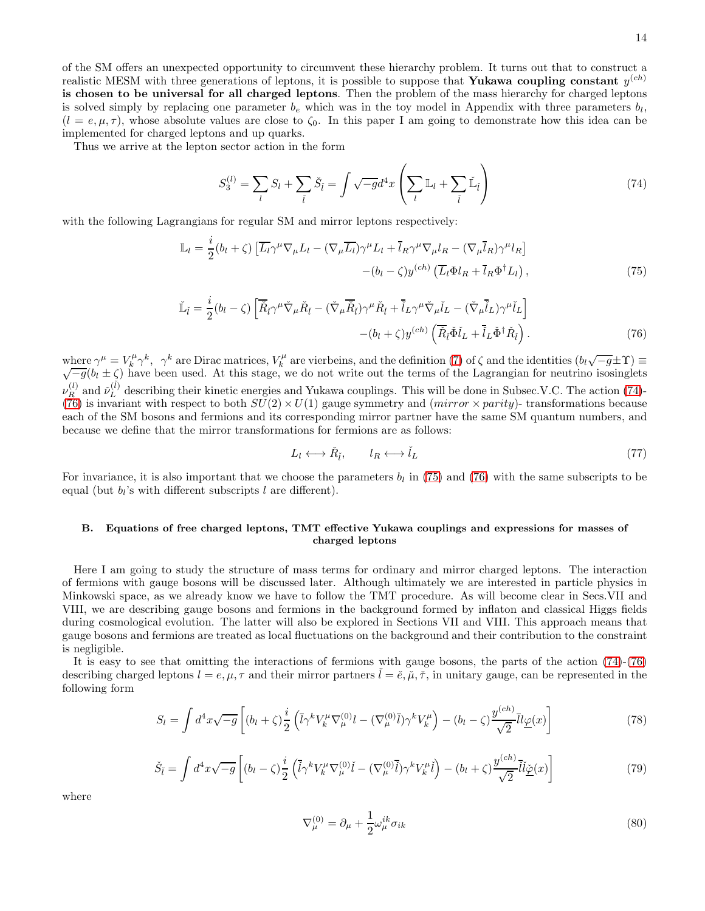of the SM offers an unexpected opportunity to circumvent these hierarchy problem. It turns out that to construct a realistic MESM with three generations of leptons, it is possible to suppose that Yukawa coupling constant  $y^{(ch)}$ is chosen to be universal for all charged leptons. Then the problem of the mass hierarchy for charged leptons is solved simply by replacing one parameter  $b_e$  which was in the toy model in Appendix with three parameters  $b_l$ ,  $(l = e, \mu, \tau)$ , whose absolute values are close to  $\zeta_0$ . In this paper I am going to demonstrate how this idea can be implemented for charged leptons and up quarks.

Thus we arrive at the lepton sector action in the form

<span id="page-13-0"></span>
$$
S_3^{(l)} = \sum_l S_l + \sum_{\tilde{l}} \check{S}_{\tilde{l}} = \int \sqrt{-g} d^4 x \left( \sum_l \mathbb{L}_l + \sum_{\tilde{l}} \check{\mathbb{L}}_{\tilde{l}} \right) \tag{74}
$$

with the following Lagrangians for regular SM and mirror leptons respectively:

<span id="page-13-2"></span>
$$
\mathbb{L}_{l} = \frac{i}{2} (b_{l} + \zeta) \left[ \overline{L_{l}} \gamma^{\mu} \nabla_{\mu} L_{l} - (\nabla_{\mu} \overline{L_{l}}) \gamma^{\mu} L_{l} + \overline{l}_{R} \gamma^{\mu} \nabla_{\mu} l_{R} - (\nabla_{\mu} \overline{l}_{R}) \gamma^{\mu} l_{R} \right] - (b_{l} - \zeta) y^{(ch)} \left( \overline{L_{l}} \Phi l_{R} + \overline{l}_{R} \Phi^{\dagger} L_{l} \right), \tag{75}
$$

<span id="page-13-1"></span>
$$
\check{\mathbb{L}}_{\check{l}} = \frac{i}{2} (b_l - \zeta) \left[ \overline{\check{R}}_{\check{l}} \gamma^\mu \check{\nabla}_\mu \check{R}_{\check{l}} - (\check{\nabla}_\mu \overline{\check{R}}_{\check{l}}) \gamma^\mu \check{R}_{\check{l}} + \overline{\check{l}}_L \gamma^\mu \check{\nabla}_\mu \check{l}_L - (\check{\nabla}_\mu \overline{\check{l}}_L) \gamma^\mu \check{l}_L \right] - (b_l + \zeta) y^{(ch)} \left( \overline{\check{R}}_{\check{l}} \check{\Phi} \check{l}_L + \overline{\check{l}}_L \check{\Phi}^\dagger \check{R}_{\check{l}} \right).
$$
\n(76)

where  $\gamma^{\mu} = V_k^{\mu} \gamma^k$ ,  $\gamma^k$  are Dirac matrices,  $V_k^{\mu}$  are vierbeins, and the definition [\(7\)](#page-2-5) of  $\zeta$  and the identities  $(b_l\sqrt{-g} \pm \Upsilon) \equiv \sqrt{-g}(b_l \pm \zeta)$  have been used. At this stage, we do not write out the terms  $\nu_{R}^{(l)}$  $\stackrel{(l)}{R}$  and  $\stackrel{\sim}{\nu_{L}}^{(\check{l})}$  $L<sup>(t)</sup>$  describing their kinetic energies and Yukawa couplings. This will be done in Subsec.V.C. The action [\(74\)](#page-13-0)-[\(76\)](#page-13-1) is invariant with respect to both  $SU(2) \times U(1)$  gauge symmetry and (*mirror*  $\times$  *parity*)- transformations because each of the SM bosons and fermions and its corresponding mirror partner have the same SM quantum numbers, and because we define that the mirror transformations for fermions are as follows:

$$
L_l \longleftrightarrow \check{R}_{\check{l}}, \qquad l_R \longleftrightarrow \check{l}_L \tag{77}
$$

For invariance, it is also important that we choose the parameters  $b_l$  in [\(75\)](#page-13-2) and [\(76\)](#page-13-1) with the same subscripts to be equal (but  $b_l$ 's with different subscripts l are different).

# B. Equations of free charged leptons, TMT effective Yukawa couplings and expressions for masses of charged leptons

Here I am going to study the structure of mass terms for ordinary and mirror charged leptons. The interaction of fermions with gauge bosons will be discussed later. Although ultimately we are interested in particle physics in Minkowski space, as we already know we have to follow the TMT procedure. As will become clear in Secs.VII and VIII, we are describing gauge bosons and fermions in the background formed by inflaton and classical Higgs fields during cosmological evolution. The latter will also be explored in Sections VII and VIII. This approach means that gauge bosons and fermions are treated as local fluctuations on the background and their contribution to the constraint is negligible.

It is easy to see that omitting the interactions of fermions with gauge bosons, the parts of the action  $(74)-(76)$  $(74)-(76)$ describing charged leptons  $l = e, \mu, \tau$  and their mirror partners  $l = \check{e}, \check{\mu}, \check{\tau}$ , in unitary gauge, can be represented in the following form

<span id="page-13-3"></span>
$$
S_l = \int d^4x \sqrt{-g} \left[ (b_l + \zeta) \frac{i}{2} \left( \overline{l} \gamma^k V_k^{\mu} \nabla_{\mu}^{(0)} l - (\nabla_{\mu}^{(0)} \overline{l}) \gamma^k V_k^{\mu} \right) - (b_l - \zeta) \frac{y^{(ch)}}{\sqrt{2}} \overline{l} l \underline{\varphi}(x) \right]
$$
(78)

<span id="page-13-4"></span>
$$
\check{S}_{\check{l}} = \int d^4x \sqrt{-g} \left[ (b_l - \zeta) \frac{i}{2} \left( \tilde{l} \gamma^k V_k^{\mu} \nabla_{\mu}^{(0)} \check{l} - (\nabla_{\mu}^{(0)} \check{l}) \gamma^k V_k^{\mu} \check{l} \right) - (b_l + \zeta) \frac{y^{(ch)}}{\sqrt{2}} \tilde{l} \check{l} \check{\underline{\varphi}}(x) \right]
$$
(79)

where

$$
\nabla_{\mu}^{(0)} = \partial_{\mu} + \frac{1}{2} \omega_{\mu}^{ik} \sigma_{ik} \tag{80}
$$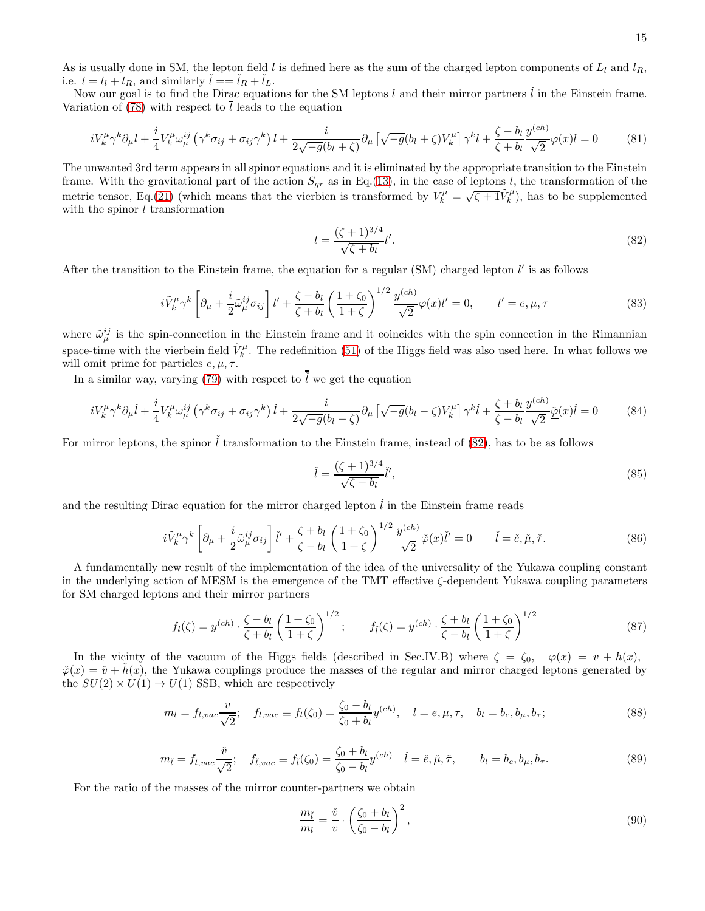As is usually done in SM, the lepton field l is defined here as the sum of the charged lepton components of  $L_l$  and  $l_R$ , i.e.  $l = l_l + l_R$ , and similarly  $l = l_R + l_L$ .

Now our goal is to find the Dirac equations for the SM leptons  $l$  and their mirror partners  $\tilde{l}$  in the Einstein frame. Variation of [\(78\)](#page-13-3) with respect to  $\overline{l}$  leads to the equation

$$
iV_k^{\mu}\gamma^k\partial_{\mu}l + \frac{i}{4}V_k^{\mu}\omega_{\mu}^{ij}\left(\gamma^k\sigma_{ij} + \sigma_{ij}\gamma^k\right)l + \frac{i}{2\sqrt{-g}(b_l + \zeta)}\partial_{\mu}\left[\sqrt{-g}(b_l + \zeta)V_k^{\mu}\right]\gamma^k l + \frac{\zeta - b_l}{\zeta + b_l}\frac{y^{(ch)}}{\sqrt{2}}\underline{\varphi}(x)l = 0\tag{81}
$$

The unwanted 3rd term appears in all spinor equations and it is eliminated by the appropriate transition to the Einstein frame. With the gravitational part of the action  $S_{gr}$  as in Eq.[\(13\)](#page-4-1), in the case of leptons l, the transformation of the metric tensor, Eq.[\(21\)](#page-6-6) (which means that the vierbien is transformed by  $V_k^{\mu} = \sqrt{\zeta + 1} \tilde{V}_k^{\mu}$ ), has to be supplemented with the spinor  $l$  transformation

<span id="page-14-0"></span>
$$
l = \frac{(\zeta + 1)^{3/4}}{\sqrt{\zeta + b_l}} l'.\tag{82}
$$

After the transition to the Einstein frame, the equation for a regular (SM) charged lepton  $l'$  is as follows

<span id="page-14-2"></span>
$$
i\tilde{V}_k^{\mu}\gamma^k \left[\partial_{\mu} + \frac{i}{2}\tilde{\omega}_{\mu}^{ij}\sigma_{ij}\right]l' + \frac{\zeta - b_l}{\zeta + b_l}\left(\frac{1+\zeta_0}{1+\zeta}\right)^{1/2}\frac{y^{(ch)}}{\sqrt{2}}\varphi(x)l' = 0, \qquad l' = e, \mu, \tau
$$
\n(83)

where  $\tilde{\omega}_{\mu}^{ij}$  is the spin-connection in the Einstein frame and it coincides with the spin connection in the Rimannian space-time with the vierbein field  $\tilde{V}_k^{\mu}$ . The redefinition [\(51\)](#page-10-5) of the Higgs field was also used here. In what follows we will omit prime for particles  $e, \mu, \tau$ .

In a similar way, varying [\(79\)](#page-13-4) with respect to  $\tilde{l}$  we get the equation

$$
iV_k^{\mu}\gamma^k\partial_{\mu}\check{l} + \frac{i}{4}V_k^{\mu}\omega_{\mu}^{ij}\left(\gamma^k\sigma_{ij} + \sigma_{ij}\gamma^k\right)\check{l} + \frac{i}{2\sqrt{-g}(b_l - \zeta)}\partial_{\mu}\left[\sqrt{-g}(b_l - \zeta)V_k^{\mu}\right]\gamma^k\check{l} + \frac{\zeta + b_l}{\zeta - b_l}\frac{y^{(ch)}}{\sqrt{2}}\underline{\check{\varphi}}(x)\check{l} = 0\tag{84}
$$

For mirror leptons, the spinor  $\tilde{l}$  transformation to the Einstein frame, instead of [\(82\)](#page-14-0), has to be as follows

<span id="page-14-1"></span>
$$
\check{l} = \frac{(\zeta + 1)^{3/4}}{\sqrt{\zeta - b_l}} \check{l}',\tag{85}
$$

and the resulting Dirac equation for the mirror charged lepton  $\tilde{l}$  in the Einstein frame reads

<span id="page-14-3"></span>
$$
i\tilde{V}_k^{\mu}\gamma^k \left[\partial_{\mu} + \frac{i}{2}\tilde{\omega}_{\mu}^{ij}\sigma_{ij}\right]\tilde{l}' + \frac{\zeta + b_l}{\zeta - b_l} \left(\frac{1+\zeta_0}{1+\zeta}\right)^{1/2} \frac{y^{(ch)}}{\sqrt{2}}\tilde{\varphi}(x)\tilde{l}' = 0 \qquad \tilde{l} = \tilde{e}, \tilde{\mu}, \tilde{\tau}.\tag{86}
$$

A fundamentally new result of the implementation of the idea of the universality of the Yukawa coupling constant in the underlying action of MESM is the emergence of the TMT effective ζ-dependent Yukawa coupling parameters for SM charged leptons and their mirror partners

$$
f_l(\zeta) = y^{(ch)} \cdot \frac{\zeta - b_l}{\zeta + b_l} \left( \frac{1 + \zeta_0}{1 + \zeta} \right)^{1/2}; \qquad f_{\tilde{l}}(\zeta) = y^{(ch)} \cdot \frac{\zeta + b_l}{\zeta - b_l} \left( \frac{1 + \zeta_0}{1 + \zeta} \right)^{1/2}
$$
(87)

In the vicinty of the vacuum of the Higgs fields (described in Sec.IV.B) where  $\zeta = \zeta_0$ ,  $\varphi(x) = v + h(x)$ ,  $\check{\varphi}(x) = \check{v} + \check{h}(x)$ , the Yukawa couplings produce the masses of the regular and mirror charged leptons generated by the  $SU(2) \times U(1) \rightarrow U(1)$  SSB, which are respectively

<span id="page-14-4"></span>
$$
m_l = f_{l,vac} \frac{v}{\sqrt{2}}; \quad f_{l,vac} \equiv f_l(\zeta_0) = \frac{\zeta_0 - b_l}{\zeta_0 + b_l} y^{(ch)}, \quad l = e, \mu, \tau, \quad b_l = b_e, b_\mu, b_\tau;
$$
\n(88)

<span id="page-14-5"></span>
$$
m_{\tilde{l}} = f_{\tilde{l},vac} \frac{\tilde{v}}{\sqrt{2}}; \quad f_{\tilde{l},vac} \equiv f_{\tilde{l}}(\zeta_0) = \frac{\zeta_0 + b_l}{\zeta_0 - b_l} y^{(ch)} \quad \tilde{l} = \check{e}, \check{\mu}, \check{\tau}, \qquad b_l = b_e, b_\mu, b_\tau.
$$
 (89)

For the ratio of the masses of the mirror counter-partners we obtain

$$
\frac{m_{\tilde{l}}}{m_l} = \frac{\tilde{v}}{v} \cdot \left(\frac{\zeta_0 + b_l}{\zeta_0 - b_l}\right)^2,\tag{90}
$$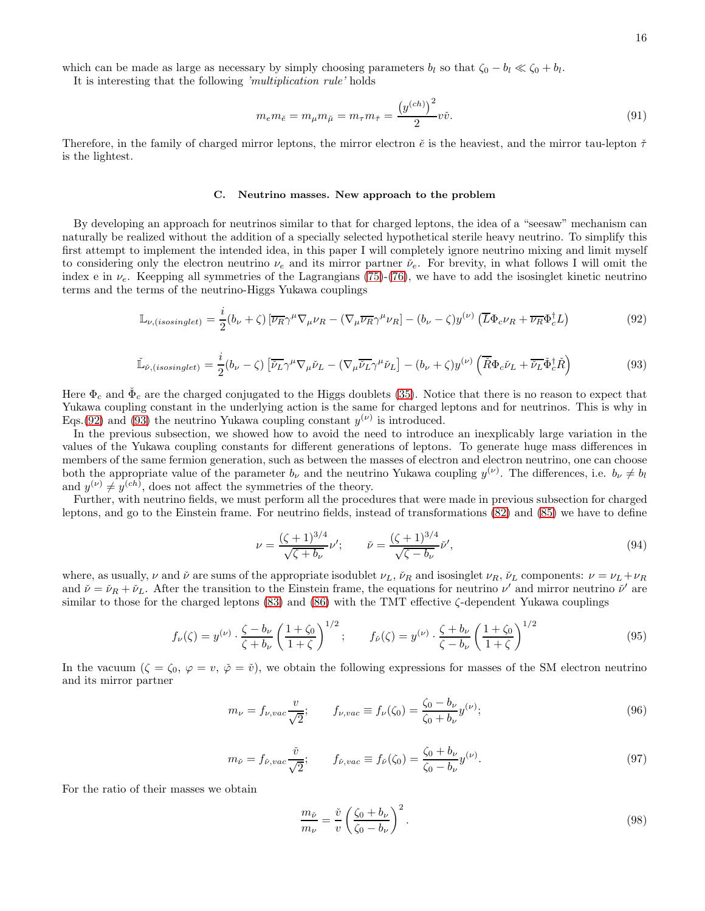It is interesting that the following 'multiplication rule' holds

$$
m_{e}m_{\tilde{e}} = m_{\mu}m_{\tilde{\mu}} = m_{\tau}m_{\tilde{\tau}} = \frac{(y^{(ch)})^{2}}{2}v\tilde{v}.
$$
\n(91)

Therefore, in the family of charged mirror leptons, the mirror electron  $\check{e}$  is the heaviest, and the mirror tau-lepton  $\check{\tau}$ is the lightest.

## C. Neutrino masses. New approach to the problem

By developing an approach for neutrinos similar to that for charged leptons, the idea of a "seesaw" mechanism can naturally be realized without the addition of a specially selected hypothetical sterile heavy neutrino. To simplify this first attempt to implement the intended idea, in this paper I will completely ignore neutrino mixing and limit myself to considering only the electron neutrino  $\nu_e$  and its mirror partner  $\check{\nu}_e$ . For brevity, in what follows I will omit the index e in  $\nu_e$ . Keepping all symmetries of the Lagrangians [\(75\)](#page-13-2)-[\(76\)](#page-13-1), we have to add the isosinglet kinetic neutrino terms and the terms of the neutrino-Higgs Yukawa couplings

<span id="page-15-0"></span>
$$
\mathbb{L}_{\nu,(isosinglet)} = \frac{i}{2} (b_{\nu} + \zeta) \left[ \overline{\nu_R} \gamma^{\mu} \nabla_{\mu} \nu_R - (\nabla_{\mu} \overline{\nu_R} \gamma^{\mu} \nu_R) - (b_{\nu} - \zeta) y^{(\nu)} \left( \overline{L} \Phi_c \nu_R + \overline{\nu_R} \Phi_c^{\dagger} L \right) \tag{92}
$$

<span id="page-15-1"></span>
$$
\check{\mathbb{L}}_{\check{\nu},(isosinglet)} = \frac{i}{2}(b_{\nu} - \zeta) \left[ \overline{\check{\nu}_{L}} \gamma^{\mu} \nabla_{\mu} \check{\nu}_{L} - (\nabla_{\mu} \overline{\check{\nu}_{L}} \gamma^{\mu} \check{\nu}_{L}) - (b_{\nu} + \zeta) y^{(\nu)} \left( \overline{\check{R}} \Phi_{c} \check{\nu}_{L} + \overline{\check{\nu}_{L}} \check{\Phi}_{c}^{\dagger} \check{R} \right) \right]
$$
(93)

Here  $\Phi_c$  and  $\check{\Phi}_c$  are the charged conjugated to the Higgs doublets [\(35\)](#page-8-3). Notice that there is no reason to expect that Yukawa coupling constant in the underlying action is the same for charged leptons and for neutrinos. This is why in Eqs.[\(92\)](#page-15-0) and [\(93\)](#page-15-1) the neutrino Yukawa coupling constant  $y^{(\nu)}$  is introduced.

In the previous subsection, we showed how to avoid the need to introduce an inexplicably large variation in the values of the Yukawa coupling constants for different generations of leptons. To generate huge mass differences in members of the same fermion generation, such as between the masses of electron and electron neutrino, one can choose both the appropriate value of the parameter  $b_{\nu}$  and the neutrino Yukawa coupling  $y^{(\nu)}$ . The differences, i.e.  $b_{\nu} \neq b_{\nu}$ and  $y^{(\nu)} \neq y^{(ch)}$ , does not affect the symmetries of the theory.

Further, with neutrino fields, we must perform all the procedures that were made in previous subsection for charged leptons, and go to the Einstein frame. For neutrino fields, instead of transformations [\(82\)](#page-14-0) and [\(85\)](#page-14-1) we have to define

$$
\nu = \frac{(\zeta + 1)^{3/4}}{\sqrt{\zeta + b_{\nu}}}\nu'; \qquad \nu = \frac{(\zeta + 1)^{3/4}}{\sqrt{\zeta - b_{\nu}}}\nu', \tag{94}
$$

where, as usually,  $\nu$  and  $\check{\nu}$  are sums of the appropriate isodublet  $\nu_L$ ,  $\check{\nu}_R$  and isosinglet  $\nu_R$ ,  $\check{\nu}_L$  components:  $\nu = \nu_L + \nu_R$ and  $\check{\nu} = \check{\nu}_R + \check{\nu}_L$ . After the transition to the Einstein frame, the equations for neutrino  $\nu'$  and mirror neutrino  $\check{\nu}'$  are similar to those for the charged leptons  $(83)$  and  $(86)$  with the TMT effective  $\zeta$ -dependent Yukawa couplings

$$
f_{\nu}(\zeta) = y^{(\nu)} \cdot \frac{\zeta - b_{\nu}}{\zeta + b_{\nu}} \left(\frac{1 + \zeta_0}{1 + \zeta}\right)^{1/2}; \qquad f_{\nu}(\zeta) = y^{(\nu)} \cdot \frac{\zeta + b_{\nu}}{\zeta - b_{\nu}} \left(\frac{1 + \zeta_0}{1 + \zeta}\right)^{1/2}
$$
(95)

In the vacuum  $(\zeta = \zeta_0, \varphi = v, \check{\varphi} = \check{v})$ , we obtain the following expressions for masses of the SM electron neutrino and its mirror partner

<span id="page-15-2"></span>
$$
m_{\nu} = f_{\nu, vac} \frac{v}{\sqrt{2}}; \qquad f_{\nu, vac} \equiv f_{\nu}(\zeta_0) = \frac{\zeta_0 - b_{\nu}}{\zeta_0 + b_{\nu}} y^{(\nu)}; \tag{96}
$$

<span id="page-15-3"></span>
$$
m_{\check{\nu}} = f_{\check{\nu},vac} \frac{\check{v}}{\sqrt{2}}; \qquad f_{\check{\nu},vac} \equiv f_{\check{\nu}}(\zeta_0) = \frac{\zeta_0 + b_{\nu}}{\zeta_0 - b_{\nu}} y^{(\nu)}.
$$
\n
$$
(97)
$$

For the ratio of their masses we obtain

$$
\frac{m_{\check{\nu}}}{m_{\nu}} = \frac{\check{v}}{v} \left( \frac{\zeta_0 + b_{\nu}}{\zeta_0 - b_{\nu}} \right)^2.
$$
\n(98)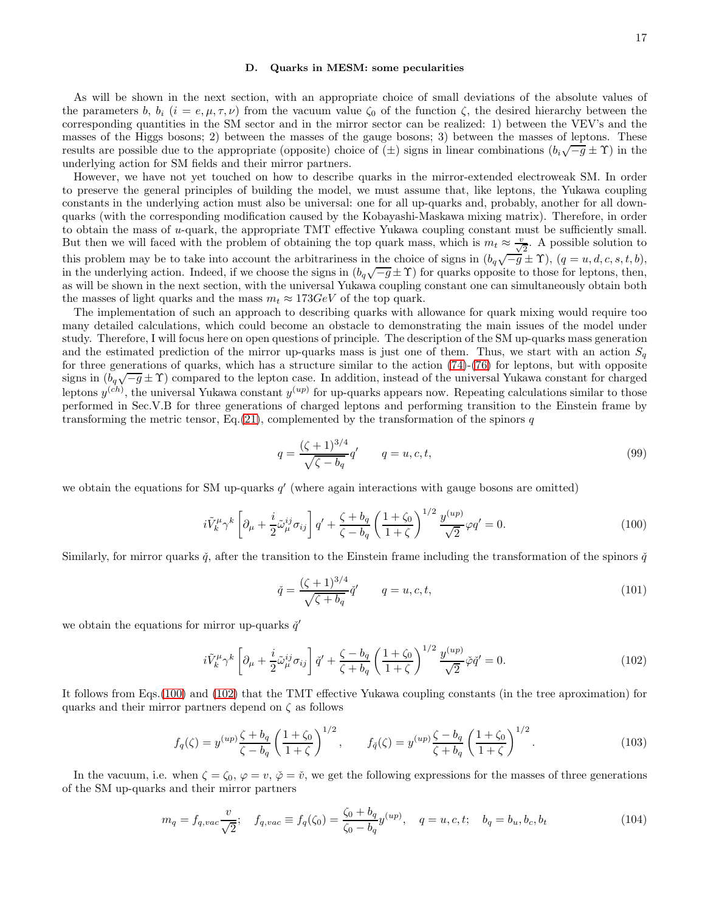#### D. Quarks in MESM: some pecularities

As will be shown in the next section, with an appropriate choice of small deviations of the absolute values of the parameters b,  $b_i$  (i = e,  $\mu, \tau, \nu$ ) from the vacuum value  $\zeta_0$  of the function  $\zeta$ , the desired hierarchy between the corresponding quantities in the SM sector and in the mirror sector can be realized: 1) between the VEV's and the masses of the Higgs bosons; 2) between the masses of the gauge bosons; 3) between the masses of leptons. These results are possible due to the appropriate (opposite) choice of  $(\pm)$  signs in linear combinations  $(b_i\sqrt{-g} \pm \Upsilon)$  in the underlying action for SM fields and their mirror partners.

However, we have not yet touched on how to describe quarks in the mirror-extended electroweak SM. In order to preserve the general principles of building the model, we must assume that, like leptons, the Yukawa coupling constants in the underlying action must also be universal: one for all up-quarks and, probably, another for all downquarks (with the corresponding modification caused by the Kobayashi-Maskawa mixing matrix). Therefore, in order to obtain the mass of u-quark, the appropriate TMT effective Yukawa coupling constant must be sufficiently small. But then we will faced with the problem of obtaining the top quark mass, which is  $m_t \approx \frac{v}{\sqrt{2}}$ . A possible solution to this problem may be to take into account the arbitrariness in the choice of signs in  $(b_q\sqrt{-g} \pm \Upsilon)$ ,  $(q = u, d, c, s, t, b)$ , in the underlying action. Indeed, if we choose the signs in  $(b_q\sqrt{-g} \pm \Upsilon)$  for quarks opposite to those for leptons, then, as will be shown in the next section, with the universal Yukawa coupling constant one can simultaneously obtain both the masses of light quarks and the mass  $m_t \approx 173 \text{GeV}$  of the top quark.

The implementation of such an approach to describing quarks with allowance for quark mixing would require too many detailed calculations, which could become an obstacle to demonstrating the main issues of the model under study. Therefore, I will focus here on open questions of principle. The description of the SM up-quarks mass generation and the estimated prediction of the mirror up-quarks mass is just one of them. Thus, we start with an action  $S_q$ for three generations of quarks, which has a structure similar to the action [\(74\)](#page-13-0)-[\(76\)](#page-13-1) for leptons, but with opposite signs in  $(b_q\sqrt{-g} \pm \Upsilon)$  compared to the lepton case. In addition, instead of the universal Yukawa constant for charged leptons  $y^{(ch)}$ , the universal Yukawa constant  $y^{(up)}$  for up-quarks appears now. Repeating calculations similar to those performed in Sec.V.B for three generations of charged leptons and performing transition to the Einstein frame by transforming the metric tensor, Eq.[\(21\)](#page-6-6), complemented by the transformation of the spinors  $q$ 

$$
q = \frac{(\zeta + 1)^{3/4}}{\sqrt{\zeta - b_q}} q' \qquad q = u, c, t,
$$
\n(99)

we obtain the equations for SM up-quarks q' (where again interactions with gauge bosons are omitted)

<span id="page-16-0"></span>
$$
i\tilde{V}_k^{\mu}\gamma^k \left[\partial_{\mu} + \frac{i}{2}\tilde{\omega}_{\mu}^{ij}\sigma_{ij}\right]q' + \frac{\zeta + b_q}{\zeta - b_q} \left(\frac{1+\zeta_0}{1+\zeta}\right)^{1/2} \frac{y^{(up)}}{\sqrt{2}}\varphi q' = 0.
$$
 (100)

Similarly, for mirror quarks  $\check{q}$ , after the transition to the Einstein frame including the transformation of the spinors  $\check{q}$ 

$$
\check{q} = \frac{(\zeta + 1)^{3/4}}{\sqrt{\zeta + b_q}} \check{q}' \qquad q = u, c, t,
$$
\n(101)

we obtain the equations for mirror up-quarks  $\check{q}'$ 

<span id="page-16-1"></span>
$$
i\tilde{V}_k^{\mu}\gamma^k \left[\partial_{\mu} + \frac{i}{2}\tilde{\omega}_{\mu}^{ij}\sigma_{ij}\right]\check{q}' + \frac{\zeta - b_q}{\zeta + b_q} \left(\frac{1+\zeta_0}{1+\zeta}\right)^{1/2} \frac{y^{(up)}}{\sqrt{2}}\check{\varphi}\check{q}' = 0.
$$
 (102)

It follows from Eqs.[\(100\)](#page-16-0) and [\(102\)](#page-16-1) that the TMT effective Yukawa coupling constants (in the tree aproximation) for quarks and their mirror partners depend on  $\zeta$  as follows

$$
f_q(\zeta) = y^{(up)} \frac{\zeta + b_q}{\zeta - b_q} \left( \frac{1 + \zeta_0}{1 + \zeta} \right)^{1/2}, \qquad f_{\tilde{q}}(\zeta) = y^{(up)} \frac{\zeta - b_q}{\zeta + b_q} \left( \frac{1 + \zeta_0}{1 + \zeta} \right)^{1/2}.
$$
 (103)

In the vacuum, i.e. when  $\zeta = \zeta_0$ ,  $\varphi = v$ ,  $\varphi = \tilde{v}$ , we get the following expressions for the masses of three generations of the SM up-quarks and their mirror partners

<span id="page-16-2"></span>
$$
m_q = f_{q,vac} \frac{v}{\sqrt{2}}; \quad f_{q,vac} \equiv f_q(\zeta_0) = \frac{\zeta_0 + b_q}{\zeta_0 - b_q} y^{(up)}, \quad q = u, c, t; \quad b_q = b_u, b_c, b_t
$$
\n(104)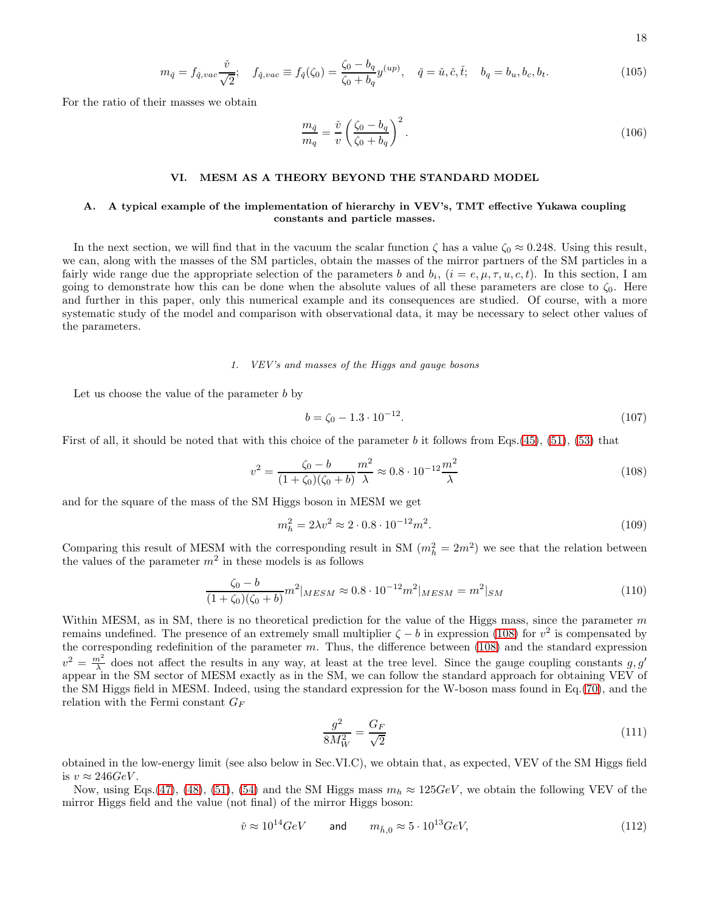18

<span id="page-17-1"></span>
$$
m_{\check{q}} = f_{\check{q},vac} \frac{\check{v}}{\sqrt{2}}; \quad f_{\check{q},vac} \equiv f_{\check{q}}(\zeta_0) = \frac{\zeta_0 - b_q}{\zeta_0 + b_q} y^{(up)}, \quad \check{q} = \check{u}, \check{c}, \check{t}; \quad b_q = b_u, b_c, b_t.
$$
 (105)

For the ratio of their masses we obtain

$$
\frac{m_{\tilde{q}}}{m_q} = \frac{\tilde{v}}{v} \left( \frac{\zeta_0 - b_q}{\zeta_0 + b_q} \right)^2.
$$
\n(106)

## VI. MESM AS A THEORY BEYOND THE STANDARD MODEL

## A. A typical example of the implementation of hierarchy in VEV's, TMT effective Yukawa coupling constants and particle masses.

In the next section, we will find that in the vacuum the scalar function  $\zeta$  has a value  $\zeta_0 \approx 0.248$ . Using this result, we can, along with the masses of the SM particles, obtain the masses of the mirror partners of the SM particles in a fairly wide range due the appropriate selection of the parameters b and  $b_i$ ,  $(i = e, \mu, \tau, u, c, t)$ . In this section, I am going to demonstrate how this can be done when the absolute values of all these parameters are close to  $\zeta_0$ . Here and further in this paper, only this numerical example and its consequences are studied. Of course, with a more systematic study of the model and comparison with observational data, it may be necessary to select other values of the parameters.

### 1. VEV's and masses of the Higgs and gauge bosons

Let us choose the value of the parameter  $b$  by

<span id="page-17-2"></span>
$$
b = \zeta_0 - 1.3 \cdot 10^{-12}.\tag{107}
$$

First of all, it should be noted that with this choice of the parameter b it follows from Eqs.[\(45\)](#page-9-5), [\(51\)](#page-10-5), [\(53\)](#page-10-3) that

<span id="page-17-0"></span>
$$
v^2 = \frac{\zeta_0 - b}{(1 + \zeta_0)(\zeta_0 + b)} \frac{m^2}{\lambda} \approx 0.8 \cdot 10^{-12} \frac{m^2}{\lambda}
$$
 (108)

and for the square of the mass of the SM Higgs boson in MESM we get

<span id="page-17-3"></span>
$$
m_h^2 = 2\lambda v^2 \approx 2 \cdot 0.8 \cdot 10^{-12} m^2. \tag{109}
$$

Comparing this result of MESM with the corresponding result in SM  $(m_h^2 = 2m^2)$  we see that the relation between the values of the parameter  $m^2$  in these models is as follows

$$
\frac{\zeta_0 - b}{(1 + \zeta_0)(\zeta_0 + b)} m^2|_{MESM} \approx 0.8 \cdot 10^{-12} m^2|_{MESM} = m^2|_{SM}
$$
\n(110)

Within MESM, as in SM, there is no theoretical prediction for the value of the Higgs mass, since the parameter  $m$ remains undefined. The presence of an extremely small multiplier  $\zeta - b$  in expression [\(108\)](#page-17-0) for  $v^2$  is compensated by the corresponding redefinition of the parameter  $m$ . Thus, the difference between [\(108\)](#page-17-0) and the standard expression  $v^2 = \frac{m^2}{\lambda}$  does not affect the results in any way, at least at the tree level. Since the gauge coupling constants g, g' appear in the SM sector of MESM exactly as in the SM, we can follow the standard approach for obtaining VEV of the SM Higgs field in MESM. Indeed, using the standard expression for the W-boson mass found in Eq.[\(70\)](#page-12-0), and the relation with the Fermi constant  $G_F$ 

$$
\frac{g^2}{8M_W^2} = \frac{G_F}{\sqrt{2}}\tag{111}
$$

obtained in the low-energy limit (see also below in Sec.VI.C), we obtain that, as expected, VEV of the SM Higgs field is  $v \approx 246 GeV$ .

Now, using Eqs.[\(47\)](#page-10-1), [\(48\)](#page-10-2), [\(51\)](#page-10-5), [\(54\)](#page-10-4) and the SM Higgs mass  $m_h \approx 125 GeV$ , we obtain the following VEV of the mirror Higgs field and the value (not final) of the mirror Higgs boson:

$$
\check{v} \approx 10^{14} \text{GeV} \qquad \text{and} \qquad m_{\check{h},0} \approx 5 \cdot 10^{13} \text{GeV}, \tag{112}
$$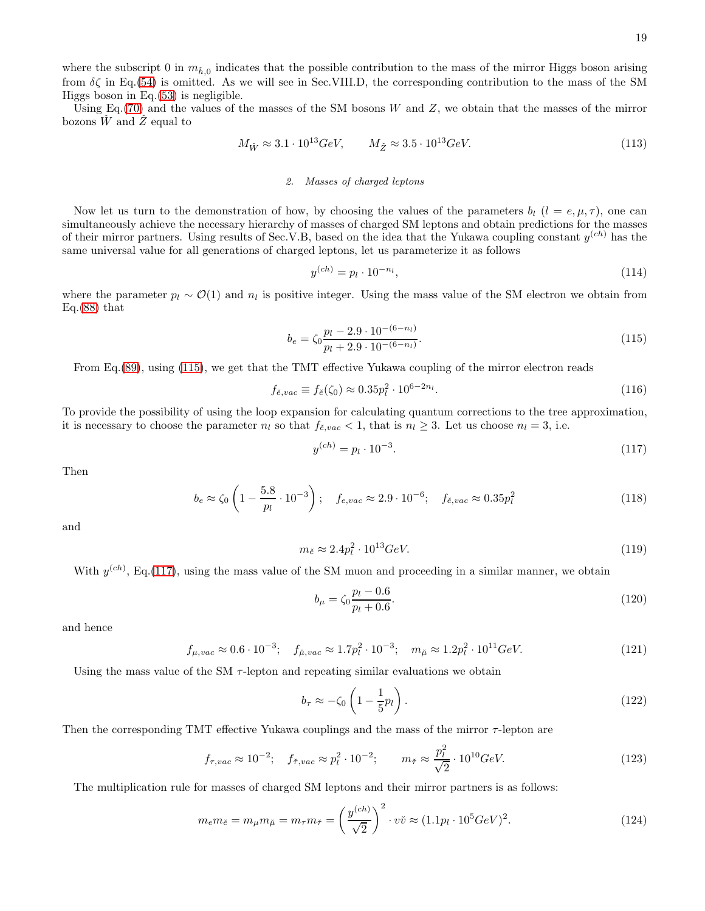where the subscript 0 in  $m_{\tilde{h},0}$  indicates that the possible contribution to the mass of the mirror Higgs boson arising from  $\delta\zeta$  in Eq.[\(54\)](#page-10-4) is omitted. As we will see in Sec.VIII.D, the corresponding contribution to the mass of the SM Higgs boson in Eq.[\(53\)](#page-10-3) is negligible.

Using Eq.  $(70)$  and the values of the masses of the SM bosons W and Z, we obtain that the masses of the mirror bozons  $\check{W}$  and  $\check{Z}$  equal to

$$
M_{\check{W}} \approx 3.1 \cdot 10^{13} \text{GeV}, \qquad M_{\check{Z}} \approx 3.5 \cdot 10^{13} \text{GeV}.
$$
 (113)

# 2. Masses of charged leptons

Now let us turn to the demonstration of how, by choosing the values of the parameters  $b_l$  ( $l = e, \mu, \tau$ ), one can simultaneously achieve the necessary hierarchy of masses of charged SM leptons and obtain predictions for the masses of their mirror partners. Using results of Sec.V.B, based on the idea that the Yukawa coupling constant  $y^{(ch)}$  has the same universal value for all generations of charged leptons, let us parameterize it as follows

$$
y^{(ch)} = p_l \cdot 10^{-n_l},\tag{114}
$$

where the parameter  $p_l \sim \mathcal{O}(1)$  and  $n_l$  is positive integer. Using the mass value of the SM electron we obtain from Eq. $(88)$  that

<span id="page-18-0"></span>
$$
b_e = \zeta_0 \frac{p_l - 2.9 \cdot 10^{-(6-n_l)}}{p_l + 2.9 \cdot 10^{-(6-n_l)}}.
$$
\n(115)

From Eq.[\(89\)](#page-14-5), using [\(115\)](#page-18-0), we get that the TMT effective Yukawa coupling of the mirror electron reads

$$
f_{\tilde{e},vac} \equiv f_{\tilde{e}}(\zeta_0) \approx 0.35 p_l^2 \cdot 10^{6-2n_l}.
$$
\n(116)

To provide the possibility of using the loop expansion for calculating quantum corrections to the tree approximation, it is necessary to choose the parameter  $n_l$  so that  $f_{\tilde{e},vac} < 1$ , that is  $n_l \geq 3$ . Let us choose  $n_l = 3$ , i.e.

<span id="page-18-1"></span>
$$
y^{(ch)} = p_l \cdot 10^{-3}.\tag{117}
$$

Then

$$
b_e \approx \zeta_0 \left( 1 - \frac{5.8}{p_l} \cdot 10^{-3} \right); \quad f_{e,vac} \approx 2.9 \cdot 10^{-6}; \quad f_{\check{e},vac} \approx 0.35 p_l^2 \tag{118}
$$

and

$$
m_{\check{e}} \approx 2.4p_l^2 \cdot 10^{13} \text{GeV}.\tag{119}
$$

With  $y^{(ch)}$ , Eq.[\(117\)](#page-18-1), using the mass value of the SM muon and proceeding in a similar manner, we obtain

$$
b_{\mu} = \zeta_0 \frac{p_l - 0.6}{p_l + 0.6}.
$$
\n(120)

and hence

$$
f_{\mu,vac} \approx 0.6 \cdot 10^{-3}; \quad f_{\mu,vac} \approx 1.7p_l^2 \cdot 10^{-3}; \quad m_{\mu} \approx 1.2p_l^2 \cdot 10^{11} GeV. \tag{121}
$$

Using the mass value of the SM  $\tau$ -lepton and repeating similar evaluations we obtain

$$
b_{\tau} \approx -\zeta_0 \left( 1 - \frac{1}{5} p_l \right). \tag{122}
$$

Then the corresponding TMT effective Yukawa couplings and the mass of the mirror τ-lepton are

$$
f_{\tau, vac} \approx 10^{-2}; \quad f_{\tilde{\tau}, vac} \approx p_l^2 \cdot 10^{-2}; \qquad m_{\tilde{\tau}} \approx \frac{p_l^2}{\sqrt{2}} \cdot 10^{10} GeV.
$$
 (123)

The multiplication rule for masses of charged SM leptons and their mirror partners is as follows:

<span id="page-18-2"></span>
$$
m_e m_{\tilde{e}} = m_{\mu} m_{\tilde{\mu}} = m_{\tau} m_{\tilde{\tau}} = \left(\frac{y^{(ch)}}{\sqrt{2}}\right)^2 \cdot v \tilde{v} \approx (1.1 p_l \cdot 10^5 GeV)^2.
$$
 (124)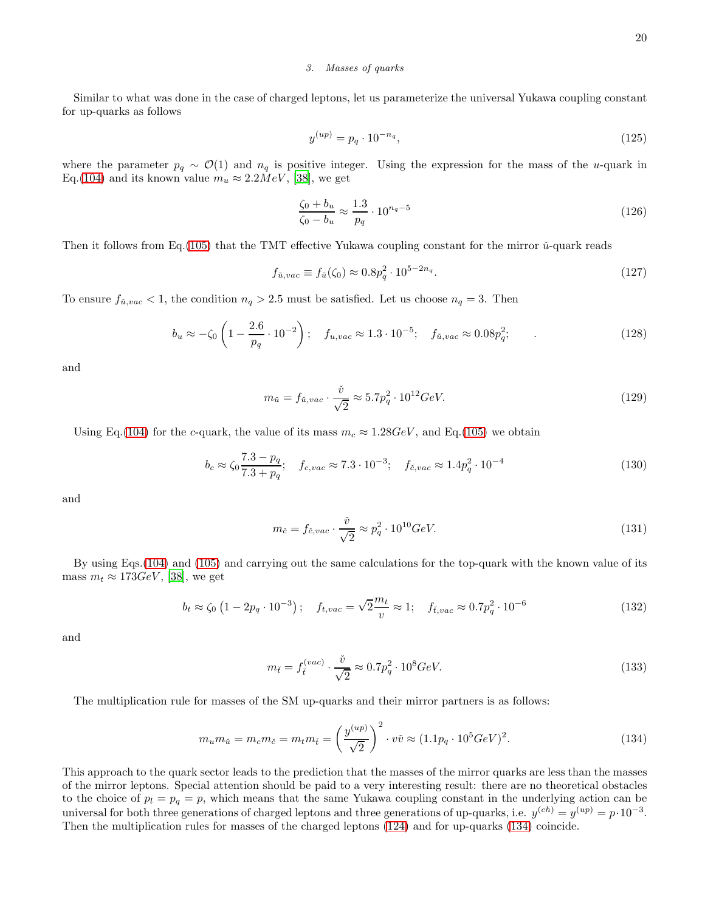#### 3. Masses of quarks

Similar to what was done in the case of charged leptons, let us parameterize the universal Yukawa coupling constant for up-quarks as follows

$$
y^{(up)} = p_q \cdot 10^{-n_q},\tag{125}
$$

where the parameter  $p_q \sim \mathcal{O}(1)$  and  $n_q$  is positive integer. Using the expression for the mass of the u-quark in Eq.[\(104\)](#page-16-2) and its known value  $m_u \approx 2.2 MeV$ , [\[38\]](#page-42-6), we get

$$
\frac{\zeta_0 + b_u}{\zeta_0 - b_u} \approx \frac{1.3}{p_q} \cdot 10^{n_q - 5} \tag{126}
$$

Then it follows from Eq.[\(105\)](#page-17-1) that the TMT effective Yukawa coupling constant for the mirror  $\check{u}$ -quark reads

$$
f_{\tilde{u},vac} \equiv f_{\tilde{u}}(\zeta_0) \approx 0.8p_q^2 \cdot 10^{5-2n_q}.
$$
 (127)

To ensure  $f_{\tilde{u},vac} < 1$ , the condition  $n_q > 2.5$  must be satisfied. Let us choose  $n_q = 3$ . Then

$$
b_u \approx -\zeta_0 \left( 1 - \frac{2.6}{p_q} \cdot 10^{-2} \right); \quad f_{u,vac} \approx 1.3 \cdot 10^{-5}; \quad f_{\tilde{u},vac} \approx 0.08 p_q^2; \tag{128}
$$

and

$$
m_{\check{u}} = f_{\check{u},vac} \cdot \frac{\check{v}}{\sqrt{2}} \approx 5.7p_q^2 \cdot 10^{12} \text{GeV}.
$$
 (129)

Using Eq.[\(104\)](#page-16-2) for the c-quark, the value of its mass  $m_c \approx 1.28 GeV$ , and Eq.[\(105\)](#page-17-1) we obtain

$$
b_c \approx \zeta_0 \frac{7.3 - p_q}{7.3 + p_q}; \quad f_{c,vac} \approx 7.3 \cdot 10^{-3}; \quad f_{\tilde{c},vac} \approx 1.4 p_q^2 \cdot 10^{-4}
$$
 (130)

and

$$
m_{\check{c}} = f_{\check{c},vac} \cdot \frac{\check{v}}{\sqrt{2}} \approx p_q^2 \cdot 10^{10} \text{GeV}.
$$
 (131)

By using Eqs.[\(104\)](#page-16-2) and [\(105\)](#page-17-1) and carrying out the same calculations for the top-quark with the known value of its mass  $m_t \approx 173 GeV$ , [\[38](#page-42-6)], we get

$$
b_t \approx \zeta_0 \left( 1 - 2p_q \cdot 10^{-3} \right); \quad f_{t,vac} = \sqrt{2} \frac{m_t}{v} \approx 1; \quad f_{\tilde{t},vac} \approx 0.7 p_q^2 \cdot 10^{-6}
$$
 (132)

and

$$
m_{\tilde{t}} = f_{\tilde{t}}^{(vac)} \cdot \frac{\tilde{v}}{\sqrt{2}} \approx 0.7 p_q^2 \cdot 10^8 GeV.
$$
 (133)

The multiplication rule for masses of the SM up-quarks and their mirror partners is as follows:

<span id="page-19-0"></span>
$$
m_u m_{\tilde{u}} = m_c m_{\tilde{c}} = m_t m_{\tilde{t}} = \left(\frac{y^{(up)}}{\sqrt{2}}\right)^2 \cdot v\tilde{v} \approx (1.1p_q \cdot 10^5 GeV)^2. \tag{134}
$$

This approach to the quark sector leads to the prediction that the masses of the mirror quarks are less than the masses of the mirror leptons. Special attention should be paid to a very interesting result: there are no theoretical obstacles to the choice of  $p_l = p_q = p$ , which means that the same Yukawa coupling constant in the underlying action can be universal for both three generations of charged leptons and three generations of up-quarks, i.e.  $y^{(ch)} = y^{(up)} = p \cdot 10^{-3}$ . Then the multiplication rules for masses of the charged leptons [\(124\)](#page-18-2) and for up-quarks [\(134\)](#page-19-0) coincide.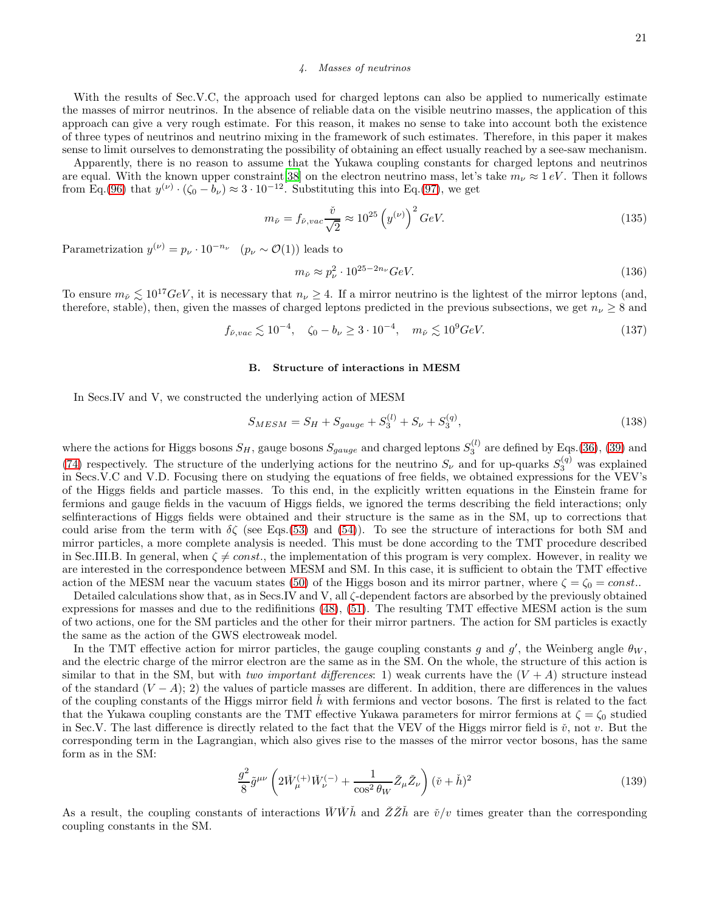### 4. Masses of neutrinos

With the results of Sec.V.C, the approach used for charged leptons can also be applied to numerically estimate the masses of mirror neutrinos. In the absence of reliable data on the visible neutrino masses, the application of this approach can give a very rough estimate. For this reason, it makes no sense to take into account both the existence of three types of neutrinos and neutrino mixing in the framework of such estimates. Therefore, in this paper it makes sense to limit ourselves to demonstrating the possibility of obtaining an effect usually reached by a see-saw mechanism.

Apparently, there is no reason to assume that the Yukawa coupling constants for charged leptons and neutrinos are equal. With the known upper constraint [\[38\]](#page-42-6) on the electron neutrino mass, let's take  $m_{\nu} \approx 1 \, eV$ . Then it follows from Eq.[\(96\)](#page-15-2) that  $y^{(\nu)} \cdot (\zeta_0 - b_\nu) \approx 3 \cdot 10^{-12}$ . Substituting this into Eq.[\(97\)](#page-15-3), we get

$$
m_{\check{\nu}} = f_{\check{\nu},vac} \frac{\check{v}}{\sqrt{2}} \approx 10^{25} \left( y^{(\nu)} \right)^2 GeV. \tag{135}
$$

Parametrization  $y^{(\nu)} = p_{\nu} \cdot 10^{-n_{\nu}} \quad (p_{\nu} \sim \mathcal{O}(1))$  leads to

$$
m_{\check{\nu}} \approx p_{\nu}^2 \cdot 10^{25 - 2n_{\nu}} \text{GeV}.
$$
 (136)

To ensure  $m_{\tilde{\nu}} \lesssim 10^{17} \text{GeV}$ , it is necessary that  $n_{\nu} \geq 4$ . If a mirror neutrino is the lightest of the mirror leptons (and, therefore, stable), then, given the masses of charged leptons predicted in the previous subsections, we get  $n_{\nu} \geq 8$  and

$$
f_{\tilde{\nu},vac} \lesssim 10^{-4}, \quad \zeta_0 - b_\nu \ge 3 \cdot 10^{-4}, \quad m_{\tilde{\nu}} \lesssim 10^9 GeV. \tag{137}
$$

#### B. Structure of interactions in MESM

In Secs.IV and V, we constructed the underlying action of MESM

<span id="page-20-0"></span>
$$
S_{MESM} = S_H + S_{gauge} + S_3^{(l)} + S_\nu + S_3^{(q)},\tag{138}
$$

where the actions for Higgs bosons  $S_H$ , gauge bosons  $S_{gauge}$  and charged leptons  $S_3^{(l)}$  are defined by Eqs.[\(36\)](#page-8-0), [\(39\)](#page-9-4) and [\(74\)](#page-13-0) respectively. The structure of the underlying actions for the neutrino  $S_{\nu}$  and for up-quarks  $S_3^{(q)}$  was explained in Secs.V.C and V.D. Focusing there on studying the equations of free fields, we obtained expressions for the VEV's of the Higgs fields and particle masses. To this end, in the explicitly written equations in the Einstein frame for fermions and gauge fields in the vacuum of Higgs fields, we ignored the terms describing the field interactions; only selfinteractions of Higgs fields were obtained and their structure is the same as in the SM, up to corrections that could arise from the term with  $\delta \zeta$  (see Eqs.[\(53\)](#page-10-3) and [\(54\)](#page-10-4)). To see the structure of interactions for both SM and mirror particles, a more complete analysis is needed. This must be done according to the TMT procedure described in Sec.III.B. In general, when  $\zeta \neq const.$ , the implementation of this program is very complex. However, in reality we are interested in the correspondence between MESM and SM. In this case, it is sufficient to obtain the TMT effective action of the MESM near the vacuum states [\(50\)](#page-10-0) of the Higgs boson and its mirror partner, where  $\zeta = \zeta_0 = const..$ 

Detailed calculations show that, as in Secs.IV and V, all ζ-dependent factors are absorbed by the previously obtained expressions for masses and due to the redifinitions [\(48\)](#page-10-2), [\(51\)](#page-10-5). The resulting TMT effective MESM action is the sum of two actions, one for the SM particles and the other for their mirror partners. The action for SM particles is exactly the same as the action of the GWS electroweak model.

In the TMT effective action for mirror particles, the gauge coupling constants g and g', the Weinberg angle  $\theta_W$ , and the electric charge of the mirror electron are the same as in the SM. On the whole, the structure of this action is similar to that in the SM, but with two important differences: 1) weak currents have the  $(V + A)$  structure instead of the standard  $(V - A)$ ; 2) the values of particle masses are different. In addition, there are differences in the values of the coupling constants of the Higgs mirror field  $\tilde{h}$  with fermions and vector bosons. The first is related to the fact that the Yukawa coupling constants are the TMT effective Yukawa parameters for mirror fermions at  $\zeta = \zeta_0$  studied in Sec.V. The last difference is directly related to the fact that the VEV of the Higgs mirror field is  $\check{v}$ , not v. But the corresponding term in the Lagrangian, which also gives rise to the masses of the mirror vector bosons, has the same form as in the SM:

$$
\frac{g^2}{8}\tilde{g}^{\mu\nu}\left(2\check{W}_{\mu}^{(+)}\check{W}_{\nu}^{(-)}+\frac{1}{\cos^2\theta_W}\check{Z}_{\mu}\check{Z}_{\nu}\right)(\check{v}+\check{h})^2\tag{139}
$$

As a result, the coupling constants of interactions  $\check{W}\check{W}\check{h}$  and  $\check{Z}\check{Z}\check{h}$  are  $\check{v}/v$  times greater than the corresponding coupling constants in the SM.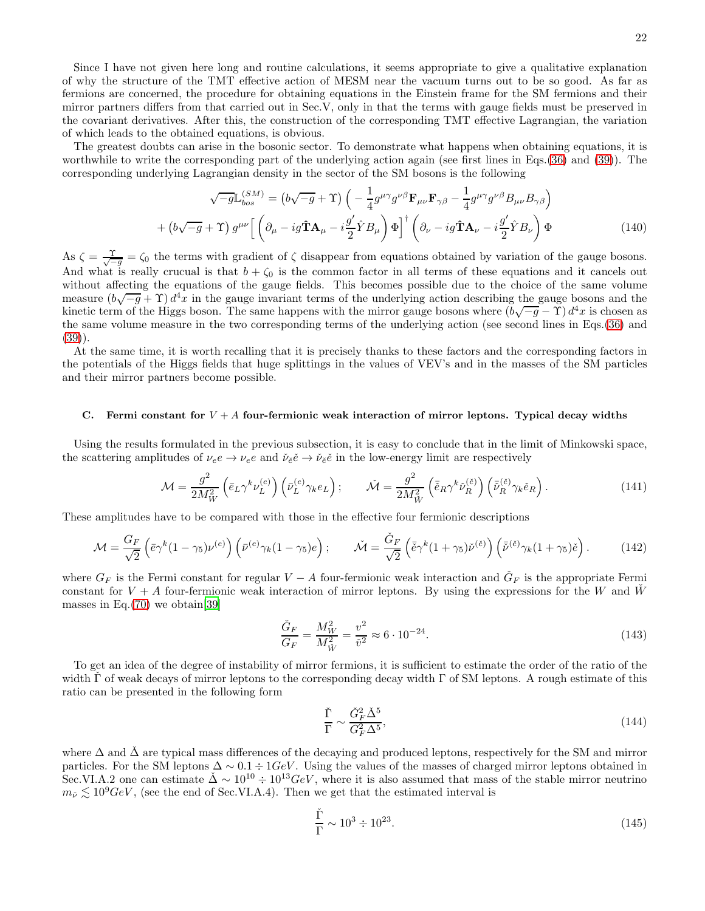Since I have not given here long and routine calculations, it seems appropriate to give a qualitative explanation of why the structure of the TMT effective action of MESM near the vacuum turns out to be so good. As far as fermions are concerned, the procedure for obtaining equations in the Einstein frame for the SM fermions and their mirror partners differs from that carried out in Sec.V, only in that the terms with gauge fields must be preserved in the covariant derivatives. After this, the construction of the corresponding TMT effective Lagrangian, the variation of which leads to the obtained equations, is obvious.

The greatest doubts can arise in the bosonic sector. To demonstrate what happens when obtaining equations, it is worthwhile to write the corresponding part of the underlying action again (see first lines in Eqs.[\(36\)](#page-8-0) and [\(39\)](#page-9-4)). The corresponding underlying Lagrangian density in the sector of the SM bosons is the following

$$
\sqrt{-g} \mathbb{L}_{bos}^{(SM)} = (b\sqrt{-g} + \Upsilon) \left( -\frac{1}{4} g^{\mu \gamma} g^{\nu \beta} \mathbf{F}_{\mu \nu} \mathbf{F}_{\gamma \beta} - \frac{1}{4} g^{\mu \gamma} g^{\nu \beta} B_{\mu \nu} B_{\gamma \beta} \right) + (b\sqrt{-g} + \Upsilon) g^{\mu \nu} \left[ \left( \partial_{\mu} - ig \hat{\mathbf{T}} \mathbf{A}_{\mu} - i \frac{g'}{2} \hat{Y} B_{\mu} \right) \Phi \right]^{\dagger} \left( \partial_{\nu} - ig \hat{\mathbf{T}} \mathbf{A}_{\nu} - i \frac{g'}{2} \hat{Y} B_{\nu} \right) \Phi
$$
(140)

As  $\zeta = \frac{\Upsilon}{\sqrt{-g}} = \zeta_0$  the terms with gradient of  $\zeta$  disappear from equations obtained by variation of the gauge bosons. And what is really crucual is that  $b + \zeta_0$  is the common factor in all terms of these equations and it cancels out without affecting the equations of the gauge fields. This becomes possible due to the choice of the same volume measure  $(b\sqrt{-g} + \Upsilon)d^4x$  in the gauge invariant terms of the underlying action describing the gauge bosons and the kinetic term of the Higgs boson. The same happens with the mirror gauge bosons where  $(b\sqrt{-g}-\Upsilon)d^4x$  is chosen as the same volume measure in the two corresponding terms of the underlying action (see second lines in Eqs.[\(36\)](#page-8-0) and [\(39\)](#page-9-4)).

At the same time, it is worth recalling that it is precisely thanks to these factors and the corresponding factors in the potentials of the Higgs fields that huge splittings in the values of VEV's and in the masses of the SM particles and their mirror partners become possible.

#### C. Fermi constant for  $V + A$  four-fermionic weak interaction of mirror leptons. Typical decay widths

Using the results formulated in the previous subsection, it is easy to conclude that in the limit of Minkowski space, the scattering amplitudes of  $\nu_e e \to \nu_e e$  and  $\check{\nu}_{\check{e}} \check{e} \to \check{\nu}_{\check{e}} \check{e}$  in the low-energy limit are respectively

$$
\mathcal{M} = \frac{g^2}{2M_W^2} \left( \bar{e}_L \gamma^k \nu_L^{(e)} \right) \left( \bar{\nu}_L^{(e)} \gamma_k e_L \right); \qquad \mathcal{\tilde{M}} = \frac{g^2}{2M_W^2} \left( \bar{\tilde{e}}_R \gamma^k \tilde{\nu}_R^{(\tilde{e})} \right) \left( \bar{\tilde{\nu}}_R^{(\tilde{e})} \gamma_k \tilde{e}_R \right). \tag{141}
$$

These amplitudes have to be compared with those in the effective four fermionic descriptions

$$
\mathcal{M} = \frac{G_F}{\sqrt{2}} \left( \bar{e} \gamma^k (1 - \gamma_5) \nu^{(e)} \right) \left( \bar{\nu}^{(e)} \gamma_k (1 - \gamma_5) e \right); \qquad \check{\mathcal{M}} = \frac{\check{G}_F}{\sqrt{2}} \left( \bar{\check{e}} \gamma^k (1 + \gamma_5) \check{\nu}^{(\check{e})} \right) \left( \bar{\check{\nu}}^{(\check{e})} \gamma_k (1 + \gamma_5) \check{e} \right).
$$
 (142)

where  $G_F$  is the Fermi constant for regular  $V - A$  four-fermionic weak interaction and  $\tilde{G}_F$  is the appropriate Fermi constant for  $V + A$  four-fermionic weak interaction of mirror leptons. By using the expressions for the W and W masses in Eq. $(70)$  we obtain [\[39](#page-42-7)]

$$
\frac{\check{G}_F}{G_F} = \frac{M_W^2}{M_{\tilde{W}}^2} = \frac{v^2}{\tilde{v}^2} \approx 6 \cdot 10^{-24}.
$$
\n(143)

To get an idea of the degree of instability of mirror fermions, it is sufficient to estimate the order of the ratio of the width  $\Gamma$  of weak decays of mirror leptons to the corresponding decay width  $\Gamma$  of SM leptons. A rough estimate of this ratio can be presented in the following form

$$
\frac{\check{\Gamma}}{\Gamma} \sim \frac{\check{G}_F^2 \check{\Delta}^5}{G_F^2 \Delta^5},\tag{144}
$$

where  $\Delta$  and  $\tilde{\Delta}$  are typical mass differences of the decaying and produced leptons, respectively for the SM and mirror particles. For the SM leptons  $\Delta \sim 0.1 \div 1 GeV$ . Using the values of the masses of charged mirror leptons obtained in Sec.VI.A.2 one can estimate  $\Delta \sim 10^{10} \div 10^{13} \text{GeV}$ , where it is also assumed that mass of the stable mirror neutrino  $m_{\tilde{\nu}} \lesssim 10^9 GeV$ , (see the end of Sec.VI.A.4). Then we get that the estimated interval is

$$
\frac{\check{\Gamma}}{\Gamma} \sim 10^3 \div 10^{23}.\tag{145}
$$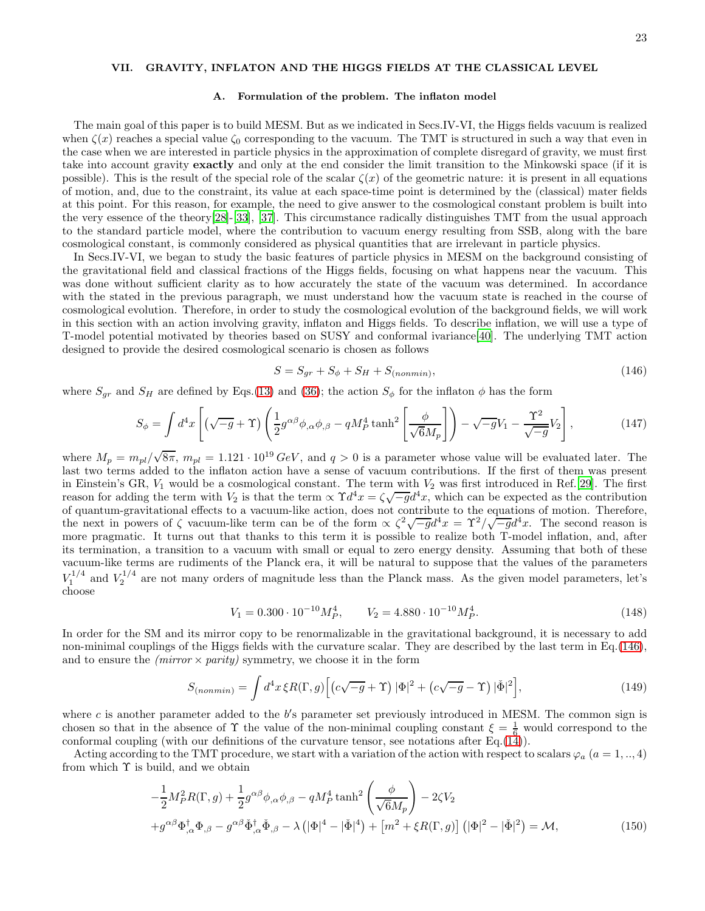# VII. GRAVITY, INFLATON AND THE HIGGS FIELDS AT THE CLASSICAL LEVEL

#### A. Formulation of the problem. The inflaton model

The main goal of this paper is to build MESM. But as we indicated in Secs.IV-VI, the Higgs fields vacuum is realized when  $\zeta(x)$  reaches a special value  $\zeta_0$  corresponding to the vacuum. The TMT is structured in such a way that even in the case when we are interested in particle physics in the approximation of complete disregard of gravity, we must first take into account gravity exactly and only at the end consider the limit transition to the Minkowski space (if it is possible). This is the result of the special role of the scalar  $\zeta(x)$  of the geometric nature: it is present in all equations of motion, and, due to the constraint, its value at each space-time point is determined by the (classical) mater fields at this point. For this reason, for example, the need to give answer to the cosmological constant problem is built into the very essence of the theory[\[28\]](#page-42-3)-[\[33\]](#page-42-8), [\[37\]](#page-42-4). This circumstance radically distinguishes TMT from the usual approach to the standard particle model, where the contribution to vacuum energy resulting from SSB, along with the bare cosmological constant, is commonly considered as physical quantities that are irrelevant in particle physics.

In Secs.IV-VI, we began to study the basic features of particle physics in MESM on the background consisting of the gravitational field and classical fractions of the Higgs fields, focusing on what happens near the vacuum. This was done without sufficient clarity as to how accurately the state of the vacuum was determined. In accordance with the stated in the previous paragraph, we must understand how the vacuum state is reached in the course of cosmological evolution. Therefore, in order to study the cosmological evolution of the background fields, we will work in this section with an action involving gravity, inflaton and Higgs fields. To describe inflation, we will use a type of T-model potential motivated by theories based on SUSY and conformal ivariance[40]. The underlying TMT action designed to provide the desired cosmological scenario is chosen as follows

<span id="page-22-0"></span>
$$
S = S_{gr} + S_{\phi} + S_H + S_{(nonmin)},\tag{146}
$$

where  $S_{gr}$  and  $S_H$  are defined by Eqs.[\(13\)](#page-4-1) and [\(36\)](#page-8-0); the action  $S_{\phi}$  for the inflaton  $\phi$  has the form

<span id="page-22-2"></span>
$$
S_{\phi} = \int d^4x \left[ \left( \sqrt{-g} + \Upsilon \right) \left( \frac{1}{2} g^{\alpha \beta} \phi_{,\alpha} \phi_{,\beta} - q M_P^4 \tanh^2 \left[ \frac{\phi}{\sqrt{6} M_p} \right] \right) - \sqrt{-g} V_1 - \frac{\Upsilon^2}{\sqrt{-g}} V_2 \right],\tag{147}
$$

where  $M_p = m_{pl}/\sqrt{8\pi}$ ,  $m_{pl} = 1.121 \cdot 10^{19} \text{ GeV}$ , and  $q > 0$  is a parameter whose value will be evaluated later. The last two terms added to the inflaton action have a sense of vacuum contributions. If the first of them was present in Einstein's GR,  $V_1$  would be a cosmological constant. The term with  $V_2$  was first introduced in Ref.[\[29\]](#page-42-5). The first reason for adding the term with  $V_2$  is that the term  $\propto \Upsilon d^4 x = \zeta \sqrt{-g} d^4 x$ , which can be expected as the contribution of quantum-gravitational effects to a vacuum-like action, does not contribute to the equations of motion. Therefore, the next in powers of  $\zeta$  vacuum-like term can be of the form  $\propto \zeta^2 \sqrt{-g} d^4 x = \Upsilon^2 / \sqrt{-g} d^4 x$ . The second reason is more pragmatic. It turns out that thanks to this term it is possible to realize both T-model inflation, and, after its termination, a transition to a vacuum with small or equal to zero energy density. Assuming that both of these vacuum-like terms are rudiments of the Planck era, it will be natural to suppose that the values of the parameters  $V_1^{1/4}$  and  $V_2^{1/4}$  are not many orders of magnitude less than the Planck mass. As the given model parameters, let's choose

<span id="page-22-3"></span>
$$
V_1 = 0.300 \cdot 10^{-10} M_P^4, \qquad V_2 = 4.880 \cdot 10^{-10} M_P^4. \tag{148}
$$

In order for the SM and its mirror copy to be renormalizable in the gravitational background, it is necessary to add non-minimal couplings of the Higgs fields with the curvature scalar. They are described by the last term in Eq.[\(146\)](#page-22-0), and to ensure the *(mirror*  $\times$  *parity)* symmetry, we choose it in the form

<span id="page-22-4"></span>
$$
S_{(nonmin)} = \int d^4x \,\xi R(\Gamma, g) \Big[ \left( c\sqrt{-g} + \Upsilon \right) |\Phi|^2 + \left( c\sqrt{-g} - \Upsilon \right) |\check{\Phi}|^2 \Big],\tag{149}
$$

where c is another parameter added to the  $b$ 's parameter set previously introduced in MESM. The common sign is chosen so that in the absence of  $\Upsilon$  the value of the non-minimal coupling constant  $\xi = \frac{1}{6}$  would correspond to the conformal coupling (with our definitions of the curvature tensor, see notations after Eq.[\(14\)](#page-4-3)).

Acting according to the TMT procedure, we start with a variation of the action with respect to scalars  $\varphi_a$   $(a = 1,..,4)$ from which  $\Upsilon$  is build, and we obtain

<span id="page-22-1"></span>
$$
-\frac{1}{2}M_P^2 R(\Gamma, g) + \frac{1}{2}g^{\alpha\beta}\phi_{,\alpha}\phi_{,\beta} - qM_P^4 \tanh^2\left(\frac{\phi}{\sqrt{6}M_P}\right) - 2\zeta V_2
$$
  
+  $g^{\alpha\beta}\Phi_{,\alpha}^{\dagger}\Phi_{,\beta} - g^{\alpha\beta}\check{\Phi}_{,\alpha}^{\dagger}\check{\Phi}_{,\beta} - \lambda\left(|\Phi|^4 - |\check{\Phi}|^4\right) + \left[m^2 + \xi R(\Gamma, g)\right]\left(|\Phi|^2 - |\check{\Phi}|^2\right) = \mathcal{M},$  (150)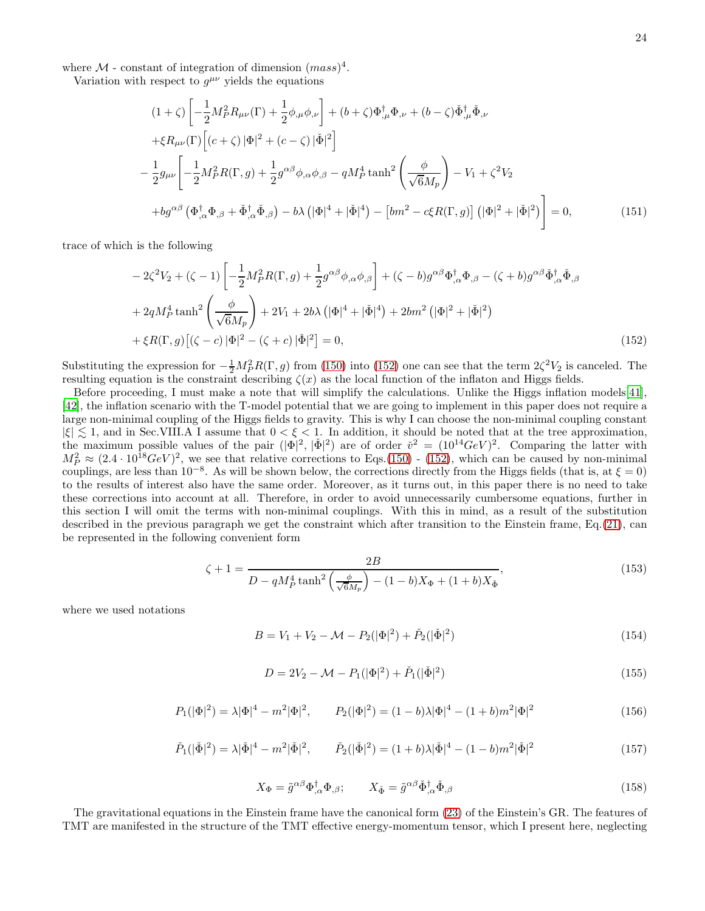where  $\mathcal{M}$  - constant of integration of dimension  $(mass)^4$ .

Variation with respect to  $g^{\mu\nu}$  yields the equations

<span id="page-23-1"></span>
$$
(1+\zeta)\left[-\frac{1}{2}M_P^2R_{\mu\nu}(\Gamma)+\frac{1}{2}\phi_{,\mu}\phi_{,\nu}\right]+(b+\zeta)\Phi_{,\mu}^{\dagger}\Phi_{,\nu}+(b-\zeta)\check{\Phi}_{,\mu}^{\dagger}\check{\Phi}_{,\nu}
$$
  
\n
$$
+\xi R_{\mu\nu}(\Gamma)\left[(c+\zeta)|\Phi|^2+(c-\zeta)|\check{\Phi}|^2\right]
$$
  
\n
$$
-\frac{1}{2}g_{\mu\nu}\left[-\frac{1}{2}M_P^2R(\Gamma,g)+\frac{1}{2}g^{\alpha\beta}\phi_{,\alpha}\phi_{,\beta}-qM_P^4\tanh^2\left(\frac{\phi}{\sqrt{6}M_P}\right)-V_1+\zeta^2V_2
$$
  
\n
$$
+bg^{\alpha\beta}\left(\Phi_{,\alpha}^{\dagger}\Phi_{,\beta}+\check{\Phi}_{,\alpha}^{\dagger}\check{\Phi}_{,\beta}\right)-b\lambda\left(|\Phi|^4+|\check{\Phi}|^4\right)-\left[bm^2-c\xi R(\Gamma,g)\right]\left(|\Phi|^2+|\check{\Phi}|^2\right)\right]=0,
$$
 (151)

trace of which is the following

<span id="page-23-0"></span>
$$
-2\zeta^2 V_2 + (\zeta - 1) \left[ -\frac{1}{2} M_P^2 R(\Gamma, g) + \frac{1}{2} g^{\alpha \beta} \phi_{,\alpha} \phi_{,\beta} \right] + (\zeta - b) g^{\alpha \beta} \Phi_{,\alpha}^{\dagger} \Phi_{,\beta} - (\zeta + b) g^{\alpha \beta} \check{\Phi}_{,\alpha}^{\dagger} \check{\Phi}_{,\beta}
$$
  
+  $2q M_P^4 \tanh^2 \left( \frac{\phi}{\sqrt{6} M_P} \right) + 2V_1 + 2b \lambda \left( |\Phi|^4 + |\check{\Phi}|^4 \right) + 2bm^2 \left( |\Phi|^2 + |\check{\Phi}|^2 \right) + \xi R(\Gamma, g) \left[ (\zeta - c) |\Phi|^2 - (\zeta + c) |\check{\Phi}|^2 \right] = 0,$  (152)

Substituting the expression for  $-\frac{1}{2}M_P^2 R(\Gamma, g)$  from [\(150\)](#page-22-1) into [\(152\)](#page-23-0) one can see that the term  $2\zeta^2 V_2$  is canceled. The resulting equation is the constraint describing  $\zeta(x)$  as the local function of the inflaton and Higgs fields.

Before proceeding, I must make a note that will simplify the calculations. Unlike the Higgs inflation models[41], [42], the inflation scenario with the T-model potential that we are going to implement in this paper does not require a large non-minimal coupling of the Higgs fields to gravity. This is why I can choose the non-minimal coupling constant  $|\xi| \lesssim 1$ , and in Sec.VIII.A I assume that  $0 < \xi < 1$ . In addition, it should be noted that at the tree approximation, the maximum possible values of the pair  $(|\Phi|^2, |\Phi|^2)$  are of order  $\tilde{v}^2 = (10^{14}GeV)^2$ . Comparing the latter with  $M_P^2 \approx (2.4 \cdot 10^{18} \text{GeV})^2$ , we see that relative corrections to Eqs.[\(150\)](#page-22-1) - [\(152\)](#page-23-0), which can be caused by non-minimal couplings, are less than  $10^{-8}$ . As will be shown below, the corrections directly from the Higgs fields (that is, at  $\xi = 0$ ) to the results of interest also have the same order. Moreover, as it turns out, in this paper there is no need to take these corrections into account at all. Therefore, in order to avoid unnecessarily cumbersome equations, further in this section I will omit the terms with non-minimal couplings. With this in mind, as a result of the substitution described in the previous paragraph we get the constraint which after transition to the Einstein frame, Eq.[\(21\)](#page-6-6), can be represented in the following convenient form

<span id="page-23-3"></span>
$$
\zeta + 1 = \frac{2B}{D - qM_P^4 \tanh^2\left(\frac{\phi}{\sqrt{6}M_P}\right) - (1 - b)X_{\Phi} + (1 + b)X_{\Phi}},\tag{153}
$$

where we used notations

<span id="page-23-4"></span>
$$
B = V_1 + V_2 - \mathcal{M} - P_2(|\Phi|^2) + \check{P}_2(|\check{\Phi}|^2)
$$
\n(154)

$$
D = 2V_2 - \mathcal{M} - P_1(|\Phi|^2) + \check{P}_1(|\check{\Phi}|^2)
$$
\n(155)

$$
P_1(|\Phi|^2) = \lambda |\Phi|^4 - m^2 |\Phi|^2, \qquad P_2(|\Phi|^2) = (1 - b)\lambda |\Phi|^4 - (1 + b)m^2 |\Phi|^2 \tag{156}
$$

$$
\check{P}_1(|\check{\Phi}|^2) = \lambda |\check{\Phi}|^4 - m^2 |\check{\Phi}|^2, \qquad \check{P}_2(|\check{\Phi}|^2) = (1+b)\lambda |\check{\Phi}|^4 - (1-b)m^2 |\check{\Phi}|^2 \tag{157}
$$

<span id="page-23-2"></span>
$$
X_{\Phi} = \tilde{g}^{\alpha\beta} \Phi^{\dagger}_{,\alpha} \Phi_{,\beta}; \qquad X_{\check{\Phi}} = \tilde{g}^{\alpha\beta} \check{\Phi}^{\dagger}_{,\alpha} \check{\Phi}_{,\beta}
$$
\n
$$
\tag{158}
$$

The gravitational equations in the Einstein frame have the canonical form [\(23\)](#page-6-7) of the Einstein's GR. The features of TMT are manifested in the structure of the TMT effective energy-momentum tensor, which I present here, neglecting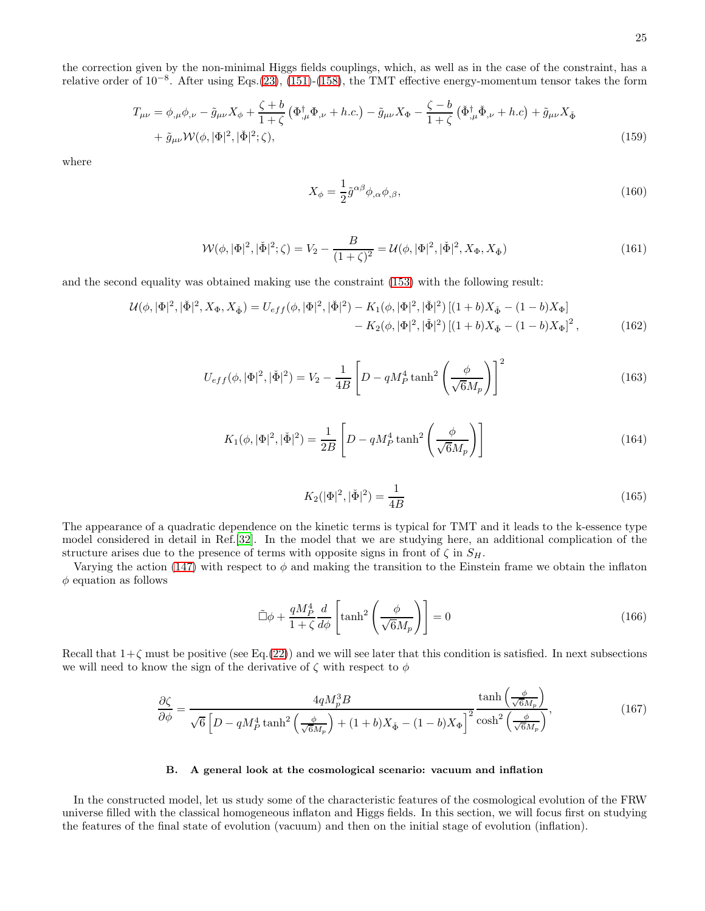the correction given by the non-minimal Higgs fields couplings, which, as well as in the case of the constraint, has a relative order of 10<sup>-8</sup>. After using Eqs.[\(23\)](#page-6-7), [\(151\)](#page-23-1)-[\(158\)](#page-23-2), the TMT effective energy-momentum tensor takes the form

<span id="page-24-4"></span>
$$
T_{\mu\nu} = \phi_{,\mu}\phi_{,\nu} - \tilde{g}_{\mu\nu}X_{\phi} + \frac{\zeta + b}{1 + \zeta} \left(\Phi_{,\mu}^{\dagger}\Phi_{,\nu} + h.c.\right) - \tilde{g}_{\mu\nu}X_{\Phi} - \frac{\zeta - b}{1 + \zeta} \left(\check{\Phi}_{,\mu}^{\dagger}\check{\Phi}_{,\nu} + h.c\right) + \tilde{g}_{\mu\nu}X_{\check{\Phi}} + \tilde{g}_{\mu\nu}\mathcal{W}(\phi, |\Phi|^2, |\check{\Phi}|^2; \zeta),
$$
\n(159)

where

$$
X_{\phi} = \frac{1}{2}\tilde{g}^{\alpha\beta}\phi_{,\alpha}\phi_{,\beta},\tag{160}
$$

<span id="page-24-1"></span>
$$
\mathcal{W}(\phi, |\Phi|^2, |\check{\Phi}|^2; \zeta) = V_2 - \frac{B}{(1+\zeta)^2} = \mathcal{U}(\phi, |\Phi|^2, |\check{\Phi}|^2, X_{\Phi}, X_{\check{\Phi}})
$$
(161)

and the second equality was obtained making use the constraint [\(153\)](#page-23-3) with the following result:

$$
\mathcal{U}(\phi, |\Phi|^2, |\check{\Phi}|^2, X_{\Phi}, X_{\check{\Phi}}) = U_{eff}(\phi, |\Phi|^2, |\check{\Phi}|^2) - K_1(\phi, |\Phi|^2, |\check{\Phi}|^2) \left[ (1+b)X_{\check{\Phi}} - (1-b)X_{\Phi} \right] - K_2(\phi, |\Phi|^2, |\check{\Phi}|^2) \left[ (1+b)X_{\check{\Phi}} - (1-b)X_{\Phi} \right]^2, \tag{162}
$$

<span id="page-24-2"></span>
$$
U_{eff}(\phi, |\Phi|^2, |\check{\Phi}|^2) = V_2 - \frac{1}{4B} \left[ D - qM_P^4 \tanh^2 \left( \frac{\phi}{\sqrt{6}M_p} \right) \right]^2 \tag{163}
$$

$$
K_1(\phi, |\Phi|^2, |\check{\Phi}|^2) = \frac{1}{2B} \left[ D - qM_P^4 \tanh^2 \left( \frac{\phi}{\sqrt{6}M_p} \right) \right]
$$
(164)

$$
K_2(|\Phi|^2, |\check{\Phi}|^2) = \frac{1}{4B} \tag{165}
$$

The appearance of a quadratic dependence on the kinetic terms is typical for TMT and it leads to the k-essence type model considered in detail in Ref.[\[32\]](#page-42-9). In the model that we are studying here, an additional complication of the structure arises due to the presence of terms with opposite signs in front of  $\zeta$  in  $S_H$ .

Varying the action [\(147\)](#page-22-2) with respect to  $\phi$  and making the transition to the Einstein frame we obtain the inflaton  $\phi$  equation as follows

<span id="page-24-0"></span>
$$
\tilde{\Box}\phi + \frac{qM_P^4}{1+\zeta} \frac{d}{d\phi} \left[ \tanh^2\left(\frac{\phi}{\sqrt{6}M_p}\right) \right] = 0 \tag{166}
$$

Recall that  $1+\zeta$  must be positive (see Eq.[\(22\)](#page-6-8)) and we will see later that this condition is satisfied. In next subsections we will need to know the sign of the derivative of  $\zeta$  with respect to  $\phi$ 

<span id="page-24-3"></span>
$$
\frac{\partial \zeta}{\partial \phi} = \frac{4qM_p^3B}{\sqrt{6}\left[D - qM_P^4 \tanh^2\left(\frac{\phi}{\sqrt{6}M_p}\right) + (1+b)X_{\Phi} - (1-b)X_{\Phi}\right]^2} \frac{\tanh\left(\frac{\phi}{\sqrt{6}M_p}\right)}{\cosh^2\left(\frac{\phi}{\sqrt{6}M_p}\right)},\tag{167}
$$

### B. A general look at the cosmological scenario: vacuum and inflation

In the constructed model, let us study some of the characteristic features of the cosmological evolution of the FRW universe filled with the classical homogeneous inflaton and Higgs fields. In this section, we will focus first on studying the features of the final state of evolution (vacuum) and then on the initial stage of evolution (inflation).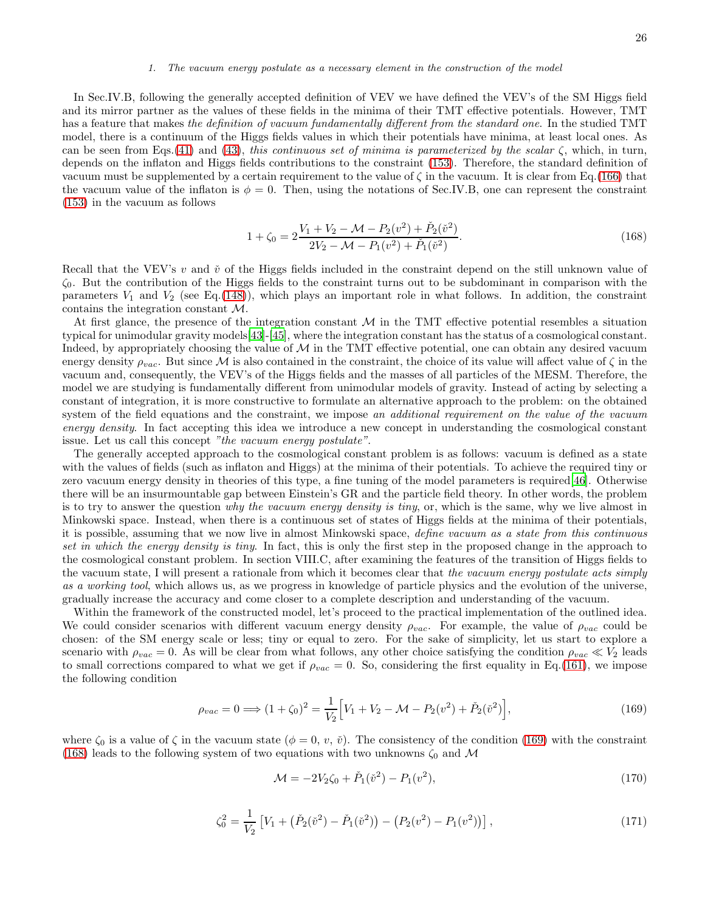#### 1. The vacuum energy postulate as a necessary element in the construction of the model

In Sec.IV.B, following the generally accepted definition of VEV we have defined the VEV's of the SM Higgs field and its mirror partner as the values of these fields in the minima of their TMT effective potentials. However, TMT has a feature that makes the definition of vacuum fundamentally different from the standard one. In the studied TMT model, there is a continuum of the Higgs fields values in which their potentials have minima, at least local ones. As can be seen from Eqs.[\(41\)](#page-9-2) and [\(43\)](#page-9-3), this continuous set of minima is parameterized by the scalar  $\zeta$ , which, in turn, depends on the inflaton and Higgs fields contributions to the constraint [\(153\)](#page-23-3). Therefore, the standard definition of vacuum must be supplemented by a certain requirement to the value of  $\zeta$  in the vacuum. It is clear from Eq.[\(166\)](#page-24-0) that the vacuum value of the inflaton is  $\phi = 0$ . Then, using the notations of Sec.IV.B, one can represent the constraint [\(153\)](#page-23-3) in the vacuum as follows

<span id="page-25-1"></span>
$$
1 + \zeta_0 = 2\frac{V_1 + V_2 - \mathcal{M} - P_2(v^2) + \check{P}_2(\check{v}^2)}{2V_2 - \mathcal{M} - P_1(v^2) + \check{P}_1(\check{v}^2)}.
$$
\n(168)

Recall that the VEV's v and  $\check{v}$  of the Higgs fields included in the constraint depend on the still unknown value of  $\zeta_0$ . But the contribution of the Higgs fields to the constraint turns out to be subdominant in comparison with the parameters  $V_1$  and  $V_2$  (see Eq.[\(148\)](#page-22-3)), which plays an important role in what follows. In addition, the constraint contains the integration constant M.

At first glance, the presence of the integration constant  $\mathcal M$  in the TMT effective potential resembles a situation typical for unimodular gravity models[\[43\]](#page-42-10)-[\[45\]](#page-42-11), where the integration constant has the status of a cosmological constant. Indeed, by appropriately choosing the value of  $\mathcal M$  in the TMT effective potential, one can obtain any desired vacuum energy density  $\rho_{vac}$ . But since M is also contained in the constraint, the choice of its value will affect value of  $\zeta$  in the vacuum and, consequently, the VEV's of the Higgs fields and the masses of all particles of the MESM. Therefore, the model we are studying is fundamentally different from unimodular models of gravity. Instead of acting by selecting a constant of integration, it is more constructive to formulate an alternative approach to the problem: on the obtained system of the field equations and the constraint, we impose an additional requirement on the value of the vacuum energy density. In fact accepting this idea we introduce a new concept in understanding the cosmological constant issue. Let us call this concept "the vacuum energy postulate".

The generally accepted approach to the cosmological constant problem is as follows: vacuum is defined as a state with the values of fields (such as inflaton and Higgs) at the minima of their potentials. To achieve the required tiny or zero vacuum energy density in theories of this type, a fine tuning of the model parameters is required[\[46\]](#page-42-12). Otherwise there will be an insurmountable gap between Einstein's GR and the particle field theory. In other words, the problem is to try to answer the question why the vacuum energy density is tiny, or, which is the same, why we live almost in Minkowski space. Instead, when there is a continuous set of states of Higgs fields at the minima of their potentials, it is possible, assuming that we now live in almost Minkowski space, define vacuum as a state from this continuous set in which the energy density is tiny. In fact, this is only the first step in the proposed change in the approach to the cosmological constant problem. In section VIII.C, after examining the features of the transition of Higgs fields to the vacuum state, I will present a rationale from which it becomes clear that the vacuum energy postulate acts simply as a working tool, which allows us, as we progress in knowledge of particle physics and the evolution of the universe, gradually increase the accuracy and come closer to a complete description and understanding of the vacuum.

Within the framework of the constructed model, let's proceed to the practical implementation of the outlined idea. We could consider scenarios with different vacuum energy density  $\rho_{vac}$ . For example, the value of  $\rho_{vac}$  could be chosen: of the SM energy scale or less; tiny or equal to zero. For the sake of simplicity, let us start to explore a scenario with  $\rho_{vac} = 0$ . As will be clear from what follows, any other choice satisfying the condition  $\rho_{vac} \ll V_2$  leads to small corrections compared to what we get if  $\rho_{vac} = 0$ . So, considering the first equality in Eq.[\(161\)](#page-24-1), we impose the following condition

<span id="page-25-0"></span>
$$
\rho_{vac} = 0 \Longrightarrow (1 + \zeta_0)^2 = \frac{1}{V_2} \Big[ V_1 + V_2 - \mathcal{M} - P_2(v^2) + \check{P}_2(\check{v}^2) \Big],\tag{169}
$$

where  $\zeta_0$  is a value of  $\zeta$  in the vacuum state  $(\phi = 0, v, \check{v})$ . The consistency of the condition [\(169\)](#page-25-0) with the constraint [\(168\)](#page-25-1) leads to the following system of two equations with two unknowns  $\zeta_0$  and M

$$
\mathcal{M} = -2V_2\zeta_0 + \check{P}_1(\check{v}^2) - P_1(v^2),\tag{170}
$$

$$
\zeta_0^2 = \frac{1}{V_2} \left[ V_1 + (\check{P}_2(\check{v}^2) - \check{P}_1(\check{v}^2)) - (P_2(v^2) - P_1(v^2)) \right],\tag{171}
$$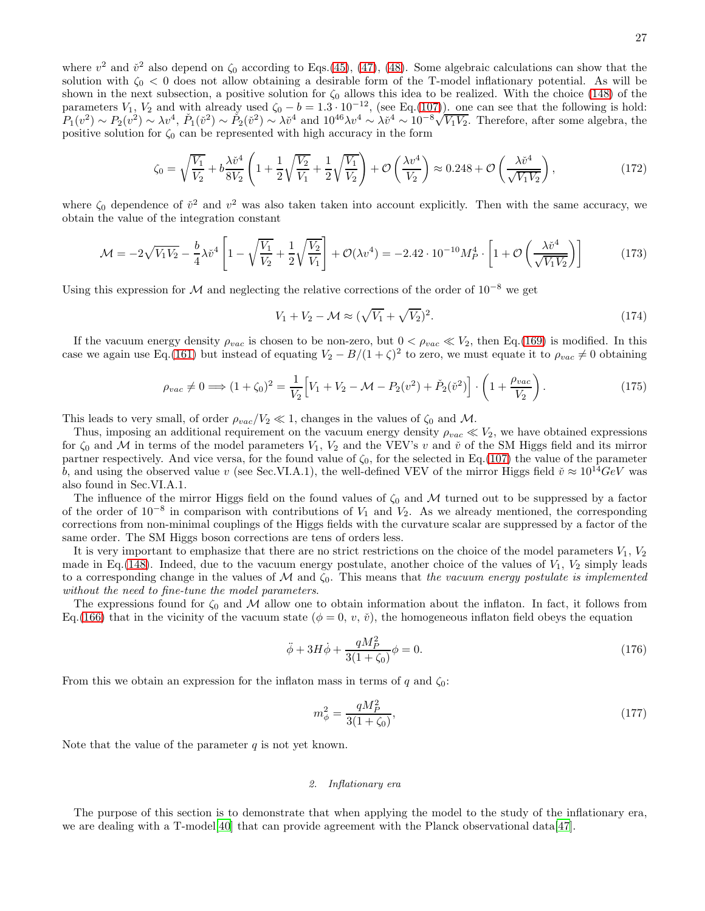where  $v^2$  and  $\tilde{v}^2$  also depend on  $\zeta_0$  according to Eqs.[\(45\)](#page-9-5), [\(47\)](#page-10-1), [\(48\)](#page-10-2). Some algebraic calculations can show that the solution with  $\zeta_0 < 0$  does not allow obtaining a desirable form of the T-model inflationary potential. As will be shown in the next subsection, a positive solution for  $\zeta_0$  allows this idea to be realized. With the choice [\(148\)](#page-22-3) of the parameters  $V_1$ ,  $V_2$  and with already used  $\zeta_0 - b = 1.3 \cdot 10^{-12}$ , (see Eq.[\(107\)](#page-17-2)). one can see that the following is hold:  $P_1(v^2) \sim P_2(v^2) \sim \lambda v^4$ ,  $P_1(\tilde{v}^2) \sim P_2(\tilde{v}^2) \sim \lambda \tilde{v}^4$  and  $10^{46}\lambda v^4 \sim \lambda \tilde{v}^4 \sim 10^{-8}\sqrt{V_1V_2}$ . Therefore, after some algebra, the positive solution for  $\zeta_0$  can be represented with high accuracy in the form

<span id="page-26-2"></span>
$$
\zeta_0 = \sqrt{\frac{V_1}{V_2}} + b \frac{\lambda \check{v}^4}{8V_2} \left( 1 + \frac{1}{2} \sqrt{\frac{V_2}{V_1}} + \frac{1}{2} \sqrt{\frac{V_1}{V_2}} \right) + \mathcal{O}\left(\frac{\lambda v^4}{V_2}\right) \approx 0.248 + \mathcal{O}\left(\frac{\lambda \check{v}^4}{\sqrt{V_1 V_2}}\right),\tag{172}
$$

where  $\zeta_0$  dependence of  $\check{v}^2$  and  $v^2$  was also taken taken into account explicitly. Then with the same accuracy, we obtain the value of the integration constant

<span id="page-26-0"></span>
$$
\mathcal{M} = -2\sqrt{V_1V_2} - \frac{b}{4}\lambda \check{v}^4 \left[ 1 - \sqrt{\frac{V_1}{V_2}} + \frac{1}{2}\sqrt{\frac{V_2}{V_1}} \right] + \mathcal{O}(\lambda v^4) = -2.42 \cdot 10^{-10} M_P^4 \cdot \left[ 1 + \mathcal{O}\left(\frac{\lambda \check{v}^4}{\sqrt{V_1 V_2}}\right) \right] \tag{173}
$$

Using this expression for  $\mathcal M$  and neglecting the relative corrections of the order of 10<sup>-8</sup> we get

<span id="page-26-1"></span>
$$
V_1 + V_2 - \mathcal{M} \approx (\sqrt{V_1} + \sqrt{V_2})^2. \tag{174}
$$

If the vacuum energy density  $\rho_{vac}$  is chosen to be non-zero, but  $0 < \rho_{vac} \ll V_2$ , then Eq.[\(169\)](#page-25-0) is modified. In this case we again use Eq.[\(161\)](#page-24-1) but instead of equating  $V_2 - B/(1+\zeta)^2$  to zero, we must equate it to  $\rho_{vac} \neq 0$  obtaining

$$
\rho_{vac} \neq 0 \Longrightarrow (1 + \zeta_0)^2 = \frac{1}{V_2} \Big[ V_1 + V_2 - \mathcal{M} - P_2(v^2) + \check{P}_2(\check{v}^2) \Big] \cdot \left( 1 + \frac{\rho_{vac}}{V_2} \right). \tag{175}
$$

This leads to very small, of order  $\rho_{vac}/V_2 \ll 1$ , changes in the values of  $\zeta_0$  and M.

Thus, imposing an additional requirement on the vacuum energy density  $\rho_{vac} \ll V_2$ , we have obtained expressions for  $\zeta_0$  and M in terms of the model parameters  $V_1$ ,  $V_2$  and the VEV's v and  $\check{v}$  of the SM Higgs field and its mirror partner respectively. And vice versa, for the found value of  $\zeta_0$ , for the selected in Eq.[\(107\)](#page-17-2) the value of the parameter b, and using the observed value v (see Sec.VI.A.1), the well-defined VEV of the mirror Higgs field  $\check{v} \approx 10^{14} GeV$  was also found in Sec.VI.A.1.

The influence of the mirror Higgs field on the found values of  $\zeta_0$  and M turned out to be suppressed by a factor of the order of  $10^{-8}$  in comparison with contributions of  $V_1$  and  $V_2$ . As we already mentioned, the corresponding corrections from non-minimal couplings of the Higgs fields with the curvature scalar are suppressed by a factor of the same order. The SM Higgs boson corrections are tens of orders less.

It is very important to emphasize that there are no strict restrictions on the choice of the model parameters  $V_1, V_2$ made in Eq.[\(148\)](#page-22-3). Indeed, due to the vacuum energy postulate, another choice of the values of  $V_1$ ,  $V_2$  simply leads to a corresponding change in the values of M and  $\zeta_0$ . This means that the vacuum energy postulate is implemented without the need to fine-tune the model parameters.

The expressions found for  $\zeta_0$  and M allow one to obtain information about the inflaton. In fact, it follows from Eq.[\(166\)](#page-24-0) that in the vicinity of the vacuum state ( $\phi = 0, v, \tilde{v}$ ), the homogeneous inflaton field obeys the equation

<span id="page-26-4"></span>
$$
\ddot{\phi} + 3H\dot{\phi} + \frac{qM_P^2}{3(1+\zeta_0)}\phi = 0.
$$
\n(176)

From this we obtain an expression for the inflaton mass in terms of q and  $\zeta_0$ :

<span id="page-26-3"></span>
$$
m_{\phi}^{2} = \frac{qM_{P}^{2}}{3(1+\zeta_{0})},\tag{177}
$$

Note that the value of the parameter  $q$  is not yet known.

# 2. Inflationary era

The purpose of this section is to demonstrate that when applying the model to the study of the inflationary era, we are dealing with a T-model[40] that can provide agreement with the Planck observational data[\[47\]](#page-42-13).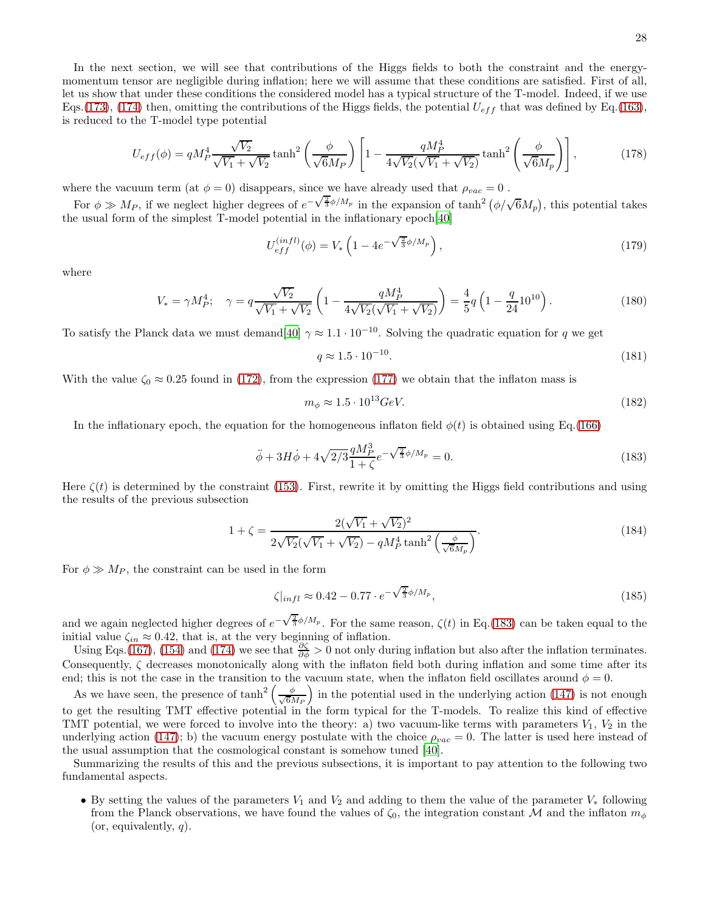In the next section, we will see that contributions of the Higgs fields to both the constraint and the energymomentum tensor are negligible during inflation; here we will assume that these conditions are satisfied. First of all, let us show that under these conditions the considered model has a typical structure of the T-model. Indeed, if we use Eqs.[\(173\)](#page-26-0), [\(174\)](#page-26-1) then, omitting the contributions of the Higgs fields, the potential  $U_{eff}$  that was defined by Eq.[\(163\)](#page-24-2), is reduced to the T-model type potential

$$
U_{eff}(\phi) = qM_P^4 \frac{\sqrt{V_2}}{\sqrt{V_1} + \sqrt{V_2}} \tanh^2\left(\frac{\phi}{\sqrt{6}M_P}\right) \left[1 - \frac{qM_P^4}{4\sqrt{V_2}(\sqrt{V_1} + \sqrt{V_2})} \tanh^2\left(\frac{\phi}{\sqrt{6}M_P}\right)\right],
$$
(178)

where the vacuum term (at  $\phi = 0$ ) disappears, since we have already used that  $\rho_{vac} = 0$ .

For  $\phi \gg M_P$ , if we neglect higher degrees of  $e^{-\sqrt{\frac{2}{3}}\phi/M_P}$  in the expansion of  $\tanh^2(\phi/\sqrt{6}M_P)$ , this potential takes the usual form of the simplest T-model potential in the inflationary epoch[40]

<span id="page-27-1"></span>
$$
U_{eff}^{(infl)}(\phi) = V_* \left( 1 - 4e^{-\sqrt{\frac{2}{3}}\phi/M_p} \right), \qquad (179)
$$

where

$$
V_* = \gamma M_P^4; \quad \gamma = q \frac{\sqrt{V_2}}{\sqrt{V_1} + \sqrt{V_2}} \left( 1 - \frac{q M_P^4}{4\sqrt{V_2}(\sqrt{V_1} + \sqrt{V_2})} \right) = \frac{4}{5} q \left( 1 - \frac{q}{24} 10^{10} \right).
$$
 (180)

To satisfy the Planck data we must demand [40]  $\gamma \approx 1.1 \cdot 10^{-10}$ . Solving the quadratic equation for q we get

<span id="page-27-4"></span>
$$
q \approx 1.5 \cdot 10^{-10}.\tag{181}
$$

With the value  $\zeta_0 \approx 0.25$  found in [\(172\)](#page-26-2), from the expression [\(177\)](#page-26-3) we obtain that the inflaton mass is

<span id="page-27-5"></span>
$$
m_{\phi} \approx 1.5 \cdot 10^{13} \text{GeV}.\tag{182}
$$

In the inflationary epoch, the equation for the homogeneous inflaton field  $\phi(t)$  is obtained using Eq.[\(166\)](#page-24-0)

<span id="page-27-0"></span>
$$
\ddot{\phi} + 3H\dot{\phi} + 4\sqrt{2/3}\frac{qM_P^3}{1+\zeta}e^{-\sqrt{\frac{2}{3}}\phi/M_P} = 0.
$$
\n(183)

Here  $\zeta(t)$  is determined by the constraint [\(153\)](#page-23-3). First, rewrite it by omitting the Higgs field contributions and using the results of the previous subsection

<span id="page-27-3"></span>
$$
1 + \zeta = \frac{2(\sqrt{V_1} + \sqrt{V_2})^2}{2\sqrt{V_2}(\sqrt{V_1} + \sqrt{V_2}) - qM_P^4 \tanh^2\left(\frac{\phi}{\sqrt{6}M_P}\right)}.
$$
\n(184)

For  $\phi \gg M_P$ , the constraint can be used in the form

<span id="page-27-2"></span>
$$
\zeta|_{infl} \approx 0.42 - 0.77 \cdot e^{-\sqrt{\frac{2}{3}}\phi/M_p},\tag{185}
$$

and we again neglected higher degrees of  $e^{-\sqrt{\frac{2}{3}}\phi/M_p}$ . For the same reason,  $\zeta(t)$  in Eq.[\(183\)](#page-27-0) can be taken equal to the initial value  $\zeta_{in} \approx 0.42$ , that is, at the very beginning of inflation.

Using Eqs.[\(167\)](#page-24-3), [\(154\)](#page-23-4) and [\(174\)](#page-26-1) we see that  $\frac{\partial \zeta}{\partial \phi} > 0$  not only during inflation but also after the inflation terminates. Consequently,  $\zeta$  decreases monotonically along with the inflaton field both during inflation and some time after its end; this is not the case in the transition to the vacuum state, when the inflaton field oscillates around  $\phi = 0$ .

As we have seen, the presence of  $\tanh^2\left(\frac{\phi}{\sqrt{6}}\right)$  $\left(\frac{\phi}{6M_P}\right)$  in the potential used in the underlying action [\(147\)](#page-22-2) is not enough to get the resulting TMT effective potential in the form typical for the T-models. To realize this kind of effective TMT potential, we were forced to involve into the theory: a) two vacuum-like terms with parameters  $V_1, V_2$  in the underlying action [\(147\)](#page-22-2); b) the vacuum energy postulate with the choice  $\rho_{vac} = 0$ . The latter is used here instead of the usual assumption that the cosmological constant is somehow tuned [40].

Summarizing the results of this and the previous subsections, it is important to pay attention to the following two fundamental aspects.

• By setting the values of the parameters  $V_1$  and  $V_2$  and adding to them the value of the parameter  $V_*$  following from the Planck observations, we have found the values of  $\zeta_0$ , the integration constant M and the inflaton  $m_\phi$ (or, equivalently,  $q$ ).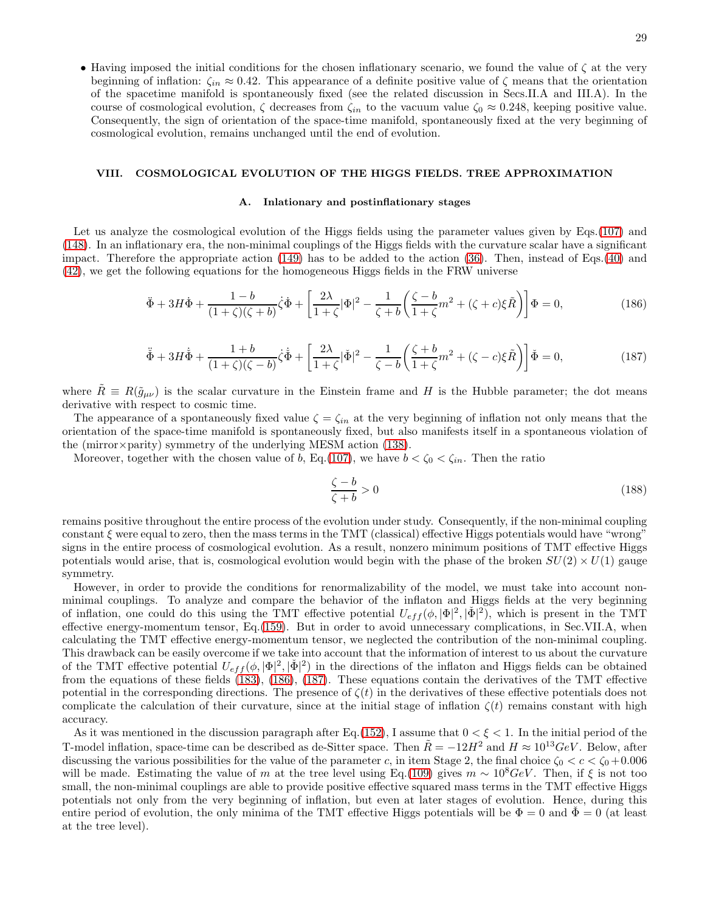• Having imposed the initial conditions for the chosen inflationary scenario, we found the value of  $\zeta$  at the very beginning of inflation:  $\zeta_{in} \approx 0.42$ . This appearance of a definite positive value of  $\zeta$  means that the orientation of the spacetime manifold is spontaneously fixed (see the related discussion in Secs.II.A and III.A). In the course of cosmological evolution,  $\zeta$  decreases from  $\zeta_{in}$  to the vacuum value  $\zeta_0 \approx 0.248$ , keeping positive value. Consequently, the sign of orientation of the space-time manifold, spontaneously fixed at the very beginning of cosmological evolution, remains unchanged until the end of evolution.

### VIII. COSMOLOGICAL EVOLUTION OF THE HIGGS FIELDS. TREE APPROXIMATION

### A. Inlationary and postinflationary stages

Let us analyze the cosmological evolution of the Higgs fields using the parameter values given by Eqs.[\(107\)](#page-17-2) and [\(148\)](#page-22-3). In an inflationary era, the non-minimal couplings of the Higgs fields with the curvature scalar have a significant impact. Therefore the appropriate action [\(149\)](#page-22-4) has to be added to the action [\(36\)](#page-8-0). Then, instead of Eqs.[\(40\)](#page-9-0) and [\(42\)](#page-9-1), we get the following equations for the homogeneous Higgs fields in the FRW universe

<span id="page-28-0"></span>
$$
\ddot{\Phi} + 3H\dot{\Phi} + \frac{1-b}{(1+\zeta)(\zeta+b)}\dot{\zeta}\dot{\Phi} + \left[\frac{2\lambda}{1+\zeta}|\Phi|^2 - \frac{1}{\zeta+b}\left(\frac{\zeta-b}{1+\zeta}m^2 + (\zeta+c)\xi\tilde{R}\right)\right]\Phi = 0,\tag{186}
$$

<span id="page-28-1"></span>
$$
\ddot{\Phi} + 3H\dot{\Phi} + \frac{1+b}{(1+\zeta)(\zeta-b)}\dot{\zeta}\dot{\Phi} + \left[\frac{2\lambda}{1+\zeta}|\dot{\Phi}|^2 - \frac{1}{\zeta-b}\left(\frac{\zeta+b}{1+\zeta}m^2 + (\zeta-c)\xi\tilde{R}\right)\right]\dot{\Phi} = 0,
$$
\n(187)

where  $R \equiv R(\tilde{g}_{\mu\nu})$  is the scalar curvature in the Einstein frame and H is the Hubble parameter; the dot means derivative with respect to cosmic time.

The appearance of a spontaneously fixed value  $\zeta = \zeta_{in}$  at the very beginning of inflation not only means that the orientation of the space-time manifold is spontaneously fixed, but also manifests itself in a spontaneous violation of the (mirror×parity) symmetry of the underlying MESM action [\(138\)](#page-20-0).

Moreover, together with the chosen value of b, Eq.[\(107\)](#page-17-2), we have  $b < \zeta_0 < \zeta_{in}$ . Then the ratio

$$
\frac{\zeta - b}{\zeta + b} > 0\tag{188}
$$

remains positive throughout the entire process of the evolution under study. Consequently, if the non-minimal coupling constant  $\xi$  were equal to zero, then the mass terms in the TMT (classical) effective Higgs potentials would have "wrong" signs in the entire process of cosmological evolution. As a result, nonzero minimum positions of TMT effective Higgs potentials would arise, that is, cosmological evolution would begin with the phase of the broken  $SU(2) \times U(1)$  gauge symmetry.

However, in order to provide the conditions for renormalizability of the model, we must take into account nonminimal couplings. To analyze and compare the behavior of the inflaton and Higgs fields at the very beginning of inflation, one could do this using the TMT effective potential  $U_{eff}(\phi, |\Phi|^2, |\check{\Phi}|^2)$ , which is present in the TMT effective energy-momentum tensor, Eq.[\(159\)](#page-24-4). But in order to avoid unnecessary complications, in Sec.VII.A, when calculating the TMT effective energy-momentum tensor, we neglected the contribution of the non-minimal coupling. This drawback can be easily overcome if we take into account that the information of interest to us about the curvature of the TMT effective potential  $U_{eff}(\phi, |\Phi|^2, |\check{\Phi}|^2)$  in the directions of the inflaton and Higgs fields can be obtained from the equations of these fields [\(183\)](#page-27-0), [\(186\)](#page-28-0), [\(187\)](#page-28-1). These equations contain the derivatives of the TMT effective potential in the corresponding directions. The presence of  $\zeta(t)$  in the derivatives of these effective potentials does not complicate the calculation of their curvature, since at the initial stage of inflation  $\zeta(t)$  remains constant with high accuracy.

As it was mentioned in the discussion paragraph after Eq.[\(152\)](#page-23-0), I assume that  $0 < \xi < 1$ . In the initial period of the T-model inflation, space-time can be described as de-Sitter space. Then  $\ddot{R} = -12H^2$  and  $H \approx 10^{13} GeV$ . Below, after discussing the various possibilities for the value of the parameter c, in item Stage 2, the final choice  $\zeta_0 < c < \zeta_0 + 0.006$ will be made. Estimating the value of m at the tree level using Eq.[\(109\)](#page-17-3) gives  $m \sim 10^8 GeV$ . Then, if  $\xi$  is not too small, the non-minimal couplings are able to provide positive effective squared mass terms in the TMT effective Higgs potentials not only from the very beginning of inflation, but even at later stages of evolution. Hence, during this entire period of evolution, the only minima of the TMT effective Higgs potentials will be  $\Phi = 0$  and  $\Phi = 0$  (at least at the tree level).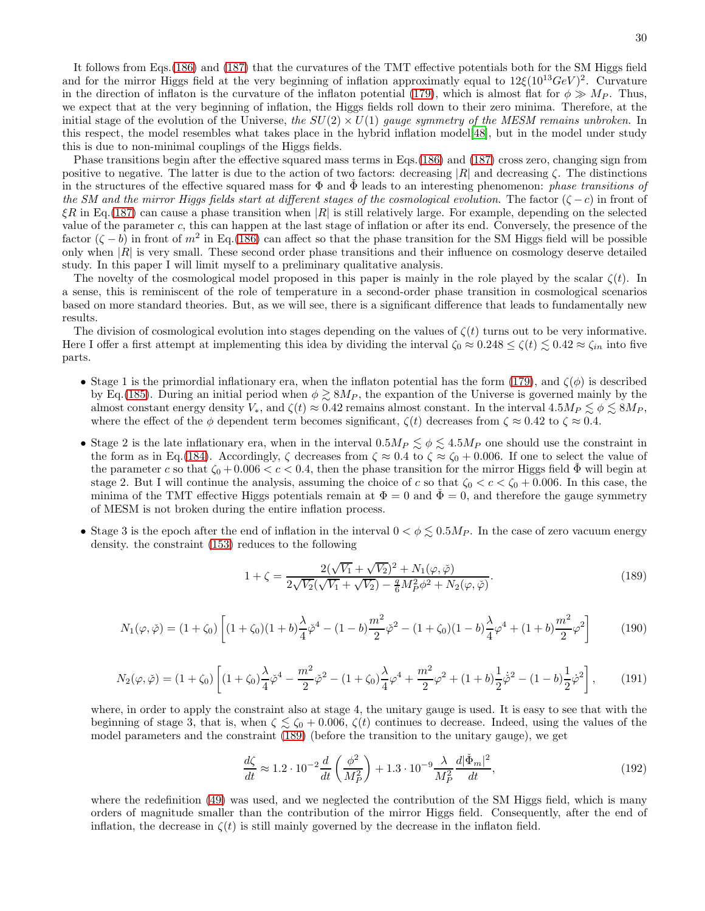It follows from Eqs.[\(186\)](#page-28-0) and [\(187\)](#page-28-1) that the curvatures of the TMT effective potentials both for the SM Higgs field and for the mirror Higgs field at the very beginning of inflation approximatly equal to  $12\xi(10^{13}GeV)^2$ . Curvature in the direction of inflaton is the curvature of the inflaton potential [\(179\)](#page-27-1), which is almost flat for  $\phi \gg M_P$ . Thus, we expect that at the very beginning of inflation, the Higgs fields roll down to their zero minima. Therefore, at the initial stage of the evolution of the Universe, the  $SU(2) \times U(1)$  gauge symmetry of the MESM remains unbroken. In this respect, the model resembles what takes place in the hybrid inflation model[\[48\]](#page-43-0), but in the model under study this is due to non-minimal couplings of the Higgs fields.

Phase transitions begin after the effective squared mass terms in Eqs.[\(186\)](#page-28-0) and [\(187\)](#page-28-1) cross zero, changing sign from positive to negative. The latter is due to the action of two factors: decreasing  $|R|$  and decreasing  $\zeta$ . The distinctions in the structures of the effective squared mass for  $\Phi$  and  $\tilde{\Phi}$  leads to an interesting phenomenon: *phase transitions of* the SM and the mirror Higgs fields start at different stages of the cosmological evolution. The factor  $(\zeta - c)$  in front of  $\xi R$  in Eq.[\(187\)](#page-28-1) can cause a phase transition when  $|R|$  is still relatively large. For example, depending on the selected value of the parameter c, this can happen at the last stage of inflation or after its end. Conversely, the presence of the factor  $(\zeta - b)$  in front of  $m^2$  in Eq.[\(186\)](#page-28-0) can affect so that the phase transition for the SM Higgs field will be possible only when  $|R|$  is very small. These second order phase transitions and their influence on cosmology deserve detailed study. In this paper I will limit myself to a preliminary qualitative analysis.

The novelty of the cosmological model proposed in this paper is mainly in the role played by the scalar  $\zeta(t)$ . In a sense, this is reminiscent of the role of temperature in a second-order phase transition in cosmological scenarios based on more standard theories. But, as we will see, there is a significant difference that leads to fundamentally new results.

The division of cosmological evolution into stages depending on the values of  $\zeta(t)$  turns out to be very informative. Here I offer a first attempt at implementing this idea by dividing the interval  $\zeta_0 \approx 0.248 \le \zeta(t) \le 0.42 \approx \zeta_{in}$  into five parts.

- Stage 1 is the primordial inflationary era, when the inflaton potential has the form [\(179\)](#page-27-1), and  $\zeta(\phi)$  is described by Eq.[\(185\)](#page-27-2). During an initial period when  $\phi \gtrsim 8M_P$ , the expantion of the Universe is governed mainly by the almost constant energy density  $V_*$ , and  $\zeta(t) \approx 0.42$  remains almost constant. In the interval  $4.5M_P \lesssim \phi \lesssim 8M_P$ , where the effect of the  $\phi$  dependent term becomes significant,  $\zeta(t)$  decreases from  $\zeta \approx 0.42$  to  $\zeta \approx 0.4$ .
- Stage 2 is the late inflationary era, when in the interval  $0.5M_P \lesssim \phi \lesssim 4.5M_P$  one should use the constraint in the form as in Eq.[\(184\)](#page-27-3). Accordingly,  $\zeta$  decreases from  $\zeta \approx 0.4$  to  $\zeta \approx \zeta_0 + 0.006$ . If one to select the value of the parameter c so that  $\zeta_0 + 0.006 < c < 0.4$ , then the phase transition for the mirror Higgs field  $\Phi$  will begin at stage 2. But I will continue the analysis, assuming the choice of c so that  $\zeta_0 < c < \zeta_0 + 0.006$ . In this case, the minima of the TMT effective Higgs potentials remain at  $\Phi = 0$  and  $\dot{\Phi} = 0$ , and therefore the gauge symmetry of MESM is not broken during the entire inflation process.
- Stage 3 is the epoch after the end of inflation in the interval  $0 < \phi \lesssim 0.5 M_P$ . In the case of zero vacuum energy density. the constraint [\(153\)](#page-23-3) reduces to the following

<span id="page-29-0"></span>
$$
1 + \zeta = \frac{2(\sqrt{V_1} + \sqrt{V_2})^2 + N_1(\varphi, \check{\varphi})}{2\sqrt{V_2}(\sqrt{V_1} + \sqrt{V_2}) - \frac{q}{6}M_P^2\phi^2 + N_2(\varphi, \check{\varphi})}.
$$
\n(189)

$$
N_1(\varphi, \check{\varphi}) = (1 + \zeta_0) \left[ (1 + \zeta_0)(1 + b) \frac{\lambda}{4} \check{\varphi}^4 - (1 - b) \frac{m^2}{2} \check{\varphi}^2 - (1 + \zeta_0)(1 - b) \frac{\lambda}{4} \varphi^4 + (1 + b) \frac{m^2}{2} \varphi^2 \right] \tag{190}
$$

$$
N_2(\varphi, \check{\varphi}) = (1 + \zeta_0) \left[ (1 + \zeta_0) \frac{\lambda}{4} \check{\varphi}^4 - \frac{m^2}{2} \check{\varphi}^2 - (1 + \zeta_0) \frac{\lambda}{4} \varphi^4 + \frac{m^2}{2} \varphi^2 + (1 + b) \frac{1}{2} \dot{\varphi}^2 - (1 - b) \frac{1}{2} \dot{\varphi}^2 \right],
$$
 (191)

where, in order to apply the constraint also at stage 4, the unitary gauge is used. It is easy to see that with the beginning of stage 3, that is, when  $\zeta \lesssim \zeta_0 + 0.006$ ,  $\zeta(t)$  continues to decrease. Indeed, using the values of the model parameters and the constraint [\(189\)](#page-29-0) (before the transition to the unitary gauge), we get

$$
\frac{d\zeta}{dt} \approx 1.2 \cdot 10^{-2} \frac{d}{dt} \left( \frac{\phi^2}{M_P^2} \right) + 1.3 \cdot 10^{-9} \frac{\lambda}{M_P^2} \frac{d|\check{\Phi}_m|^2}{dt},\tag{192}
$$

where the redefinition [\(49\)](#page-10-6) was used, and we neglected the contribution of the SM Higgs field, which is many orders of magnitude smaller than the contribution of the mirror Higgs field. Consequently, after the end of inflation, the decrease in  $\zeta(t)$  is still mainly governed by the decrease in the inflaton field.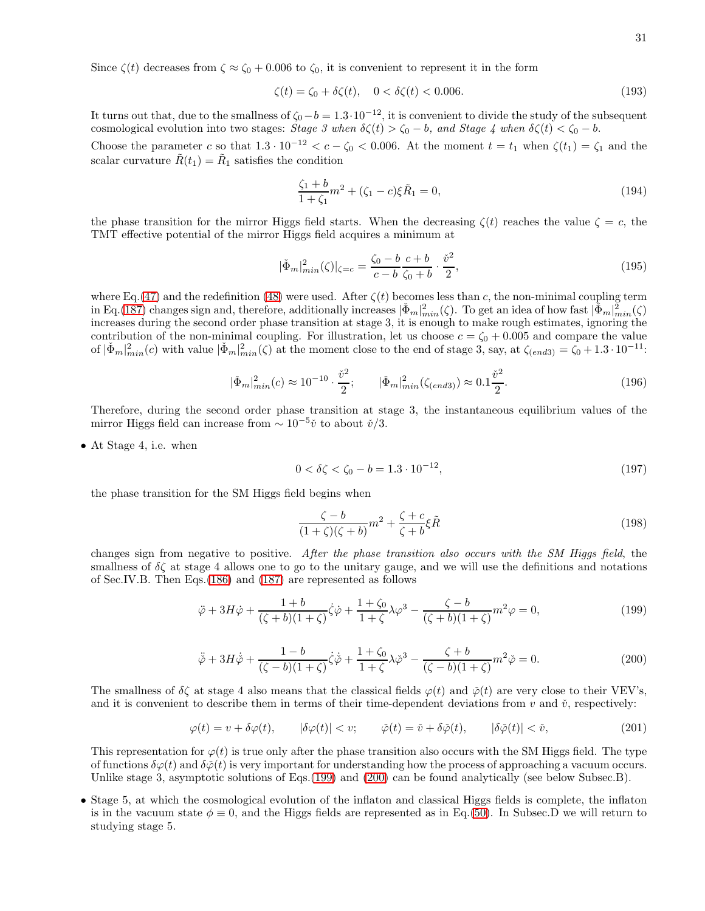Since  $\zeta(t)$  decreases from  $\zeta \approx \zeta_0 + 0.006$  to  $\zeta_0$ , it is convenient to represent it in the form

$$
\zeta(t) = \zeta_0 + \delta \zeta(t), \quad 0 < \delta \zeta(t) < 0.006. \tag{193}
$$

It turns out that, due to the smallness of  $\zeta_0-b=1.3\cdot10^{-12}$ , it is convenient to divide the study of the subsequent cosmological evolution into two stages: Stage 3 when  $\delta \zeta(t) > \zeta_0 - b$ , and Stage 4 when  $\delta \zeta(t) < \zeta_0 - b$ .

Choose the parameter c so that  $1.3 \cdot 10^{-12} < c - \zeta_0 < 0.006$ . At the moment  $t = t_1$  when  $\zeta(t_1) = \zeta_1$  and the scalar curvature  $\tilde{R}(t_1) = \tilde{R}_1$  satisfies the condition

$$
\frac{\zeta_1 + b}{1 + \zeta_1} m^2 + (\zeta_1 - c)\xi \tilde{R}_1 = 0,
$$
\n(194)

the phase transition for the mirror Higgs field starts. When the decreasing  $\zeta(t)$  reaches the value  $\zeta = c$ , the TMT effective potential of the mirror Higgs field acquires a minimum at

$$
|\check{\Phi}_m|_{min}^2(\zeta)|_{\zeta=c} = \frac{\zeta_0 - b c + + b}{c - b \zeta_0 + b} \cdot \frac{\check{v}^2}{2},\tag{195}
$$

where Eq.[\(47\)](#page-10-1) and the redefinition [\(48\)](#page-10-2) were used. After  $\zeta(t)$  becomes less than c, the non-minimal coupling term in Eq.[\(187\)](#page-28-1) changes sign and, therefore, additionally increases  $|\check{\Phi}_m|_{min}^2(\zeta)$ . To get an idea of how fast  $|\check{\Phi}_m|_{min}^2(\zeta)$ increases during the second order phase transition at stage 3, it is enough to make rough estimates, ignoring the contribution of the non-minimal coupling. For illustration, let us choose  $c = \zeta_0 + 0.005$  and compare the value of  $|\check{\Phi}_m|^2_{min}(c)$  with value  $|\check{\Phi}_m|^2_{min}(\zeta)$  at the moment close to the end of stage 3, say, at  $\zeta_{(end3)} = \zeta_0 + 1.3 \cdot 10^{-11}$ :

$$
|\check{\Phi}_m|_{min}^2(c) \approx 10^{-10} \cdot \frac{\check{v}^2}{2}; \qquad |\check{\Phi}_m|_{min}^2(\zeta_{(end3)}) \approx 0.1 \frac{\check{v}^2}{2}.
$$
 (196)

Therefore, during the second order phase transition at stage 3, the instantaneous equilibrium values of the mirror Higgs field can increase from  $\sim 10^{-5}$  $\check{v}$  to about  $\check{v}/3$ .

• At Stage 4, i.e. when

<span id="page-30-3"></span>
$$
0 < \delta \zeta < \zeta_0 - b = 1.3 \cdot 10^{-12},\tag{197}
$$

the phase transition for the SM Higgs field begins when

<span id="page-30-4"></span>
$$
\frac{\zeta - b}{(1 + \zeta)(\zeta + b)} m^2 + \frac{\zeta + c}{\zeta + b} \xi \tilde{R}
$$
\n(198)

changes sign from negative to positive. After the phase transition also occurs with the SM Higgs field, the smallness of  $\delta\zeta$  at stage 4 allows one to go to the unitary gauge, and we will use the definitions and notations of Sec.IV.B. Then Eqs.[\(186\)](#page-28-0) and [\(187\)](#page-28-1) are represented as follows

<span id="page-30-0"></span>
$$
\ddot{\varphi} + 3H\dot{\varphi} + \frac{1+b}{(\zeta+b)(1+\zeta)}\dot{\zeta}\dot{\varphi} + \frac{1+\zeta_0}{1+\zeta}\lambda\varphi^3 - \frac{\zeta-b}{(\zeta+b)(1+\zeta)}m^2\varphi = 0,
$$
\n(199)

<span id="page-30-1"></span>
$$
\ddot{\varphi} + 3H\dot{\varphi} + \frac{1-b}{(\zeta - b)(1+\zeta)}\dot{\zeta}\dot{\varphi} + \frac{1+\zeta_0}{1+\zeta}\lambda\dot{\varphi}^3 - \frac{\zeta+b}{(\zeta-b)(1+\zeta)}m^2\dot{\varphi} = 0.
$$
 (200)

The smallness of  $\delta\zeta$  at stage 4 also means that the classical fields  $\varphi(t)$  and  $\varphi(t)$  are very close to their VEV's, and it is convenient to describe them in terms of their time-dependent deviations from  $v$  and  $\check{v}$ , respectively:

<span id="page-30-2"></span>
$$
\varphi(t) = v + \delta\varphi(t), \qquad |\delta\varphi(t)| < v; \qquad \check{\varphi}(t) = \check{v} + \delta\check{\varphi}(t), \qquad |\delta\check{\varphi}(t)| < \check{v}, \tag{201}
$$

This representation for  $\varphi(t)$  is true only after the phase transition also occurs with the SM Higgs field. The type of functions  $\delta\varphi(t)$  and  $\delta\varphi(t)$  is very important for understanding how the process of approaching a vacuum occurs. Unlike stage 3, asymptotic solutions of Eqs.[\(199\)](#page-30-0) and [\(200\)](#page-30-1) can be found analytically (see below Subsec.B).

• Stage 5, at which the cosmological evolution of the inflaton and classical Higgs fields is complete, the inflaton is in the vacuum state  $\phi \equiv 0$ , and the Higgs fields are represented as in Eq.[\(50\)](#page-10-0). In Subsec. D we will return to studying stage 5.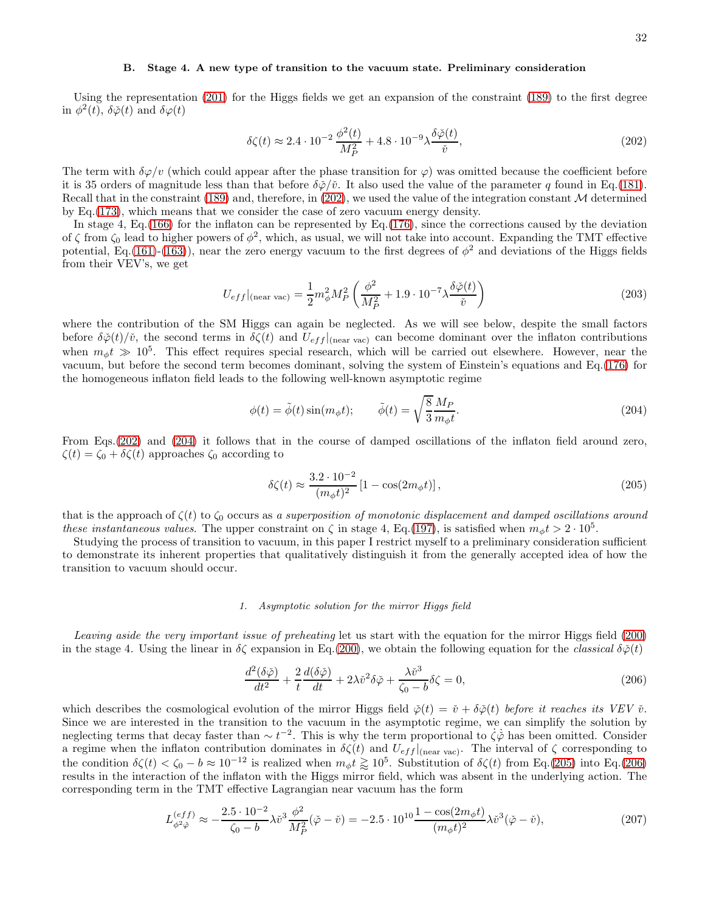### B. Stage 4. A new type of transition to the vacuum state. Preliminary consideration

Using the representation [\(201\)](#page-30-2) for the Higgs fields we get an expansion of the constraint [\(189\)](#page-29-0) to the first degree in  $\phi^2(t)$ ,  $\delta\check{\varphi}(t)$  and  $\delta\varphi(t)$ 

<span id="page-31-0"></span>
$$
\delta\zeta(t) \approx 2.4 \cdot 10^{-2} \frac{\phi^2(t)}{M_P^2} + 4.8 \cdot 10^{-9} \lambda \frac{\delta\check{\varphi}(t)}{\check{v}},\tag{202}
$$

The term with  $\delta\varphi/v$  (which could appear after the phase transition for  $\varphi$ ) was omitted because the coefficient before it is 35 orders of magnitude less than that before  $\delta\phi/\tilde{v}$ . It also used the value of the parameter q found in Eq.[\(181\)](#page-27-4). Recall that in the constraint [\(189\)](#page-29-0) and, therefore, in [\(202\)](#page-31-0), we used the value of the integration constant  $M$  determined by Eq.[\(173\)](#page-26-0), which means that we consider the case of zero vacuum energy density.

In stage 4, Eq.[\(166\)](#page-24-0) for the inflaton can be represented by Eq.[\(176\)](#page-26-4), since the corrections caused by the deviation of  $\zeta$  from  $\zeta_0$  lead to higher powers of  $\phi^2$ , which, as usual, we will not take into account. Expanding the TMT effective potential, Eq.[\(161\)](#page-24-1)-[\(163\)](#page-24-2)), near the zero energy vacuum to the first degrees of  $\phi^2$  and deviations of the Higgs fields from their VEV's, we get

<span id="page-31-5"></span>
$$
U_{eff}|_{\text{(near vac)}} = \frac{1}{2} m_{\phi}^2 M_P^2 \left( \frac{\phi^2}{M_P^2} + 1.9 \cdot 10^{-7} \lambda \frac{\delta \check{\varphi}(t)}{\check{v}} \right) \tag{203}
$$

where the contribution of the SM Higgs can again be neglected. As we will see below, despite the small factors before  $\delta\phi(t)/\tilde{v}$ , the second terms in  $\delta\zeta(t)$  and  $U_{eff}|_{(\text{near vac})}$  can become dominant over the inflaton contributions when  $m_{\phi}t \gg 10^5$ . This effect requires special research, which will be carried out elsewhere. However, near the vacuum, but before the second term becomes dominant, solving the system of Einstein's equations and Eq.[\(176\)](#page-26-4) for the homogeneous inflaton field leads to the following well-known asymptotic regime

<span id="page-31-1"></span>
$$
\phi(t) = \tilde{\phi}(t)\sin(m_{\phi}t); \qquad \tilde{\phi}(t) = \sqrt{\frac{8}{3}}\frac{M_P}{m_{\phi}t}.
$$
\n(204)

From Eqs.[\(202\)](#page-31-0) and [\(204\)](#page-31-1) it follows that in the course of damped oscillations of the inflaton field around zero,  $\zeta(t) = \zeta_0 + \delta \zeta(t)$  approaches  $\zeta_0$  according to

<span id="page-31-2"></span>
$$
\delta\zeta(t) \approx \frac{3.2 \cdot 10^{-2}}{(m_{\phi}t)^2} \left[1 - \cos(2m_{\phi}t)\right],
$$
\n(205)

that is the approach of  $\zeta(t)$  to  $\zeta_0$  occurs as a superposition of monotonic displacement and damped oscillations around these instantaneous values. The upper constraint on  $\zeta$  in stage 4, Eq.[\(197\)](#page-30-3), is satisfied when  $m_{\phi}t > 2 \cdot 10^5$ .

Studying the process of transition to vacuum, in this paper I restrict myself to a preliminary consideration sufficient to demonstrate its inherent properties that qualitatively distinguish it from the generally accepted idea of how the transition to vacuum should occur.

### 1. Asymptotic solution for the mirror Higgs field

Leaving aside the very important issue of preheating let us start with the equation for the mirror Higgs field [\(200\)](#page-30-1) in the stage 4. Using the linear in  $\delta \zeta$  expansion in Eq.[\(200\)](#page-30-1), we obtain the following equation for the *classical*  $\delta \phi(t)$ 

<span id="page-31-3"></span>
$$
\frac{d^2(\delta\check{\varphi})}{dt^2} + \frac{2}{t}\frac{d(\delta\check{\varphi})}{dt} + 2\lambda\check{v}^2\delta\check{\varphi} + \frac{\lambda\check{v}^3}{\zeta_0 - b}\delta\zeta = 0,
$$
\n(206)

which describes the cosmological evolution of the mirror Higgs field  $\phi(t) = \dot{v} + \delta\phi(t)$  before it reaches its VEV  $\dot{v}$ . Since we are interested in the transition to the vacuum in the asymptotic regime, we can simplify the solution by neglecting terms that decay faster than  $\sim t^{-2}$ . This is why the term proportional to  $\zeta\phi$  has been omitted. Consider a regime when the inflaton contribution dominates in  $\delta \zeta(t)$  and  $U_{eff}|_{(near\, vac)}$ . The interval of  $\zeta$  corresponding to the condition  $\delta\zeta(t) < \zeta_0 - b \approx 10^{-12}$  is realized when  $m_\phi t \gtrapprox 10^5$ . Substitution of  $\delta\zeta(t)$  from Eq.[\(205\)](#page-31-2) into Eq.[\(206\)](#page-31-3) results in the interaction of the inflaton with the Higgs mirror field, which was absent in the underlying action. The corresponding term in the TMT effective Lagrangian near vacuum has the form

<span id="page-31-4"></span>
$$
L_{\phi^2 \ddot{\phi}}^{(eff)} \approx -\frac{2.5 \cdot 10^{-2}}{\zeta_0 - b} \lambda \ddot{v}^3 \frac{\phi^2}{M_P^2} (\ddot{\phi} - \ddot{v}) = -2.5 \cdot 10^{10} \frac{1 - \cos(2m_\phi t)}{(m_\phi t)^2} \lambda \ddot{v}^3 (\ddot{\phi} - \ddot{v}),\tag{207}
$$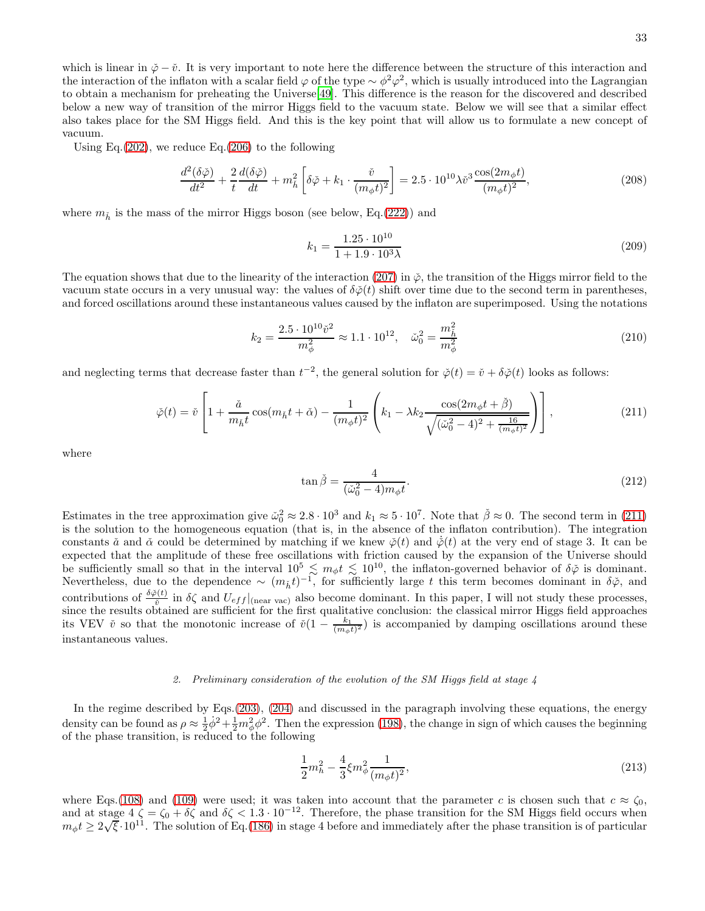which is linear in  $\check{\varphi}-\check{v}$ . It is very important to note here the difference between the structure of this interaction and the interaction of the inflaton with a scalar field  $\varphi$  of the type  $\sim \phi^2 \varphi^2$ , which is usually introduced into the Lagrangian to obtain a mechanism for preheating the Universe[\[49\]](#page-43-1). This difference is the reason for the discovered and described below a new way of transition of the mirror Higgs field to the vacuum state. Below we will see that a similar effect also takes place for the SM Higgs field. And this is the key point that will allow us to formulate a new concept of vacuum.

Using Eq.  $(202)$ , we reduce Eq.  $(206)$  to the following

$$
\frac{d^2(\delta\check{\varphi})}{dt^2} + \frac{2}{t}\frac{d(\delta\check{\varphi})}{dt} + m_h^2 \left[ \delta\check{\varphi} + k_1 \cdot \frac{\check{v}}{(m_\phi t)^2} \right] = 2.5 \cdot 10^{10} \lambda \check{v}^3 \frac{\cos(2m_\phi t)}{(m_\phi t)^2},\tag{208}
$$

where  $m_{\tilde{h}}$  is the mass of the mirror Higgs boson (see below, Eq.[\(222\)](#page-35-0)) and

$$
k_1 = \frac{1.25 \cdot 10^{10}}{1 + 1.9 \cdot 10^3 \lambda} \tag{209}
$$

The equation shows that due to the linearity of the interaction [\(207\)](#page-31-4) in  $\phi$ , the transition of the Higgs mirror field to the vacuum state occurs in a very unusual way: the values of  $\delta\phi(t)$  shift over time due to the second term in parentheses, and forced oscillations around these instantaneous values caused by the inflaton are superimposed. Using the notations

$$
k_2 = \frac{2.5 \cdot 10^{10} \tilde{v}^2}{m_{\phi}^2} \approx 1.1 \cdot 10^{12}, \quad \tilde{\omega}_0^2 = \frac{m_{\tilde{h}}^2}{m_{\phi}^2} \tag{210}
$$

and neglecting terms that decrease faster than  $t^{-2}$ , the general solution for  $\phi(t) = \tilde{v} + \delta\phi(t)$  looks as follows:

<span id="page-32-0"></span>
$$
\check{\varphi}(t) = \check{v} \left[ 1 + \frac{\check{a}}{m_{\check{h}} t} \cos(m_{\check{h}} t + \check{\alpha}) - \frac{1}{(m_{\phi} t)^2} \left( k_1 - \lambda k_2 \frac{\cos(2m_{\phi} t + \check{\beta})}{\sqrt{(\check{\omega}_0^2 - 4)^2 + \frac{16}{(m_{\phi} t)^2}}} \right) \right],
$$
\n(211)

where

<span id="page-32-1"></span>
$$
\tan \check{\beta} = \frac{4}{(\check{\omega}_0^2 - 4)m_\phi t}.\tag{212}
$$

Estimates in the tree approximation give  $\tilde{\omega}_0^2 \approx 2.8 \cdot 10^3$  and  $k_1 \approx 5 \cdot 10^7$ . Note that  $\tilde{\beta} \approx 0$ . The second term in [\(211\)](#page-32-0) is the solution to the homogeneous equation (that is, in the absence of the inflaton contribution). The integration constants  $\check{a}$  and  $\check{\alpha}$  could be determined by matching if we knew  $\check{\varphi}(t)$  and  $\check{\varphi}(t)$  at the very end of stage 3. It can be expected that the amplitude of these free oscillations with friction caused by the expansion of the Universe should be sufficiently small so that in the interval  $10^5 \lesssim m_\phi t \lesssim 10^{10}$ , the inflaton-governed behavior of  $\delta\phi$  is dominant. Nevertheless, due to the dependence  $\sim (m_{\tilde{h}}t)^{-1}$ , for sufficiently large t this term becomes dominant in  $\delta\phi$ , and contributions of  $\frac{\delta \phi(t)}{\delta}$  in  $\delta \zeta$  and  $U_{eff}|_{(near\ vac)}$  also become dominant. In this paper, I will not study these processes, since the results obtained are sufficient for the first qualitative conclusion: the classical mirror Higgs field approaches its VEV  $\check{v}$  so that the monotonic increase of  $\check{v}(1 - \frac{k_1}{(m_\phi t)^2})$  is accompanied by damping oscillations around these instantaneous values.

#### 2. Preliminary consideration of the evolution of the SM Higgs field at stage  $\lambda$

In the regime described by Eqs.[\(203\)](#page-31-5), [\(204\)](#page-31-1) and discussed in the paragraph involving these equations, the energy density can be found as  $\rho \approx \frac{1}{2}\phi^2 + \frac{1}{2}m_\phi^2\phi^2$ . Then the expression [\(198\)](#page-30-4), the change in sign of which causes the beginning of the phase transition, is reduced to the following

$$
\frac{1}{2}m_h^2 - \frac{4}{3}\xi m_\phi^2 \frac{1}{(m_\phi t)^2},\tag{213}
$$

where Eqs.[\(108\)](#page-17-0) and [\(109\)](#page-17-3) were used; it was taken into account that the parameter c is chosen such that  $c \approx \zeta_0$ , and at stage  $4\zeta = \zeta_0 + \delta\zeta$  and  $\delta\zeta < 1.3 \cdot 10^{-12}$ . Therefore, the phase transition for the SM Higgs field occurs when  $m_{\phi}t \geq 2\sqrt{\xi} \cdot 10^{11}$ . The solution of Eq.[\(186\)](#page-28-0) in stage 4 before and immediately after the phase transition is of particular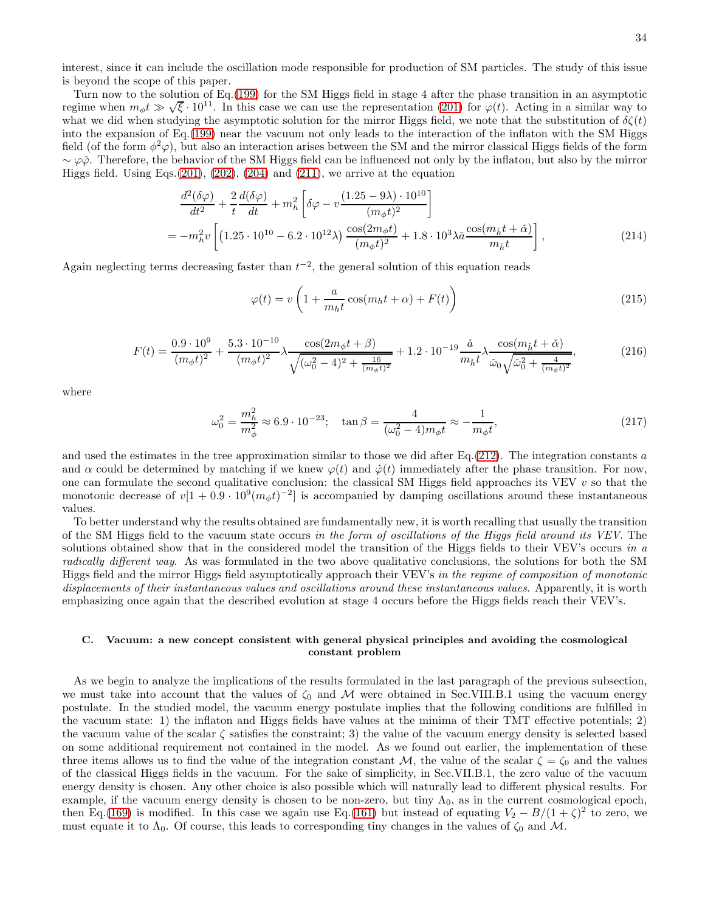interest, since it can include the oscillation mode responsible for production of SM particles. The study of this issue is beyond the scope of this paper.

Turn now to the solution of Eq.[\(199\)](#page-30-0) for the SM Higgs field in stage 4 after the phase transition in an asymptotic regime when  $m_{\phi} t \gg \sqrt{\xi} \cdot 10^{11}$ . In this case we can use the representation [\(201\)](#page-30-2) for  $\varphi(t)$ . Acting in a similar way to what we did when studying the asymptotic solution for the mirror Higgs field, we note that the substitution of  $\delta\zeta(t)$ into the expansion of Eq.[\(199\)](#page-30-0) near the vacuum not only leads to the interaction of the inflaton with the SM Higgs field (of the form  $\phi^2\varphi$ ), but also an interaction arises between the SM and the mirror classical Higgs fields of the form  $\sim \varphi \check{\varphi}$ . Therefore, the behavior of the SM Higgs field can be influenced not only by the inflaton, but also by the mirror Higgs field. Using Eqs.  $(201)$ ,  $(202)$ ,  $(204)$  and  $(211)$ , we arrive at the equation

$$
\frac{d^2(\delta\varphi)}{dt^2} + \frac{2}{t} \frac{d(\delta\varphi)}{dt} + m_h^2 \left[ \delta\varphi - v \frac{(1.25 - 9\lambda) \cdot 10^{10}}{(m_\phi t)^2} \right]
$$
\n
$$
= -m_h^2 v \left[ (1.25 \cdot 10^{10} - 6.2 \cdot 10^{12} \lambda) \frac{\cos(2m_\phi t)}{(m_\phi t)^2} + 1.8 \cdot 10^3 \lambda \tilde{\alpha} \frac{\cos(m_\phi t + \tilde{\alpha})}{m_\phi t} \right],
$$
\n(214)

Again neglecting terms decreasing faster than  $t^{-2}$ , the general solution of this equation reads

<span id="page-33-0"></span>
$$
\varphi(t) = v \left( 1 + \frac{a}{m_h t} \cos(m_h t + \alpha) + F(t) \right) \tag{215}
$$

<span id="page-33-1"></span>
$$
F(t) = \frac{0.9 \cdot 10^9}{(m_{\phi}t)^2} + \frac{5.3 \cdot 10^{-10}}{(m_{\phi}t)^2} \lambda \frac{\cos(2m_{\phi}t + \beta)}{\sqrt{(\omega_0^2 - 4)^2 + \frac{16}{(m_{\phi}t)^2}}} + 1.2 \cdot 10^{-19} \frac{\check{a}}{m_{\check{h}}t} \lambda \frac{\cos(m_{\check{h}}t + \check{\alpha})}{\check{\omega}_0 \sqrt{\check{\omega}_0^2 + \frac{4}{(m_{\phi}t)^2}}},
$$
(216)

where

$$
\omega_0^2 = \frac{m_h^2}{m_\phi^2} \approx 6.9 \cdot 10^{-23}; \quad \tan \beta = \frac{4}{(\omega_0^2 - 4)m_\phi t} \approx -\frac{1}{m_\phi t},\tag{217}
$$

and used the estimates in the tree approximation similar to those we did after Eq.[\(212\)](#page-32-1). The integration constants  $a$ and  $\alpha$  could be determined by matching if we knew  $\varphi(t)$  and  $\dot{\varphi}(t)$  immediately after the phase transition. For now, one can formulate the second qualitative conclusion: the classical SM Higgs field approaches its VEV  $v$  so that the monotonic decrease of  $v[1 + 0.9 \cdot 10^9 (m_{\phi}t)^{-2}]$  is accompanied by damping oscillations around these instantaneous values.

To better understand why the results obtained are fundamentally new, it is worth recalling that usually the transition of the SM Higgs field to the vacuum state occurs in the form of oscillations of the Higgs field around its VEV. The solutions obtained show that in the considered model the transition of the Higgs fields to their VEV's occurs in a radically different way. As was formulated in the two above qualitative conclusions, the solutions for both the SM Higgs field and the mirror Higgs field asymptotically approach their VEV's in the regime of composition of monotonic displacements of their instantaneous values and oscillations around these instantaneous values. Apparently, it is worth emphasizing once again that the described evolution at stage 4 occurs before the Higgs fields reach their VEV's.

# C. Vacuum: a new concept consistent with general physical principles and avoiding the cosmological constant problem

As we begin to analyze the implications of the results formulated in the last paragraph of the previous subsection, we must take into account that the values of  $\zeta_0$  and M were obtained in Sec.VIII.B.1 using the vacuum energy postulate. In the studied model, the vacuum energy postulate implies that the following conditions are fulfilled in the vacuum state: 1) the inflaton and Higgs fields have values at the minima of their TMT effective potentials; 2) the vacuum value of the scalar  $\zeta$  satisfies the constraint; 3) the value of the vacuum energy density is selected based on some additional requirement not contained in the model. As we found out earlier, the implementation of these three items allows us to find the value of the integration constant M, the value of the scalar  $\zeta = \zeta_0$  and the values of the classical Higgs fields in the vacuum. For the sake of simplicity, in Sec.VII.B.1, the zero value of the vacuum energy density is chosen. Any other choice is also possible which will naturally lead to different physical results. For example, if the vacuum energy density is chosen to be non-zero, but tiny  $\Lambda_0$ , as in the current cosmological epoch, then Eq.[\(169\)](#page-25-0) is modified. In this case we again use Eq.[\(161\)](#page-24-1) but instead of equating  $V_2 - B/(1+\zeta)^2$  to zero, we must equate it to  $\Lambda_0$ . Of course, this leads to corresponding tiny changes in the values of  $\zeta_0$  and M.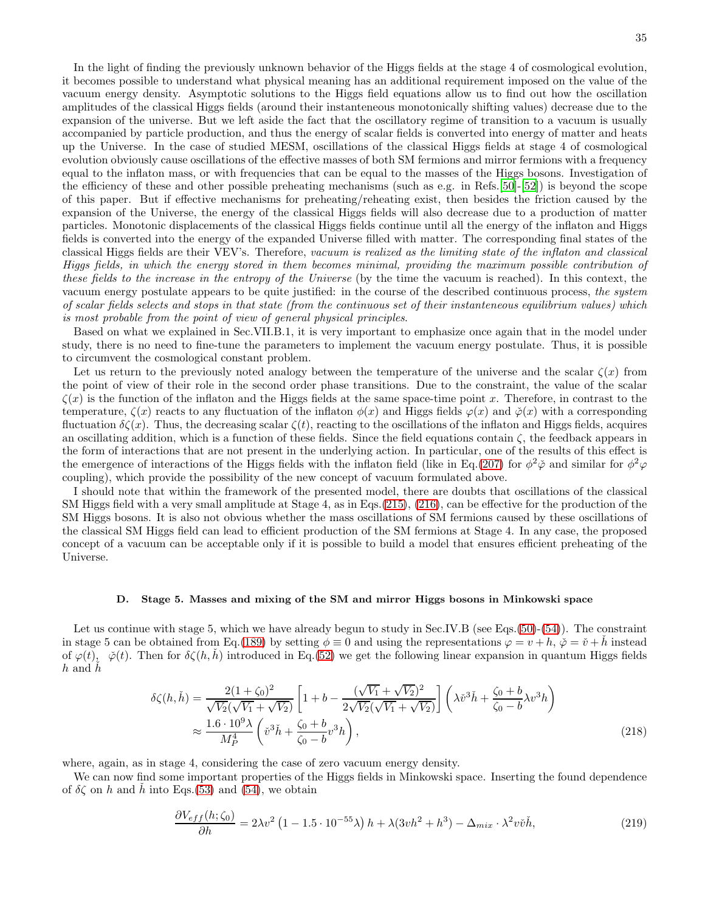35

In the light of finding the previously unknown behavior of the Higgs fields at the stage 4 of cosmological evolution, it becomes possible to understand what physical meaning has an additional requirement imposed on the value of the vacuum energy density. Asymptotic solutions to the Higgs field equations allow us to find out how the oscillation amplitudes of the classical Higgs fields (around their instanteneous monotonically shifting values) decrease due to the expansion of the universe. But we left aside the fact that the oscillatory regime of transition to a vacuum is usually accompanied by particle production, and thus the energy of scalar fields is converted into energy of matter and heats up the Universe. In the case of studied MESM, oscillations of the classical Higgs fields at stage 4 of cosmological evolution obviously cause oscillations of the effective masses of both SM fermions and mirror fermions with a frequency equal to the inflaton mass, or with frequencies that can be equal to the masses of the Higgs bosons. Investigation of the efficiency of these and other possible preheating mechanisms (such as e.g. in Refs.[50]-[\[52\]](#page-43-2)) is beyond the scope of this paper. But if effective mechanisms for preheating/reheating exist, then besides the friction caused by the expansion of the Universe, the energy of the classical Higgs fields will also decrease due to a production of matter particles. Monotonic displacements of the classical Higgs fields continue until all the energy of the inflaton and Higgs fields is converted into the energy of the expanded Universe filled with matter. The corresponding final states of the classical Higgs fields are their VEV's. Therefore, vacuum is realized as the limiting state of the inflaton and classical Higgs fields, in which the energy stored in them becomes minimal, providing the maximum possible contribution of these fields to the increase in the entropy of the Universe (by the time the vacuum is reached). In this context, the vacuum energy postulate appears to be quite justified: in the course of the described continuous process, the system of scalar fields selects and stops in that state (from the continuous set of their instanteneous equilibrium values) which is most probable from the point of view of general physical principles.

Based on what we explained in Sec.VII.B.1, it is very important to emphasize once again that in the model under study, there is no need to fine-tune the parameters to implement the vacuum energy postulate. Thus, it is possible to circumvent the cosmological constant problem.

Let us return to the previously noted analogy between the temperature of the universe and the scalar  $\zeta(x)$  from the point of view of their role in the second order phase transitions. Due to the constraint, the value of the scalar  $\zeta(x)$  is the function of the inflaton and the Higgs fields at the same space-time point x. Therefore, in contrast to the temperature,  $\zeta(x)$  reacts to any fluctuation of the inflaton  $\phi(x)$  and Higgs fields  $\varphi(x)$  and  $\phi(x)$  with a corresponding fluctuation  $\delta\zeta(x)$ . Thus, the decreasing scalar  $\zeta(t)$ , reacting to the oscillations of the inflaton and Higgs fields, acquires an oscillating addition, which is a function of these fields. Since the field equations contain  $\zeta$ , the feedback appears in the form of interactions that are not present in the underlying action. In particular, one of the results of this effect is the emergence of interactions of the Higgs fields with the inflaton field (like in Eq.[\(207\)](#page-31-4) for  $\phi^2 \phi$  and similar for  $\phi^2 \phi$ coupling), which provide the possibility of the new concept of vacuum formulated above.

I should note that within the framework of the presented model, there are doubts that oscillations of the classical SM Higgs field with a very small amplitude at Stage 4, as in Eqs.[\(215\)](#page-33-0), [\(216\)](#page-33-1), can be effective for the production of the SM Higgs bosons. It is also not obvious whether the mass oscillations of SM fermions caused by these oscillations of the classical SM Higgs field can lead to efficient production of the SM fermions at Stage 4. In any case, the proposed concept of a vacuum can be acceptable only if it is possible to build a model that ensures efficient preheating of the Universe.

### D. Stage 5. Masses and mixing of the SM and mirror Higgs bosons in Minkowski space

Let us continue with stage 5, which we have already begun to study in Sec.IV.B (see Eqs.[\(50\)](#page-10-0)-[\(54\)](#page-10-4)). The constraint in stage 5 can be obtained from Eq.[\(189\)](#page-29-0) by setting  $\phi \equiv 0$  and using the representations  $\varphi = v + h$ ,  $\check{\varphi} = \check{v} + h$  instead of  $\varphi(t)$ ,  $\varphi(t)$ . Then for  $\delta\zeta(h, h)$  introduced in Eq.[\(52\)](#page-10-7) we get the following linear expansion in quantum Higgs fields  $h$  and  $h$ 

<span id="page-34-1"></span>
$$
\delta\zeta(h,\check{h}) = \frac{2(1+\zeta_0)^2}{\sqrt{V_2}(\sqrt{V_1} + \sqrt{V_2})} \left[1 + b - \frac{(\sqrt{V_1} + \sqrt{V_2})^2}{2\sqrt{V_2}(\sqrt{V_1} + \sqrt{V_2})}\right] \left(\lambda \check{v}^3 \check{h} + \frac{\zeta_0 + b}{\zeta_0 - b} \lambda v^3 h\right)
$$
  

$$
\approx \frac{1.6 \cdot 10^9 \lambda}{M_P^4} \left(\check{v}^3 \check{h} + \frac{\zeta_0 + b}{\zeta_0 - b} v^3 h\right),
$$
 (218)

where, again, as in stage 4, considering the case of zero vacuum energy density.

We can now find some important properties of the Higgs fields in Minkowski space. Inserting the found dependence of  $\delta \zeta$  on h and h into Eqs.[\(53\)](#page-10-3) and [\(54\)](#page-10-4), we obtain

<span id="page-34-0"></span>
$$
\frac{\partial V_{eff}(h;\zeta_0)}{\partial h} = 2\lambda v^2 \left(1 - 1.5 \cdot 10^{-55} \lambda\right) h + \lambda (3v h^2 + h^3) - \Delta_{mix} \cdot \lambda^2 v \check{v} h,\tag{219}
$$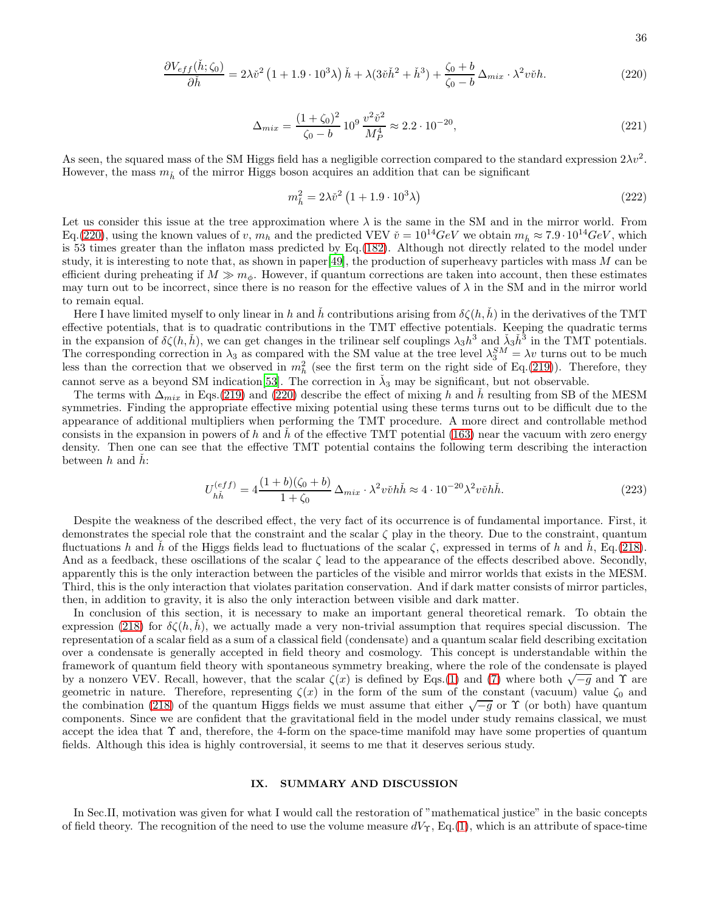<span id="page-35-1"></span>
$$
\frac{\partial V_{eff}(\check{h};\zeta_0)}{\partial \check{h}} = 2\lambda \check{v}^2 \left(1 + 1.9 \cdot 10^3 \lambda\right) \check{h} + \lambda (3\check{v}\check{h}^2 + \check{h}^3) + \frac{\zeta_0 + b}{\zeta_0 - b} \Delta_{mix} \cdot \lambda^2 v \check{v} h. \tag{220}
$$

$$
\Delta_{mix} = \frac{(1+\zeta_0)^2}{\zeta_0 - b} 10^9 \frac{v^2 \tilde{v}^2}{M_P^4} \approx 2.2 \cdot 10^{-20},\tag{221}
$$

As seen, the squared mass of the SM Higgs field has a negligible correction compared to the standard expression  $2\lambda v^2$ . However, the mass  $m_{\tilde{h}}$  of the mirror Higgs boson acquires an addition that can be significant

<span id="page-35-0"></span>
$$
m_{\tilde{h}}^2 = 2\lambda \tilde{v}^2 \left( 1 + 1.9 \cdot 10^3 \lambda \right) \tag{222}
$$

Let us consider this issue at the tree approximation where  $\lambda$  is the same in the SM and in the mirror world. From Eq.[\(220\)](#page-35-1), using the known values of v,  $m_h$  and the predicted VEV  $\check{v} = 10^{14}GeV$  we obtain  $m_{\check{h}} \approx 7.9 \cdot 10^{14}GeV$ , which is 53 times greater than the inflaton mass predicted by Eq.[\(182\)](#page-27-5). Although not directly related to the model under study, it is interesting to note that, as shown in paper[\[49\]](#page-43-1), the production of superheavy particles with mass  $M$  can be efficient during preheating if  $M \gg m_{\phi}$ . However, if quantum corrections are taken into account, then these estimates may turn out to be incorrect, since there is no reason for the effective values of  $\lambda$  in the SM and in the mirror world to remain equal.

Here I have limited myself to only linear in h and h contributions arising from  $\delta\zeta(h, h)$  in the derivatives of the TMT effective potentials, that is to quadratic contributions in the TMT effective potentials. Keeping the quadratic terms in the expansion of  $\delta\zeta(h,\check{h})$ , we can get changes in the trilinear self couplings  $\lambda_3 h^3$  and  $\check{\lambda}_3 h^3$  in the TMT potentials. The corresponding correction in  $\lambda_3$  as compared with the SM value at the tree level  $\lambda_3^{SM} = \lambda v$  turns out to be much less than the correction that we observed in  $m_h^2$  (see the first term on the right side of Eq.[\(219\)](#page-34-0)). Therefore, they cannot serve as a beyond SM indication [53]. The correction in  $\lambda_3$  may be significant, but not observable.

The terms with  $\Delta_{mix}$  in Eqs.[\(219\)](#page-34-0) and [\(220\)](#page-35-1) describe the effect of mixing h and h resulting from SB of the MESM symmetries. Finding the appropriate effective mixing potential using these terms turns out to be difficult due to the appearance of additional multipliers when performing the TMT procedure. A more direct and controllable method consists in the expansion in powers of h and h of the effective TMT potential [\(163\)](#page-24-2) near the vacuum with zero energy density. Then one can see that the effective TMT potential contains the following term describing the interaction between  $h$  and  $h$ :

$$
U_{h\check{h}}^{(eff)} = 4\frac{(1+b)(\zeta_0+b)}{1+\zeta_0} \Delta_{mix} \cdot \lambda^2 v \check{v} h \check{h} \approx 4 \cdot 10^{-20} \lambda^2 v \check{v} h \check{h}.
$$
 (223)

Despite the weakness of the described effect, the very fact of its occurrence is of fundamental importance. First, it demonstrates the special role that the constraint and the scalar  $\zeta$  play in the theory. Due to the constraint, quantum fluctuations h and h of the Higgs fields lead to fluctuations of the scalar  $\zeta$ , expressed in terms of h and h, Eq.[\(218\)](#page-34-1). And as a feedback, these oscillations of the scalar  $\zeta$  lead to the appearance of the effects described above. Secondly, apparently this is the only interaction between the particles of the visible and mirror worlds that exists in the MESM. Third, this is the only interaction that violates paritation conservation. And if dark matter consists of mirror particles, then, in addition to gravity, it is also the only interaction between visible and dark matter.

In conclusion of this section, it is necessary to make an important general theoretical remark. To obtain the expression [\(218\)](#page-34-1) for  $\delta\zeta(h,\hbar)$ , we actually made a very non-trivial assumption that requires special discussion. The representation of a scalar field as a sum of a classical field (condensate) and a quantum scalar field describing excitation over a condensate is generally accepted in field theory and cosmology. This concept is understandable within the framework of quantum field theory with spontaneous symmetry breaking, where the role of the condensate is played by a nonzero VEV. Recall, however, that the scalar  $\zeta(x)$  is defined by Eqs.[\(1\)](#page-2-3) and [\(7\)](#page-2-5) where both  $\sqrt{-g}$  and  $\Upsilon$  are geometric in nature. Therefore, representing  $\zeta(x)$  in the form of the sum of the constant (vacuum) value  $\zeta_0$  and the combination [\(218\)](#page-34-1) of the quantum Higgs fields we must assume that either  $\sqrt{-g}$  or  $\Upsilon$  (or both) have quantum components. Since we are confident that the gravitational field in the model under study remains classical, we must accept the idea that Υ and, therefore, the 4-form on the space-time manifold may have some properties of quantum fields. Although this idea is highly controversial, it seems to me that it deserves serious study.

# IX. SUMMARY AND DISCUSSION

In Sec.II, motivation was given for what I would call the restoration of "mathematical justice" in the basic concepts of field theory. The recognition of the need to use the volume measure  $dV_\Upsilon$ , Eq.[\(1\)](#page-2-3), which is an attribute of space-time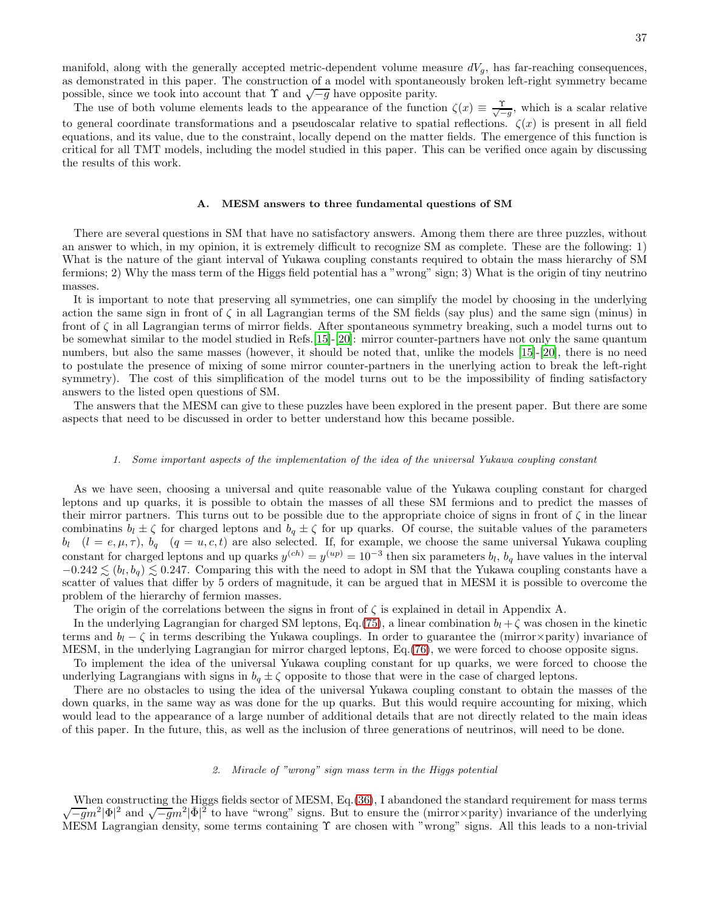The use of both volume elements leads to the appearance of the function  $\zeta(x) \equiv \frac{\gamma}{\sqrt{-g}}$ , which is a scalar relative to general coordinate transformations and a pseudoscalar relative to spatial reflections.  $\zeta(x)$  is present in all field equations, and its value, due to the constraint, locally depend on the matter fields. The emergence of this function is critical for all TMT models, including the model studied in this paper. This can be verified once again by discussing the results of this work.

### A. MESM answers to three fundamental questions of SM

There are several questions in SM that have no satisfactory answers. Among them there are three puzzles, without an answer to which, in my opinion, it is extremely difficult to recognize SM as complete. These are the following: 1) What is the nature of the giant interval of Yukawa coupling constants required to obtain the mass hierarchy of SM fermions; 2) Why the mass term of the Higgs field potential has a "wrong" sign; 3) What is the origin of tiny neutrino masses.

It is important to note that preserving all symmetries, one can simplify the model by choosing in the underlying action the same sign in front of  $\zeta$  in all Lagrangian terms of the SM fields (say plus) and the same sign (minus) in front of ζ in all Lagrangian terms of mirror fields. After spontaneous symmetry breaking, such a model turns out to be somewhat similar to the model studied in Refs.[15]-[20]: mirror counter-partners have not only the same quantum numbers, but also the same masses (however, it should be noted that, unlike the models [15]-[20], there is no need to postulate the presence of mixing of some mirror counter-partners in the unerlying action to break the left-right symmetry). The cost of this simplification of the model turns out to be the impossibility of finding satisfactory answers to the listed open questions of SM.

The answers that the MESM can give to these puzzles have been explored in the present paper. But there are some aspects that need to be discussed in order to better understand how this became possible.

### 1. Some important aspects of the implementation of the idea of the universal Yukawa coupling constant

As we have seen, choosing a universal and quite reasonable value of the Yukawa coupling constant for charged leptons and up quarks, it is possible to obtain the masses of all these SM fermions and to predict the masses of their mirror partners. This turns out to be possible due to the appropriate choice of signs in front of  $\zeta$  in the linear combinatins  $b_l \pm \zeta$  for charged leptons and  $b_q \pm \zeta$  for up quarks. Of course, the suitable values of the parameters  $b_l$   $(l = e, \mu, \tau)$ ,  $b_q$   $(q = u, c, t)$  are also selected. If, for example, we choose the same universal Yukawa coupling constant for charged leptons and up quarks  $y^{(ch)} = y^{(up)} = 10^{-3}$  then six parameters  $b_l$ ,  $b_q$  have values in the interval  $-0.242 \lesssim (b_l, b_q) \lesssim 0.247$ . Comparing this with the need to adopt in SM that the Yukawa coupling constants have a scatter of values that differ by 5 orders of magnitude, it can be argued that in MESM it is possible to overcome the problem of the hierarchy of fermion masses.

The origin of the correlations between the signs in front of  $\zeta$  is explained in detail in Appendix A.

In the underlying Lagrangian for charged SM leptons, Eq.[\(75\)](#page-13-2), a linear combination  $b_l + \zeta$  was chosen in the kinetic terms and  $b_l - \zeta$  in terms describing the Yukawa couplings. In order to guarantee the (mirror×parity) invariance of MESM, in the underlying Lagrangian for mirror charged leptons, Eq.[\(76\)](#page-13-1), we were forced to choose opposite signs.

To implement the idea of the universal Yukawa coupling constant for up quarks, we were forced to choose the underlying Lagrangians with signs in  $b_q \pm \zeta$  opposite to those that were in the case of charged leptons.

There are no obstacles to using the idea of the universal Yukawa coupling constant to obtain the masses of the down quarks, in the same way as was done for the up quarks. But this would require accounting for mixing, which would lead to the appearance of a large number of additional details that are not directly related to the main ideas of this paper. In the future, this, as well as the inclusion of three generations of neutrinos, will need to be done.

### 2. Miracle of "wrong" sign mass term in the Higgs potential

When constructing the Higgs fields sector of MESM, Eq.[\(36\)](#page-8-0), I abandoned the standard requirement for mass terms  $\sqrt{-g}m^2|\Phi|^2$  and  $\sqrt{-g}m^2|\check{\Phi}|^2$  to have "wrong" signs. But to ensure the (mirror×parity) invariance of the underlying MESM Lagrangian density, some terms containing Υ are chosen with "wrong" signs. All this leads to a non-trivial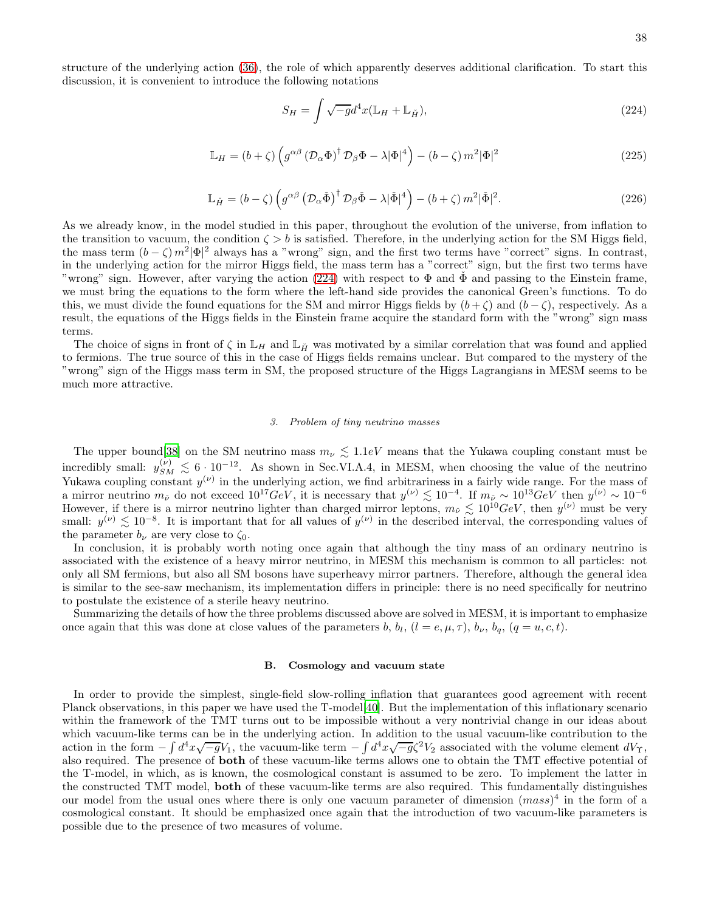structure of the underlying action [\(36\)](#page-8-0), the role of which apparently deserves additional clarification. To start this discussion, it is convenient to introduce the following notations

<span id="page-37-0"></span>
$$
S_H = \int \sqrt{-g} d^4 x (\mathbb{L}_H + \mathbb{L}_{\check{H}}), \tag{224}
$$

$$
\mathbb{L}_H = (b + \zeta) \left( g^{\alpha \beta} \left( \mathcal{D}_\alpha \Phi \right)^{\dagger} \mathcal{D}_\beta \Phi - \lambda |\Phi|^4 \right) - (b - \zeta) m^2 |\Phi|^2 \tag{225}
$$

$$
\mathbb{L}_{\check{H}} = (b - \zeta) \left( g^{\alpha \beta} \left( \mathcal{D}_{\alpha} \check{\Phi} \right)^{\dagger} \mathcal{D}_{\beta} \check{\Phi} - \lambda |\check{\Phi}|^{4} \right) - (b + \zeta) m^{2} |\check{\Phi}|^{2}.
$$
 (226)

As we already know, in the model studied in this paper, throughout the evolution of the universe, from inflation to the transition to vacuum, the condition  $\zeta > b$  is satisfied. Therefore, in the underlying action for the SM Higgs field, the mass term  $(b - \zeta) m^2 |\Phi|^2$  always has a "wrong" sign, and the first two terms have "correct" signs. In contrast, in the underlying action for the mirror Higgs field, the mass term has a "correct" sign, but the first two terms have "wrong" sign. However, after varying the action [\(224\)](#page-37-0) with respect to  $\Phi$  and  $\tilde{\Phi}$  and passing to the Einstein frame, we must bring the equations to the form where the left-hand side provides the canonical Green's functions. To do this, we must divide the found equations for the SM and mirror Higgs fields by  $(b+\zeta)$  and  $(b-\zeta)$ , respectively. As a result, the equations of the Higgs fields in the Einstein frame acquire the standard form with the "wrong" sign mass terms.

The choice of signs in front of  $\zeta$  in  $\mathbb{L}_H$  and  $\mathbb{L}_H$ <sup>x</sup> was motivated by a similar correlation that was found and applied to fermions. The true source of this in the case of Higgs fields remains unclear. But compared to the mystery of the "wrong" sign of the Higgs mass term in SM, the proposed structure of the Higgs Lagrangians in MESM seems to be much more attractive.

#### 3. Problem of tiny neutrino masses

The upper bound [\[38\]](#page-42-6) on the SM neutrino mass  $m_{\nu} \lesssim 1.1$ eV means that the Yukawa coupling constant must be incredibly small:  $y_{SM}^{(\nu)} \leq 6 \cdot 10^{-12}$ . As shown in Sec.VI.A.4, in MESM, when choosing the value of the neutrino Yukawa coupling constant  $y^{(\nu)}$  in the underlying action, we find arbitrariness in a fairly wide range. For the mass of a mirror neutrino  $m_{\tilde{\nu}}$  do not exceed  $10^{17}GeV$ , it is necessary that  $y^{(\nu)} \lesssim 10^{-4}$ . If  $m_{\tilde{\nu}} \sim 10^{13}GeV$  then  $y^{(\nu)} \sim 10^{-6}$ However, if there is a mirror neutrino lighter than charged mirror leptons,  $m_{\tilde{\nu}} \lesssim 10^{10} GeV$ , then  $y^{(\nu)}$  must be very small:  $y^{(\nu)} \lesssim 10^{-8}$ . It is important that for all values of  $y^{(\nu)}$  in the described interval, the corresponding values of the parameter  $b_{\nu}$  are very close to  $\zeta_0$ .

In conclusion, it is probably worth noting once again that although the tiny mass of an ordinary neutrino is associated with the existence of a heavy mirror neutrino, in MESM this mechanism is common to all particles: not only all SM fermions, but also all SM bosons have superheavy mirror partners. Therefore, although the general idea is similar to the see-saw mechanism, its implementation differs in principle: there is no need specifically for neutrino to postulate the existence of a sterile heavy neutrino.

Summarizing the details of how the three problems discussed above are solved in MESM, it is important to emphasize once again that this was done at close values of the parameters b,  $b_l$ ,  $(l = e, \mu, \tau)$ ,  $b_{\nu}$ ,  $b_q$ ,  $(q = u, c, t)$ .

#### B. Cosmology and vacuum state

In order to provide the simplest, single-field slow-rolling inflation that guarantees good agreement with recent Planck observations, in this paper we have used the T-model[40]. But the implementation of this inflationary scenario within the framework of the TMT turns out to be impossible without a very nontrivial change in our ideas about which vacuum-like terms can be in the underlying action. In addition to the usual vacuum-like contribution to the action in the form  $-\int d^4x\sqrt{-g}V_1$ , the vacuum-like term  $-\int d^4x\sqrt{-g}\zeta^2V_2$  associated with the volume element  $dV_T$ , also required. The presence of both of these vacuum-like terms allows one to obtain the TMT effective potential of the T-model, in which, as is known, the cosmological constant is assumed to be zero. To implement the latter in the constructed TMT model, both of these vacuum-like terms are also required. This fundamentally distinguishes our model from the usual ones where there is only one vacuum parameter of dimension  $(mass)^4$  in the form of a cosmological constant. It should be emphasized once again that the introduction of two vacuum-like parameters is possible due to the presence of two measures of volume.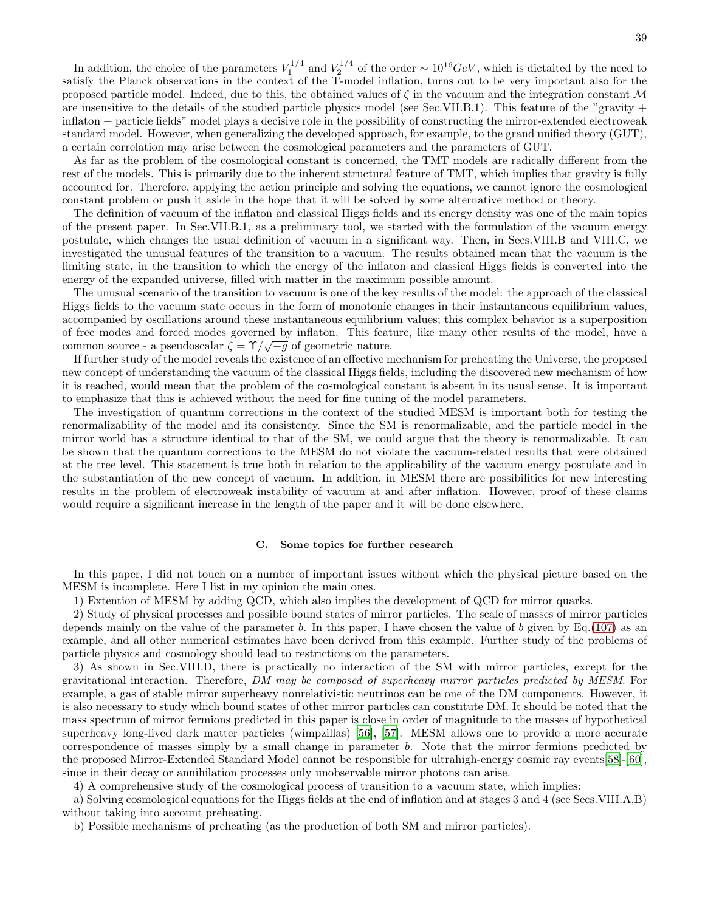In addition, the choice of the parameters  $V_1^{1/4}$  and  $V_2^{1/4}$  of the order ~  $10^{16}GeV$ , which is dictaited by the need to satisfy the Planck observations in the context of the T-model inflation, turns out to be very important also for the proposed particle model. Indeed, due to this, the obtained values of  $\zeta$  in the vacuum and the integration constant M are insensitive to the details of the studied particle physics model (see Sec.VII.B.1). This feature of the "gravity + inflaton + particle fields" model plays a decisive role in the possibility of constructing the mirror-extended electroweak standard model. However, when generalizing the developed approach, for example, to the grand unified theory (GUT), a certain correlation may arise between the cosmological parameters and the parameters of GUT.

As far as the problem of the cosmological constant is concerned, the TMT models are radically different from the rest of the models. This is primarily due to the inherent structural feature of TMT, which implies that gravity is fully accounted for. Therefore, applying the action principle and solving the equations, we cannot ignore the cosmological constant problem or push it aside in the hope that it will be solved by some alternative method or theory.

The definition of vacuum of the inflaton and classical Higgs fields and its energy density was one of the main topics of the present paper. In Sec.VII.B.1, as a preliminary tool, we started with the formulation of the vacuum energy postulate, which changes the usual definition of vacuum in a significant way. Then, in Secs.VIII.B and VIII.C, we investigated the unusual features of the transition to a vacuum. The results obtained mean that the vacuum is the limiting state, in the transition to which the energy of the inflaton and classical Higgs fields is converted into the energy of the expanded universe, filled with matter in the maximum possible amount.

The unusual scenario of the transition to vacuum is one of the key results of the model: the approach of the classical Higgs fields to the vacuum state occurs in the form of monotonic changes in their instantaneous equilibrium values, accompanied by oscillations around these instantaneous equilibrium values; this complex behavior is a superposition of free modes and forced modes governed by inflaton. This feature, like many other results of the model, have a common source - a pseudoscalar  $\zeta = \Upsilon/\sqrt{-g}$  of geometric nature.

If further study of the model reveals the existence of an effective mechanism for preheating the Universe, the proposed new concept of understanding the vacuum of the classical Higgs fields, including the discovered new mechanism of how it is reached, would mean that the problem of the cosmological constant is absent in its usual sense. It is important to emphasize that this is achieved without the need for fine tuning of the model parameters.

The investigation of quantum corrections in the context of the studied MESM is important both for testing the renormalizability of the model and its consistency. Since the SM is renormalizable, and the particle model in the mirror world has a structure identical to that of the SM, we could argue that the theory is renormalizable. It can be shown that the quantum corrections to the MESM do not violate the vacuum-related results that were obtained at the tree level. This statement is true both in relation to the applicability of the vacuum energy postulate and in the substantiation of the new concept of vacuum. In addition, in MESM there are possibilities for new interesting results in the problem of electroweak instability of vacuum at and after inflation. However, proof of these claims would require a significant increase in the length of the paper and it will be done elsewhere.

## C. Some topics for further research

In this paper, I did not touch on a number of important issues without which the physical picture based on the MESM is incomplete. Here I list in my opinion the main ones.

1) Extention of MESM by adding QCD, which also implies the development of QCD for mirror quarks.

2) Study of physical processes and possible bound states of mirror particles. The scale of masses of mirror particles depends mainly on the value of the parameter b. In this paper, I have chosen the value of b given by  $Eq.(107)$  $Eq.(107)$  as an example, and all other numerical estimates have been derived from this example. Further study of the problems of particle physics and cosmology should lead to restrictions on the parameters.

3) As shown in Sec.VIII.D, there is practically no interaction of the SM with mirror particles, except for the gravitational interaction. Therefore, DM may be composed of superheavy mirror particles predicted by MESM. For example, a gas of stable mirror superheavy nonrelativistic neutrinos can be one of the DM components. However, it is also necessary to study which bound states of other mirror particles can constitute DM. It should be noted that the mass spectrum of mirror fermions predicted in this paper is close in order of magnitude to the masses of hypothetical superheavy long-lived dark matter particles (wimpzillas) [56], [\[57](#page-43-3)]. MESM allows one to provide a more accurate correspondence of masses simply by a small change in parameter b. Note that the mirror fermions predicted by the proposed Mirror-Extended Standard Model cannot be responsible for ultrahigh-energy cosmic ray events[58]-[60], since in their decay or annihilation processes only unobservable mirror photons can arise.

4) A comprehensive study of the cosmological process of transition to a vacuum state, which implies:

a) Solving cosmological equations for the Higgs fields at the end of inflation and at stages 3 and 4 (see Secs.VIII.A,B) without taking into account preheating.

b) Possible mechanisms of preheating (as the production of both SM and mirror particles).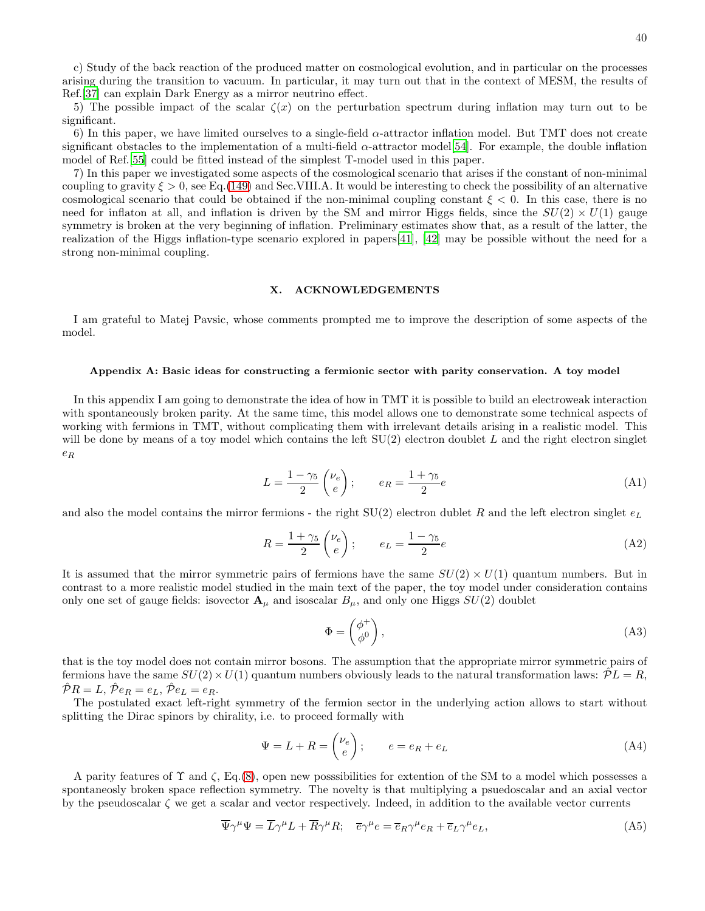c) Study of the back reaction of the produced matter on cosmological evolution, and in particular on the processes arising during the transition to vacuum. In particular, it may turn out that in the context of MESM, the results of Ref.[\[37](#page-42-4)] can explain Dark Energy as a mirror neutrino effect.

5) The possible impact of the scalar  $\zeta(x)$  on the perturbation spectrum during inflation may turn out to be significant.

6) In this paper, we have limited ourselves to a single-field  $\alpha$ -attractor inflation model. But TMT does not create significant obstacles to the implementation of a multi-field  $\alpha$ -attractor model[\[54](#page-43-4)]. For example, the double inflation model of Ref.[\[55](#page-43-5)] could be fitted instead of the simplest T-model used in this paper.

7) In this paper we investigated some aspects of the cosmological scenario that arises if the constant of non-minimal coupling to gravity  $\xi > 0$ , see Eq.[\(149\)](#page-22-4) and Sec.VIII.A. It would be interesting to check the possibility of an alternative cosmological scenario that could be obtained if the non-minimal coupling constant  $\xi < 0$ . In this case, there is no need for inflaton at all, and inflation is driven by the SM and mirror Higgs fields, since the  $SU(2) \times U(1)$  gauge symmetry is broken at the very beginning of inflation. Preliminary estimates show that, as a result of the latter, the realization of the Higgs inflation-type scenario explored in papers[41], [42] may be possible without the need for a strong non-minimal coupling.

# X. ACKNOWLEDGEMENTS

I am grateful to Matej Pavsic, whose comments prompted me to improve the description of some aspects of the model.

#### Appendix A: Basic ideas for constructing a fermionic sector with parity conservation. A toy model

In this appendix I am going to demonstrate the idea of how in TMT it is possible to build an electroweak interaction with spontaneously broken parity. At the same time, this model allows one to demonstrate some technical aspects of working with fermions in TMT, without complicating them with irrelevant details arising in a realistic model. This will be done by means of a toy model which contains the left  $SU(2)$  electron doublet L and the right electron singlet  $e_R$ 

$$
L = \frac{1 - \gamma_5}{2} \begin{pmatrix} \nu_e \\ e \end{pmatrix}; \qquad e_R = \frac{1 + \gamma_5}{2} e \tag{A1}
$$

and also the model contains the mirror fermions - the right  $SU(2)$  electron dublet R and the left electron singlet  $e<sub>L</sub>$ 

$$
R = \frac{1 + \gamma_5}{2} \begin{pmatrix} \nu_e \\ e \end{pmatrix}; \qquad e_L = \frac{1 - \gamma_5}{2} e \tag{A2}
$$

It is assumed that the mirror symmetric pairs of fermions have the same  $SU(2) \times U(1)$  quantum numbers. But in contrast to a more realistic model studied in the main text of the paper, the toy model under consideration contains only one set of gauge fields: isovector  $\mathbf{A}_{\mu}$  and isoscalar  $B_{\mu}$ , and only one Higgs  $SU(2)$  doublet

$$
\Phi = \begin{pmatrix} \phi^+ \\ \phi^0 \end{pmatrix},\tag{A3}
$$

that is the toy model does not contain mirror bosons. The assumption that the appropriate mirror symmetric pairs of fermions have the same  $SU(2)\times U(1)$  quantum numbers obviously leads to the natural transformation laws:  $\mathcal{P}L = R$ ,  $\hat{\mathcal{P}}R = L, \hat{\mathcal{P}}e_R = e_L, \hat{\mathcal{P}}e_L = e_R.$ 

The postulated exact left-right symmetry of the fermion sector in the underlying action allows to start without splitting the Dirac spinors by chirality, i.e. to proceed formally with

<span id="page-39-1"></span>
$$
\Psi = L + R = \begin{pmatrix} \nu_e \\ e \end{pmatrix}; \qquad e = e_R + e_L \tag{A4}
$$

A parity features of  $\Upsilon$  and  $\zeta$ , Eq.[\(8\)](#page-3-0), open new posssibilities for extention of the SM to a model which possesses a spontaneosly broken space reflection symmetry. The novelty is that multiplying a psuedoscalar and an axial vector by the pseudoscalar  $\zeta$  we get a scalar and vector respectively. Indeed, in addition to the available vector currents

<span id="page-39-0"></span>
$$
\overline{\Psi}\gamma^{\mu}\Psi = \overline{L}\gamma^{\mu}L + \overline{R}\gamma^{\mu}R; \quad \overline{e}\gamma^{\mu}e = \overline{e}_R\gamma^{\mu}e_R + \overline{e}_L\gamma^{\mu}e_L,\tag{A5}
$$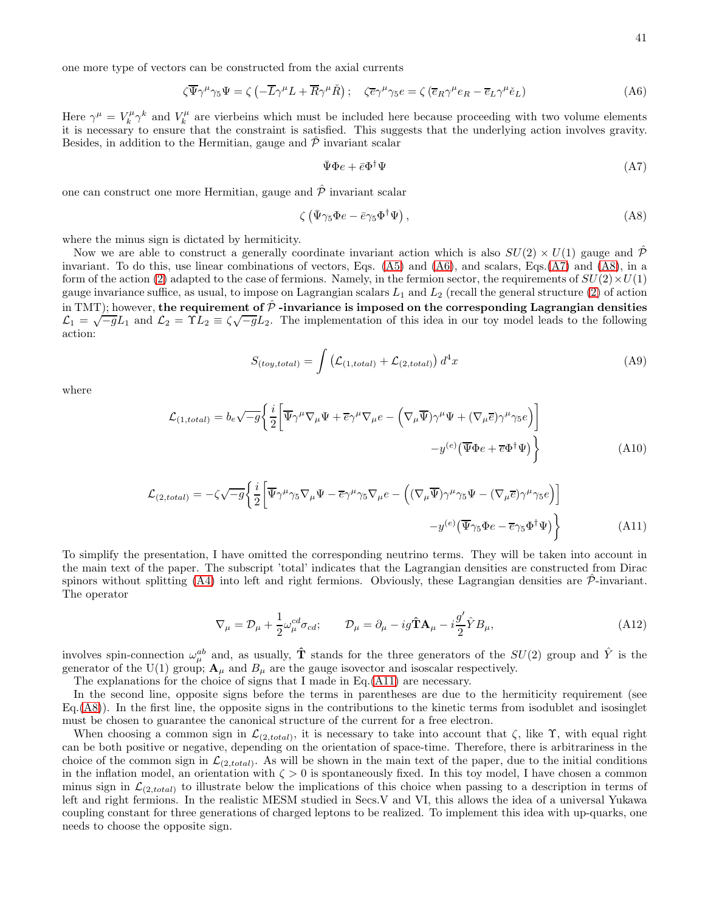<span id="page-40-0"></span>
$$
\zeta \overline{\Psi} \gamma^{\mu} \gamma_5 \Psi = \zeta \left( -\overline{L} \gamma^{\mu} L + \overline{R} \gamma^{\mu} \check{R} \right); \quad \zeta \overline{e} \gamma^{\mu} \gamma_5 e = \zeta \left( \overline{e}_R \gamma^{\mu} e_R - \overline{e}_L \gamma^{\mu} \check{e}_L \right)
$$
(A6)

Here  $\gamma^{\mu} = V_k^{\mu} \gamma^k$  and  $V_k^{\mu}$  are vierbeins which must be included here because proceeding with two volume elements it is necessary to ensure that the constraint is satisfied. This suggests that the underlying action involves gravity. Besides, in addition to the Hermitian, gauge and  $\hat{\mathcal{P}}$  invariant scalar

<span id="page-40-1"></span>
$$
\bar{\Psi}\Phi e + \bar{e}\Phi^{\dagger}\Psi \tag{A7}
$$

one can construct one more Hermitian, gauge and  $\hat{\mathcal{P}}$  invariant scalar

<span id="page-40-2"></span>
$$
\zeta \left( \bar{\Psi} \gamma_5 \Phi e - \bar{e} \gamma_5 \Phi^\dagger \Psi \right), \tag{A8}
$$

where the minus sign is dictated by hermiticity.

Now we are able to construct a generally coordinate invariant action which is also  $SU(2) \times U(1)$  gauge and  $\hat{\mathcal{P}}$ invariant. To do this, use linear combinations of vectors, Eqs. [\(A5\)](#page-39-0) and [\(A6\)](#page-40-0), and scalars, Eqs.[\(A7\)](#page-40-1) and [\(A8\)](#page-40-2), in a form of the action [\(2\)](#page-2-2) adapted to the case of fermions. Namely, in the fermion sector, the requirements of  $SU(2) \times U(1)$ gauge invariance suffice, as usual, to impose on Lagrangian scalars  $L_1$  and  $L_2$  (recall the general structure [\(2\)](#page-2-2) of action in TMT); however, the requirement of  $\hat{\mathcal{P}}$  -invariance is imposed on the corresponding Lagrangian densities  $\mathcal{L}_1 = \sqrt{-g}L_1$  and  $\mathcal{L}_2 = \Upsilon L_2 = \zeta \sqrt{-g}L_2$ . The implementation of this idea in our toy model leads to the following action:

<span id="page-40-4"></span>
$$
S_{(toy, total)} = \int \left( \mathcal{L}_{(1, total)} + \mathcal{L}_{(2, total)} \right) d^4 x \tag{A9}
$$

where

$$
\mathcal{L}_{(1, total)} = b_e \sqrt{-g} \left\{ \frac{i}{2} \left[ \overline{\Psi} \gamma^\mu \nabla_\mu \Psi + \overline{e} \gamma^\mu \nabla_\mu e - \left( \nabla_\mu \overline{\Psi} \right) \gamma^\mu \Psi + (\nabla_\mu \overline{e}) \gamma^\mu \gamma_5 e \right) \right\}
$$
\n
$$
-y^{(e)} \left( \overline{\Psi} \Phi e + \overline{e} \Phi^\dagger \Psi \right) \right\}
$$
\n(A10)

<span id="page-40-3"></span>
$$
\mathcal{L}_{(2, total)} = -\zeta \sqrt{-g} \left\{ \frac{i}{2} \left[ \overline{\Psi} \gamma^{\mu} \gamma_{5} \nabla_{\mu} \Psi - \overline{e} \gamma^{\mu} \gamma_{5} \nabla_{\mu} e - \left( (\nabla_{\mu} \overline{\Psi}) \gamma^{\mu} \gamma_{5} \Psi - (\nabla_{\mu} \overline{e}) \gamma^{\mu} \gamma_{5} e \right) \right] - y^{(e)} (\overline{\Psi} \gamma_{5} \Phi e - \overline{e} \gamma_{5} \Phi^{\dagger} \Psi) \right\}
$$
(A11)

To simplify the presentation, I have omitted the corresponding neutrino terms. They will be taken into account in the main text of the paper. The subscript 'total' indicates that the Lagrangian densities are constructed from Dirac spinors without splitting [\(A4\)](#page-39-1) into left and right fermions. Obviously, these Lagrangian densities are  $\hat{\mathcal{P}}$ -invariant. The operator

$$
\nabla_{\mu} = \mathcal{D}_{\mu} + \frac{1}{2} \omega_{\mu}^{cd} \sigma_{cd}; \qquad \mathcal{D}_{\mu} = \partial_{\mu} - ig \hat{\mathbf{T}} \mathbf{A}_{\mu} - i \frac{g'}{2} \hat{Y} B_{\mu}, \tag{A12}
$$

involves spin-connection  $\omega_{\mu}^{ab}$  and, as usually,  $\hat{\bf T}$  stands for the three generators of the  $SU(2)$  group and  $\hat{Y}$  is the generator of the U(1) group;  $\mathbf{A}_{\mu}$  and  $B_{\mu}$  are the gauge isovector and isoscalar respectively.

The explanations for the choice of signs that I made in Eq.[\(A11\)](#page-40-3) are necessary.

In the second line, opposite signs before the terms in parentheses are due to the hermiticity requirement (see  $Eq.(A8))$  $Eq.(A8))$  $Eq.(A8))$ . In the first line, the opposite signs in the contributions to the kinetic terms from isodublet and isosinglet must be chosen to guarantee the canonical structure of the current for a free electron.

When choosing a common sign in  $\mathcal{L}_{(2, total)}$ , it is necessary to take into account that  $\zeta$ , like  $\Upsilon$ , with equal right can be both positive or negative, depending on the orientation of space-time. Therefore, there is arbitrariness in the choice of the common sign in  $\mathcal{L}_{(2, total)}$ . As will be shown in the main text of the paper, due to the initial conditions in the inflation model, an orientation with  $\zeta > 0$  is spontaneously fixed. In this toy model, I have chosen a common minus sign in  $\mathcal{L}_{(2, total)}$  to illustrate below the implications of this choice when passing to a description in terms of left and right fermions. In the realistic MESM studied in Secs.V and VI, this allows the idea of a universal Yukawa coupling constant for three generations of charged leptons to be realized. To implement this idea with up-quarks, one needs to choose the opposite sign.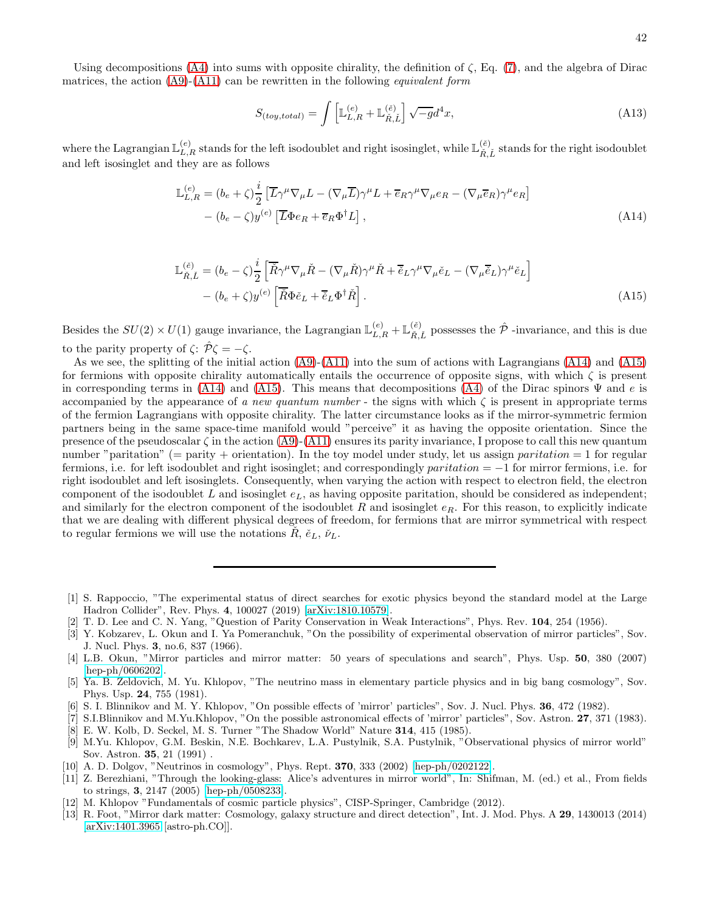$$
S_{(toy, total)} = \int \left[ \mathbb{L}_{L,R}^{(e)} + \mathbb{L}_{\tilde{R}, \tilde{L}}^{(e)} \right] \sqrt{-g} d^4 x,\tag{A13}
$$

where the Lagrangian  $\mathbb{L}_{L,R}^{(e)}$  stands for the left isodoublet and right isosinglet, while  $\mathbb{L}_{\tilde{R},\tilde{L}}^{(e)}$  stands for the right isodoublet and left isosinglet and they are as follows

<span id="page-41-5"></span>
$$
\mathbb{L}_{L,R}^{(e)} = (b_e + \zeta) \frac{i}{2} \left[ \overline{L} \gamma^\mu \nabla_\mu L - (\nabla_\mu \overline{L}) \gamma^\mu L + \overline{e}_R \gamma^\mu \nabla_\mu e_R - (\nabla_\mu \overline{e}_R) \gamma^\mu e_R \right] - (b_e - \zeta) y^{(e)} \left[ \overline{L} \Phi e_R + \overline{e}_R \Phi^\dagger L \right],
$$
\n(A14)

<span id="page-41-6"></span>
$$
\mathbb{L}_{\tilde{R},\tilde{L}}^{(\tilde{e})} = (b_e - \zeta) \frac{i}{2} \left[ \overline{\tilde{R}} \gamma^\mu \nabla_\mu \tilde{R} - (\nabla_\mu \tilde{R}) \gamma^\mu \tilde{R} + \overline{\tilde{e}}_L \gamma^\mu \nabla_\mu \tilde{e}_L - (\nabla_\mu \overline{\tilde{e}}_L) \gamma^\mu \tilde{e}_L \right] - (b_e + \zeta) y^{(e)} \left[ \overline{\tilde{R}} \Phi \tilde{e}_L + \overline{\tilde{e}}_L \Phi^\dagger \tilde{R} \right].
$$
\n(A15)

Besides the  $SU(2) \times U(1)$  gauge invariance, the Lagrangian  $\mathbb{L}_{L,R}^{(e)} + \mathbb{L}_{\tilde{R},\tilde{L}}^{(e)}$  possesses the  $\hat{\mathcal{P}}$  -invariance, and this is due to the parity property of  $\zeta: \hat{\mathcal{P}} \zeta = -\zeta$ .

As we see, the splitting of the initial action [\(A9\)](#page-40-4)-[\(A11\)](#page-40-3) into the sum of actions with Lagrangians [\(A14\)](#page-41-5) and [\(A15\)](#page-41-6) for fermions with opposite chirality automatically entails the occurrence of opposite signs, with which  $\zeta$  is present in corresponding terms in [\(A14\)](#page-41-5) and [\(A15\)](#page-41-6). This means that decompositions [\(A4\)](#page-39-1) of the Dirac spinors  $\Psi$  and e is accompanied by the appearance of a new quantum number - the signs with which  $\zeta$  is present in appropriate terms of the fermion Lagrangians with opposite chirality. The latter circumstance looks as if the mirror-symmetric fermion partners being in the same space-time manifold would "perceive" it as having the opposite orientation. Since the presence of the pseudoscalar  $\zeta$  in the action [\(A9\)](#page-40-4)-[\(A11\)](#page-40-3) ensures its parity invariance, I propose to call this new quantum number "paritation" (= parity + orientation). In the toy model under study, let us assign *paritation* = 1 for regular fermions, i.e. for left isodoublet and right isosinglet; and correspondingly *paritation* =  $-1$  for mirror fermions, i.e. for right isodoublet and left isosinglets. Consequently, when varying the action with respect to electron field, the electron component of the isodoublet L and isosinglet  $e<sub>L</sub>$ , as having opposite paritation, should be considered as independent; and similarly for the electron component of the isodoublet R and isosinglet  $e_R$ . For this reason, to explicitly indicate that we are dealing with different physical degrees of freedom, for fermions that are mirror symmetrical with respect to regular fermions we will use the notations  $R, \check{e}_L, \check{\nu}_L$ .

- <span id="page-41-1"></span>[2] T. D. Lee and C. N. Yang, "Question of Parity Conservation in Weak Interactions", Phys. Rev. 104, 254 (1956).
- <span id="page-41-2"></span>[3] Y. Kobzarev, L. Okun and I. Ya Pomeranchuk, "On the possibility of experimental observation of mirror particles", Sov. J. Nucl. Phys. 3, no.6, 837 (1966).

- [6] S. I. Blinnikov and M. Y. Khlopov, "On possible effects of 'mirror' particles", Sov. J. Nucl. Phys. 36, 472 (1982).
- [7] S.I.Blinnikov and M.Yu.Khlopov, "On the possible astronomical effects of 'mirror' particles", Sov. Astron. 27, 371 (1983). [8] E. W. Kolb, D. Seckel, M. S. Turner "The Shadow World" Nature 314, 415 (1985).
- [9] M.Yu. Khlopov, G.M. Beskin, N.E. Bochkarev, L.A. Pustylnik, S.A. Pustylnik, "Observational physics of mirror world" Sov. Astron. 35, 21 (1991) .
- [10] A. D. Dolgov, "Neutrinos in cosmology", Phys. Rept. **370**, 333 (2002) [\[hep-ph/0202122\]](http://arxiv.org/abs/hep-ph/0202122).
- [11] Z. Berezhiani, "Through the looking-glass: Alice's adventures in mirror world", In: Shifman, M. (ed.) et al., From fields to strings, 3, 2147 (2005) [\[hep-ph/0508233\]](http://arxiv.org/abs/hep-ph/0508233).
- [12] M. Khlopov "Fundamentals of cosmic particle physics", CISP-Springer, Cambridge (2012).
- [13] R. Foot, "Mirror dark matter: Cosmology, galaxy structure and direct detection", Int. J. Mod. Phys. A 29, 1430013 (2014) [\[arXiv:1401.3965](http://arxiv.org/abs/1401.3965) [astro-ph.CO]].

<span id="page-41-0"></span><sup>[1]</sup> S. Rappoccio, "The experimental status of direct searches for exotic physics beyond the standard model at the Large Hadron Collider", Rev. Phys. 4, 100027 (2019) [\[arXiv:1810.10579\]](http://arxiv.org/abs/1810.10579).

<span id="page-41-3"></span><sup>[4]</sup> L.B. Okun, "Mirror particles and mirror matter: 50 years of speculations and search", Phys. Usp. 50, 380 (2007) [\[hep-ph/0606202\]](http://arxiv.org/abs/hep-ph/0606202).

<span id="page-41-4"></span><sup>[5]</sup> Ya. B. Zeldovich, M. Yu. Khlopov, "The neutrino mass in elementary particle physics and in big bang cosmology", Sov. Phys. Usp. 24, 755 (1981).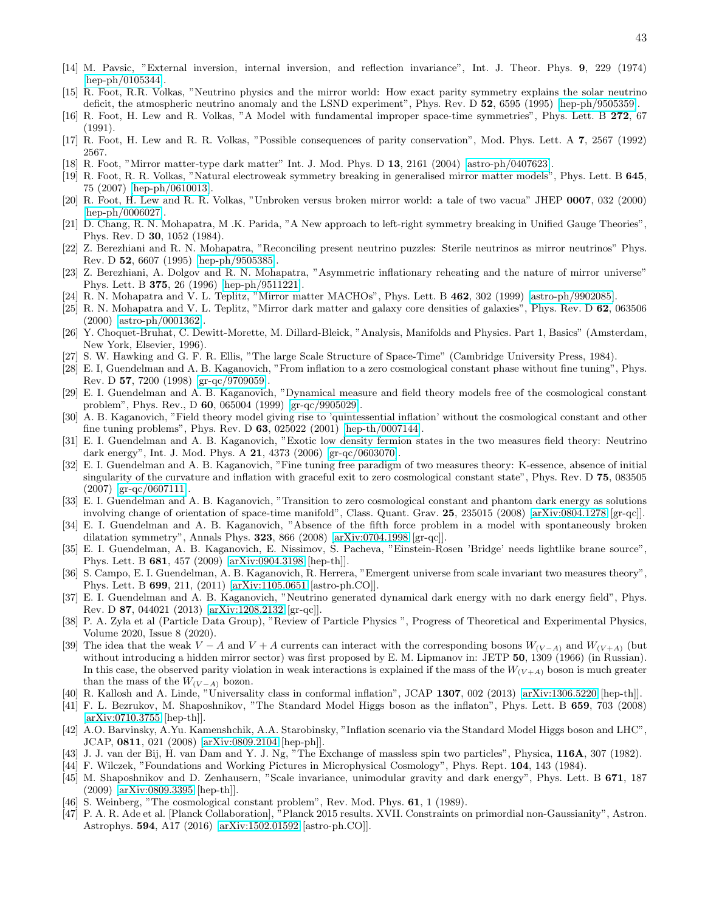- <span id="page-42-0"></span>[14] M. Pavsic, "External inversion, internal inversion, and reflection invariance", Int. J. Theor. Phys. 9, 229 (1974) [\[hep-ph/0105344\]](http://arxiv.org/abs/hep-ph/0105344).
- [15] R. Foot, R.R. Volkas, "Neutrino physics and the mirror world: How exact parity symmetry explains the solar neutrino deficit, the atmospheric neutrino anomaly and the LSND experiment", Phys. Rev. D 52, 6595 (1995) [\[hep-ph/9505359\]](http://arxiv.org/abs/hep-ph/9505359).
- [16] R. Foot, H. Lew and R. Volkas, "A Model with fundamental improper space-time symmetries", Phys. Lett. B 272, 67 (1991).
- [17] R. Foot, H. Lew and R. R. Volkas, "Possible consequences of parity conservation", Mod. Phys. Lett. A 7, 2567 (1992) 2567.
- [18] R. Foot, "Mirror matter-type dark matter" Int. J. Mod. Phys. D 13, 2161 (2004) [\[astro-ph/0407623\]](http://arxiv.org/abs/astro-ph/0407623).
- [19] R. Foot, R. R. Volkas, "Natural electroweak symmetry breaking in generalised mirror matter models", Phys. Lett. B 645, 75 (2007) [\[hep-ph/0610013\]](http://arxiv.org/abs/hep-ph/0610013).
- [20] R. Foot, H. Lew and R. R. Volkas, "Unbroken versus broken mirror world: a tale of two vacua" JHEP 0007, 032 (2000) [\[hep-ph/0006027\]](http://arxiv.org/abs/hep-ph/0006027).
- [21] D. Chang, R. N. Mohapatra, M .K. Parida, "A New approach to left-right symmetry breaking in Unified Gauge Theories", Phys. Rev. D 30, 1052 (1984).
- [22] Z. Berezhiani and R. N. Mohapatra, "Reconciling present neutrino puzzles: Sterile neutrinos as mirror neutrinos" Phys. Rev. D 52, 6607 (1995) [\[hep-ph/9505385\]](http://arxiv.org/abs/hep-ph/9505385).
- [23] Z. Berezhiani, A. Dolgov and R. N. Mohapatra, "Asymmetric inflationary reheating and the nature of mirror universe" Phys. Lett. B 375, 26 (1996) [\[hep-ph/9511221\]](http://arxiv.org/abs/hep-ph/9511221).
- [24] R. N. Mohapatra and V. L. Teplitz, "Mirror matter MACHOs", Phys. Lett. B  $462$ , 302 (1999) [\[astro-ph/9902085\]](http://arxiv.org/abs/astro-ph/9902085).
- [25] R. N. Mohapatra and V. L. Teplitz, "Mirror dark matter and galaxy core densities of galaxies", Phys. Rev. D 62, 063506 (2000) [\[astro-ph/0001362\]](http://arxiv.org/abs/astro-ph/0001362).
- <span id="page-42-1"></span>[26] Y. Choquet-Bruhat, C. Dewitt-Morette, M. Dillard-Bleick, "Analysis, Manifolds and Physics. Part 1, Basics" (Amsterdam, New York, Elsevier, 1996).
- <span id="page-42-2"></span>[27] S. W. Hawking and G. F. R. Ellis, "The large Scale Structure of Space-Time" (Cambridge University Press, 1984).
- <span id="page-42-3"></span>[28] E. I, Guendelman and A. B. Kaganovich, "From inflation to a zero cosmological constant phase without fine tuning", Phys. Rev. D 57, 7200 (1998) [\[gr-qc/9709059\]](http://arxiv.org/abs/gr-qc/9709059).
- <span id="page-42-5"></span>[29] E. I. Guendelman and A. B. Kaganovich, "Dynamical measure and field theory models free of the cosmological constant problem", Phys. Rev., D 60, 065004 (1999) [\[gr-qc/9905029\]](http://arxiv.org/abs/gr-qc/9905029).
- [30] A. B. Kaganovich, "Field theory model giving rise to 'quintessential inflation' without the cosmological constant and other fine tuning problems", Phys. Rev. D 63, 025022 (2001) [\[hep-th/0007144\]](http://arxiv.org/abs/hep-th/0007144).
- [31] E. I. Guendelman and A. B. Kaganovich, "Exotic low density fermion states in the two measures field theory: Neutrino dark energy", Int. J. Mod. Phys. A 21, 4373 (2006) [\[gr-qc/0603070\]](http://arxiv.org/abs/gr-qc/0603070).
- <span id="page-42-9"></span>[32] E. I. Guendelman and A. B. Kaganovich, "Fine tuning free paradigm of two measures theory: K-essence, absence of initial singularity of the curvature and inflation with graceful exit to zero cosmological constant state", Phys. Rev. D 75, 083505 (2007) [\[gr-qc/0607111\]](http://arxiv.org/abs/gr-qc/0607111).
- <span id="page-42-8"></span>[33] E. I. Guendelman and A. B. Kaganovich, "Transition to zero cosmological constant and phantom dark energy as solutions involving change of orientation of space-time manifold", Class. Quant. Grav. 25, 235015 (2008) [\[arXiv:0804.1278](http://arxiv.org/abs/0804.1278) [gr-qc]].
- [34] E. I. Guendelman and A. B. Kaganovich, "Absence of the fifth force problem in a model with spontaneously broken dilatation symmetry", Annals Phys. 323, 866 (2008) [\[arXiv:0704.1998](http://arxiv.org/abs/0704.1998) [gr-qc]].
- [35] E. I. Guendelman, A. B. Kaganovich, E. Nissimov, S. Pacheva, "Einstein-Rosen 'Bridge' needs lightlike brane source", Phys. Lett. B 681, 457 (2009) [\[arXiv:0904.3198](http://arxiv.org/abs/0904.3198) [hep-th]].
- [36] S. Campo, E. I. Guendelman, A. B. Kaganovich, R. Herrera, "Emergent universe from scale invariant two measures theory", Phys. Lett. B 699, 211, (2011) [\[arXiv:1105.0651](http://arxiv.org/abs/1105.0651) [astro-ph.CO]].
- <span id="page-42-4"></span>[37] E. I. Guendelman and A. B. Kaganovich, "Neutrino generated dynamical dark energy with no dark energy field", Phys. Rev. D 87, 044021 (2013) [\[arXiv:1208.2132](http://arxiv.org/abs/1208.2132) [gr-qc]].
- <span id="page-42-6"></span>[38] P. A. Zyla et al (Particle Data Group), "Review of Particle Physics ", Progress of Theoretical and Experimental Physics, Volume 2020, Issue 8 (2020).
- <span id="page-42-7"></span>[39] The idea that the weak  $V - A$  and  $V + A$  currents can interact with the corresponding bosons  $W_{(V-A)}$  and  $W_{(V+A)}$  (but without introducing a hidden mirror sector) was first proposed by E. M. Lipmanov in: JETP 50, 1309 (1966) (in Russian). In this case, the observed parity violation in weak interactions is explained if the mass of the  $W_{(V+A)}$  boson is much greater than the mass of the  $W_{(V-A)}$  bozon.
- [40] R. Kallosh and A. Linde, "Universality class in conformal inflation", JCAP 1307, 002 (2013) [\[arXiv:1306.5220](http://arxiv.org/abs/1306.5220) [hep-th]].
- [41] F. L. Bezrukov, M. Shaposhnikov, "The Standard Model Higgs boson as the inflaton", Phys. Lett. B 659, 703 (2008) [\[arXiv:0710.3755](http://arxiv.org/abs/0710.3755) [hep-th]].
- [42] A.O. Barvinsky, A.Yu. Kamenshchik, A.A. Starobinsky, "Inflation scenario via the Standard Model Higgs boson and LHC", JCAP, 0811, 021 (2008) [\[arXiv:0809.2104](http://arxiv.org/abs/0809.2104) [hep-ph]].
- <span id="page-42-10"></span>[43] J. J. van der Bij, H. van Dam and Y. J. Ng, "The Exchange of massless spin two particles", Physica, 116A, 307 (1982).
- [44] F. Wilczek, "Foundations and Working Pictures in Microphysical Cosmology", Phys. Rept. **104**, 143 (1984).
- <span id="page-42-11"></span>[45] M. Shaposhnikov and D. Zenhausern, "Scale invariance, unimodular gravity and dark energy", Phys. Lett. B 671, 187 (2009) [\[arXiv:0809.3395](http://arxiv.org/abs/0809.3395) [hep-th]].
- <span id="page-42-12"></span>[46] S. Weinberg, "The cosmological constant problem", Rev. Mod. Phys. 61, 1 (1989).
- <span id="page-42-13"></span>[47] P. A. R. Ade et al. [Planck Collaboration], "Planck 2015 results. XVII. Constraints on primordial non-Gaussianity", Astron. Astrophys. 594, A17 (2016) [\[arXiv:1502.01592](http://arxiv.org/abs/1502.01592) [astro-ph.CO]].